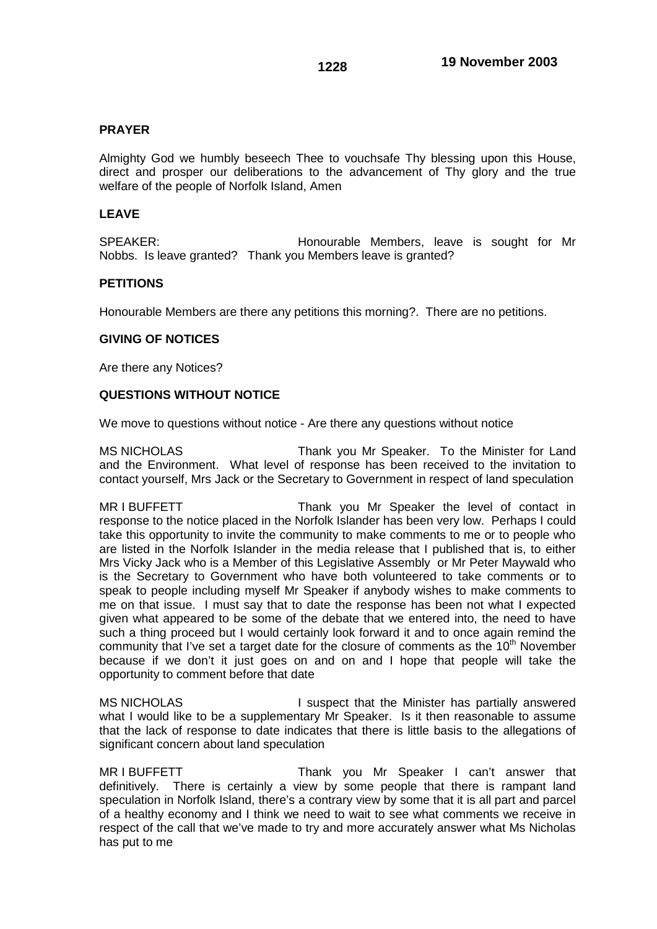## **PRAYER**

Almighty God we humbly beseech Thee to vouchsafe Thy blessing upon this House, direct and prosper our deliberations to the advancement of Thy glory and the true welfare of the people of Norfolk Island, Amen

### **LEAVE**

SPEAKER: **Honourable Members, leave is sought for Mr** Nobbs. Is leave granted? Thank you Members leave is granted?

## **PETITIONS**

Honourable Members are there any petitions this morning?. There are no petitions.

### **GIVING OF NOTICES**

Are there any Notices?

# **QUESTIONS WITHOUT NOTICE**

We move to questions without notice - Are there any questions without notice

MS NICHOLAS Thank you Mr Speaker. To the Minister for Land and the Environment. What level of response has been received to the invitation to contact yourself, Mrs Jack or the Secretary to Government in respect of land speculation

MR I BUFFETT THE THANK you Mr Speaker the level of contact in response to the notice placed in the Norfolk Islander has been very low. Perhaps I could take this opportunity to invite the community to make comments to me or to people who are listed in the Norfolk Islander in the media release that I published that is, to either Mrs Vicky Jack who is a Member of this Legislative Assembly or Mr Peter Maywald who is the Secretary to Government who have both volunteered to take comments or to speak to people including myself Mr Speaker if anybody wishes to make comments to me on that issue. I must say that to date the response has been not what I expected given what appeared to be some of the debate that we entered into, the need to have such a thing proceed but I would certainly look forward it and to once again remind the community that I've set a target date for the closure of comments as the 10<sup>th</sup> November because if we don't it just goes on and on and I hope that people will take the opportunity to comment before that date

MS NICHOLAS **I** suspect that the Minister has partially answered what I would like to be a supplementary Mr Speaker. Is it then reasonable to assume that the lack of response to date indicates that there is little basis to the allegations of significant concern about land speculation

MR I BUFFETT THE STEAL Thank you Mr Speaker I can't answer that definitively. There is certainly a view by some people that there is rampant land speculation in Norfolk Island, there's a contrary view by some that it is all part and parcel of a healthy economy and I think we need to wait to see what comments we receive in respect of the call that we've made to try and more accurately answer what Ms Nicholas has put to me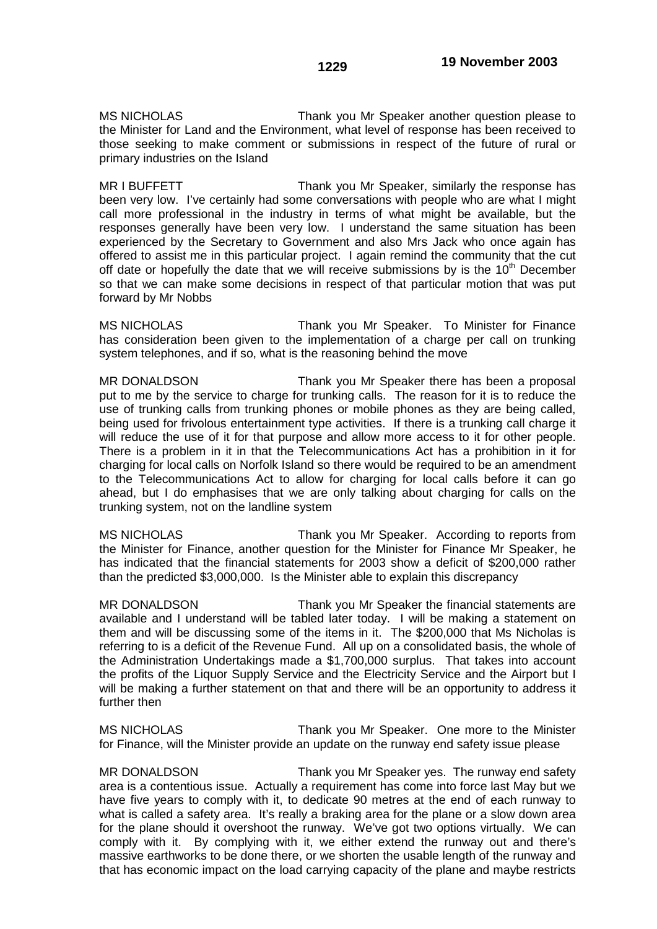MS NICHOLAS Thank you Mr Speaker another question please to the Minister for Land and the Environment, what level of response has been received to those seeking to make comment or submissions in respect of the future of rural or primary industries on the Island

MR I BUFFETT THE THANK you Mr Speaker, similarly the response has been very low. I've certainly had some conversations with people who are what I might call more professional in the industry in terms of what might be available, but the responses generally have been very low. I understand the same situation has been experienced by the Secretary to Government and also Mrs Jack who once again has offered to assist me in this particular project. I again remind the community that the cut off date or hopefully the date that we will receive submissions by is the  $10<sup>th</sup>$  December so that we can make some decisions in respect of that particular motion that was put forward by Mr Nobbs

MS NICHOLAS Thank you Mr Speaker. To Minister for Finance has consideration been given to the implementation of a charge per call on trunking system telephones, and if so, what is the reasoning behind the move

MR DONALDSON Thank you Mr Speaker there has been a proposal put to me by the service to charge for trunking calls. The reason for it is to reduce the use of trunking calls from trunking phones or mobile phones as they are being called, being used for frivolous entertainment type activities. If there is a trunking call charge it will reduce the use of it for that purpose and allow more access to it for other people. There is a problem in it in that the Telecommunications Act has a prohibition in it for charging for local calls on Norfolk Island so there would be required to be an amendment to the Telecommunications Act to allow for charging for local calls before it can go ahead, but I do emphasises that we are only talking about charging for calls on the trunking system, not on the landline system

MS NICHOLAS Thank you Mr Speaker. According to reports from the Minister for Finance, another question for the Minister for Finance Mr Speaker, he has indicated that the financial statements for 2003 show a deficit of \$200,000 rather than the predicted \$3,000,000. Is the Minister able to explain this discrepancy

MR DONALDSON Thank you Mr Speaker the financial statements are available and I understand will be tabled later today. I will be making a statement on them and will be discussing some of the items in it. The \$200,000 that Ms Nicholas is referring to is a deficit of the Revenue Fund. All up on a consolidated basis, the whole of the Administration Undertakings made a \$1,700,000 surplus. That takes into account the profits of the Liquor Supply Service and the Electricity Service and the Airport but I will be making a further statement on that and there will be an opportunity to address it further then

MS NICHOLAS Thank you Mr Speaker. One more to the Minister for Finance, will the Minister provide an update on the runway end safety issue please

MR DONALDSON Thank you Mr Speaker yes. The runway end safety area is a contentious issue. Actually a requirement has come into force last May but we have five years to comply with it, to dedicate 90 metres at the end of each runway to what is called a safety area. It's really a braking area for the plane or a slow down area for the plane should it overshoot the runway. We've got two options virtually. We can comply with it. By complying with it, we either extend the runway out and there's massive earthworks to be done there, or we shorten the usable length of the runway and that has economic impact on the load carrying capacity of the plane and maybe restricts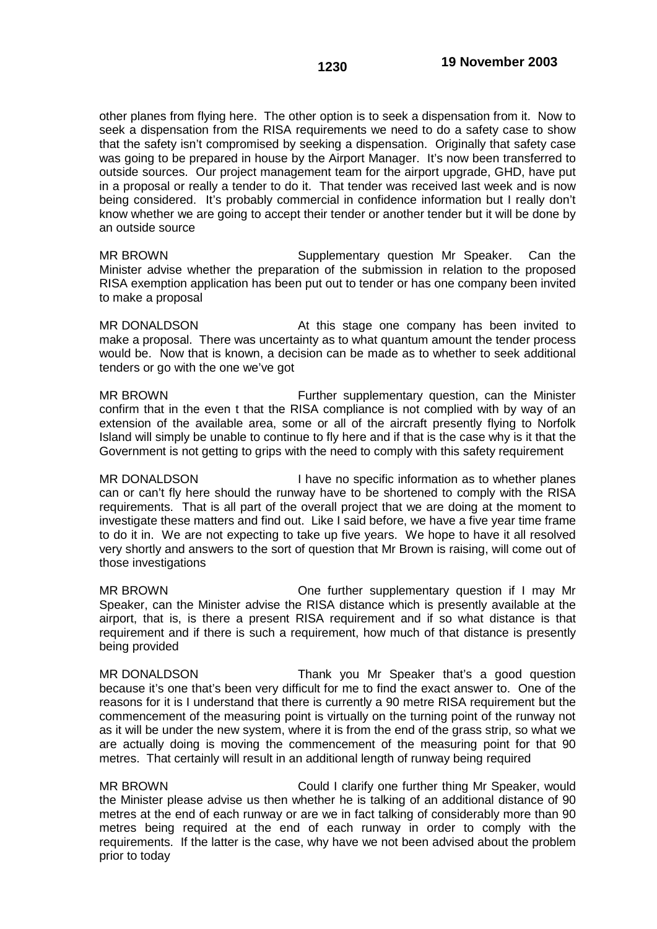other planes from flying here. The other option is to seek a dispensation from it. Now to seek a dispensation from the RISA requirements we need to do a safety case to show that the safety isn't compromised by seeking a dispensation. Originally that safety case was going to be prepared in house by the Airport Manager. It's now been transferred to outside sources. Our project management team for the airport upgrade, GHD, have put in a proposal or really a tender to do it. That tender was received last week and is now being considered. It's probably commercial in confidence information but I really don't know whether we are going to accept their tender or another tender but it will be done by an outside source

MR BROWN Supplementary question Mr Speaker. Can the Minister advise whether the preparation of the submission in relation to the proposed RISA exemption application has been put out to tender or has one company been invited to make a proposal

MR DONALDSON **At this stage one company has been invited to** make a proposal. There was uncertainty as to what quantum amount the tender process would be. Now that is known, a decision can be made as to whether to seek additional tenders or go with the one we've got

MR BROWN Further supplementary question, can the Minister confirm that in the even t that the RISA compliance is not complied with by way of an extension of the available area, some or all of the aircraft presently flying to Norfolk Island will simply be unable to continue to fly here and if that is the case why is it that the Government is not getting to grips with the need to comply with this safety requirement

MR DONALDSON I have no specific information as to whether planes can or can't fly here should the runway have to be shortened to comply with the RISA requirements. That is all part of the overall project that we are doing at the moment to investigate these matters and find out. Like I said before, we have a five year time frame to do it in. We are not expecting to take up five years. We hope to have it all resolved very shortly and answers to the sort of question that Mr Brown is raising, will come out of those investigations

MR BROWN **One further supplementary question if I may Mr** Speaker, can the Minister advise the RISA distance which is presently available at the airport, that is, is there a present RISA requirement and if so what distance is that requirement and if there is such a requirement, how much of that distance is presently being provided

MR DONALDSON Thank you Mr Speaker that's a good question because it's one that's been very difficult for me to find the exact answer to. One of the reasons for it is I understand that there is currently a 90 metre RISA requirement but the commencement of the measuring point is virtually on the turning point of the runway not as it will be under the new system, where it is from the end of the grass strip, so what we are actually doing is moving the commencement of the measuring point for that 90 metres. That certainly will result in an additional length of runway being required

MR BROWN Could I clarify one further thing Mr Speaker, would the Minister please advise us then whether he is talking of an additional distance of 90 metres at the end of each runway or are we in fact talking of considerably more than 90 metres being required at the end of each runway in order to comply with the requirements. If the latter is the case, why have we not been advised about the problem prior to today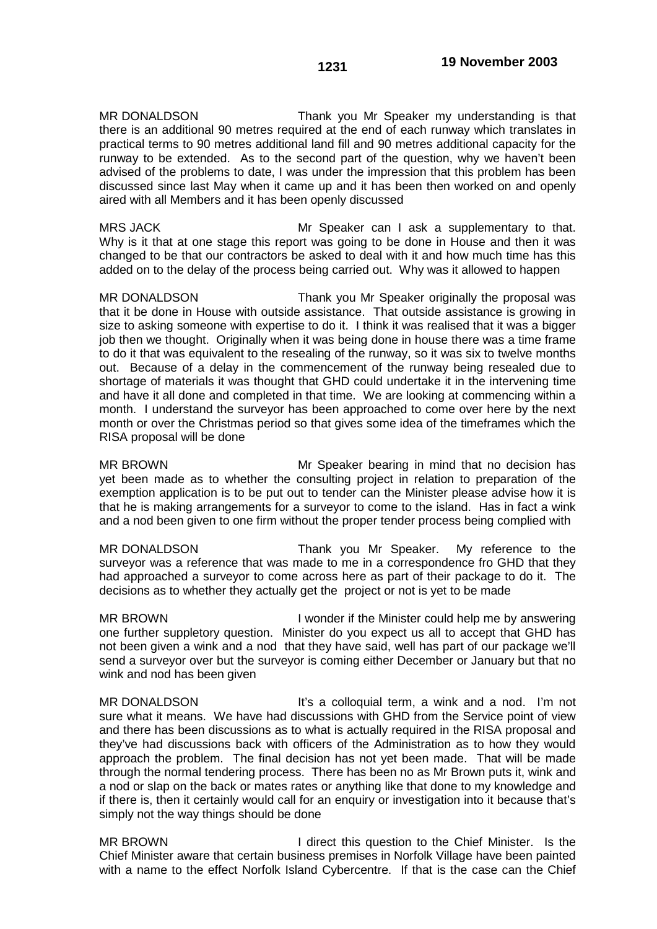MR DONALDSON Thank you Mr Speaker my understanding is that there is an additional 90 metres required at the end of each runway which translates in practical terms to 90 metres additional land fill and 90 metres additional capacity for the runway to be extended. As to the second part of the question, why we haven't been advised of the problems to date, I was under the impression that this problem has been discussed since last May when it came up and it has been then worked on and openly aired with all Members and it has been openly discussed

MRS JACK Mr Speaker can I ask a supplementary to that. Why is it that at one stage this report was going to be done in House and then it was changed to be that our contractors be asked to deal with it and how much time has this added on to the delay of the process being carried out. Why was it allowed to happen

MR DONALDSON Thank you Mr Speaker originally the proposal was that it be done in House with outside assistance. That outside assistance is growing in size to asking someone with expertise to do it. I think it was realised that it was a bigger job then we thought. Originally when it was being done in house there was a time frame to do it that was equivalent to the resealing of the runway, so it was six to twelve months out. Because of a delay in the commencement of the runway being resealed due to shortage of materials it was thought that GHD could undertake it in the intervening time and have it all done and completed in that time. We are looking at commencing within a month. I understand the surveyor has been approached to come over here by the next month or over the Christmas period so that gives some idea of the timeframes which the RISA proposal will be done

MR BROWN Mr Speaker bearing in mind that no decision has yet been made as to whether the consulting project in relation to preparation of the exemption application is to be put out to tender can the Minister please advise how it is that he is making arrangements for a surveyor to come to the island. Has in fact a wink and a nod been given to one firm without the proper tender process being complied with

MR DONALDSON Thank you Mr Speaker. My reference to the surveyor was a reference that was made to me in a correspondence fro GHD that they had approached a surveyor to come across here as part of their package to do it. The decisions as to whether they actually get the project or not is yet to be made

MR BROWN I wonder if the Minister could help me by answering one further suppletory question. Minister do you expect us all to accept that GHD has not been given a wink and a nod that they have said, well has part of our package we'll send a surveyor over but the surveyor is coming either December or January but that no wink and nod has been given

MR DONALDSON It's a colloquial term, a wink and a nod. I'm not sure what it means. We have had discussions with GHD from the Service point of view and there has been discussions as to what is actually required in the RISA proposal and they've had discussions back with officers of the Administration as to how they would approach the problem. The final decision has not yet been made. That will be made through the normal tendering process. There has been no as Mr Brown puts it, wink and a nod or slap on the back or mates rates or anything like that done to my knowledge and if there is, then it certainly would call for an enquiry or investigation into it because that's simply not the way things should be done

MR BROWN **I** direct this question to the Chief Minister. Is the Chief Minister aware that certain business premises in Norfolk Village have been painted with a name to the effect Norfolk Island Cybercentre. If that is the case can the Chief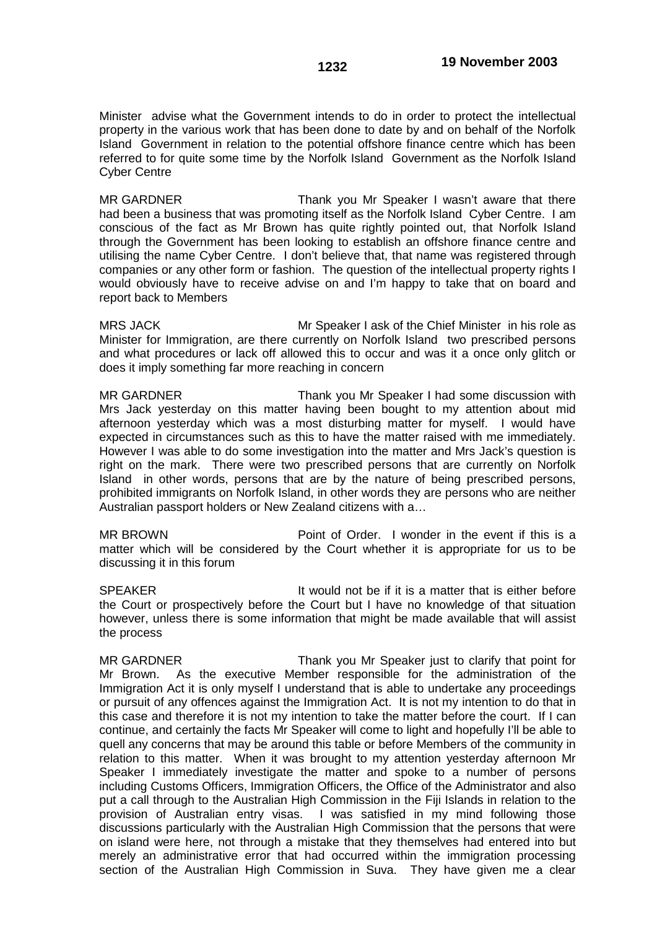Minister advise what the Government intends to do in order to protect the intellectual property in the various work that has been done to date by and on behalf of the Norfolk Island Government in relation to the potential offshore finance centre which has been referred to for quite some time by the Norfolk Island Government as the Norfolk Island Cyber Centre

MR GARDNER Thank you Mr Speaker I wasn't aware that there had been a business that was promoting itself as the Norfolk Island Cyber Centre. I am conscious of the fact as Mr Brown has quite rightly pointed out, that Norfolk Island through the Government has been looking to establish an offshore finance centre and utilising the name Cyber Centre. I don't believe that, that name was registered through companies or any other form or fashion. The question of the intellectual property rights I would obviously have to receive advise on and I'm happy to take that on board and report back to Members

MRS JACK Mr Speaker I ask of the Chief Minister in his role as Minister for Immigration, are there currently on Norfolk Island two prescribed persons and what procedures or lack off allowed this to occur and was it a once only glitch or does it imply something far more reaching in concern

MR GARDNER Thank you Mr Speaker I had some discussion with Mrs Jack yesterday on this matter having been bought to my attention about mid afternoon yesterday which was a most disturbing matter for myself. I would have expected in circumstances such as this to have the matter raised with me immediately. However I was able to do some investigation into the matter and Mrs Jack's question is right on the mark. There were two prescribed persons that are currently on Norfolk Island in other words, persons that are by the nature of being prescribed persons, prohibited immigrants on Norfolk Island, in other words they are persons who are neither Australian passport holders or New Zealand citizens with a…

MR BROWN Point of Order. I wonder in the event if this is a matter which will be considered by the Court whether it is appropriate for us to be discussing it in this forum

SPEAKER **It would not be if it is a matter that is either before** the Court or prospectively before the Court but I have no knowledge of that situation however, unless there is some information that might be made available that will assist the process

MR GARDNER Thank you Mr Speaker just to clarify that point for Mr Brown. As the executive Member responsible for the administration of the Immigration Act it is only myself I understand that is able to undertake any proceedings or pursuit of any offences against the Immigration Act. It is not my intention to do that in this case and therefore it is not my intention to take the matter before the court. If I can continue, and certainly the facts Mr Speaker will come to light and hopefully I'll be able to quell any concerns that may be around this table or before Members of the community in relation to this matter. When it was brought to my attention yesterday afternoon Mr Speaker I immediately investigate the matter and spoke to a number of persons including Customs Officers, Immigration Officers, the Office of the Administrator and also put a call through to the Australian High Commission in the Fiji Islands in relation to the provision of Australian entry visas. I was satisfied in my mind following those discussions particularly with the Australian High Commission that the persons that were on island were here, not through a mistake that they themselves had entered into but merely an administrative error that had occurred within the immigration processing section of the Australian High Commission in Suva. They have given me a clear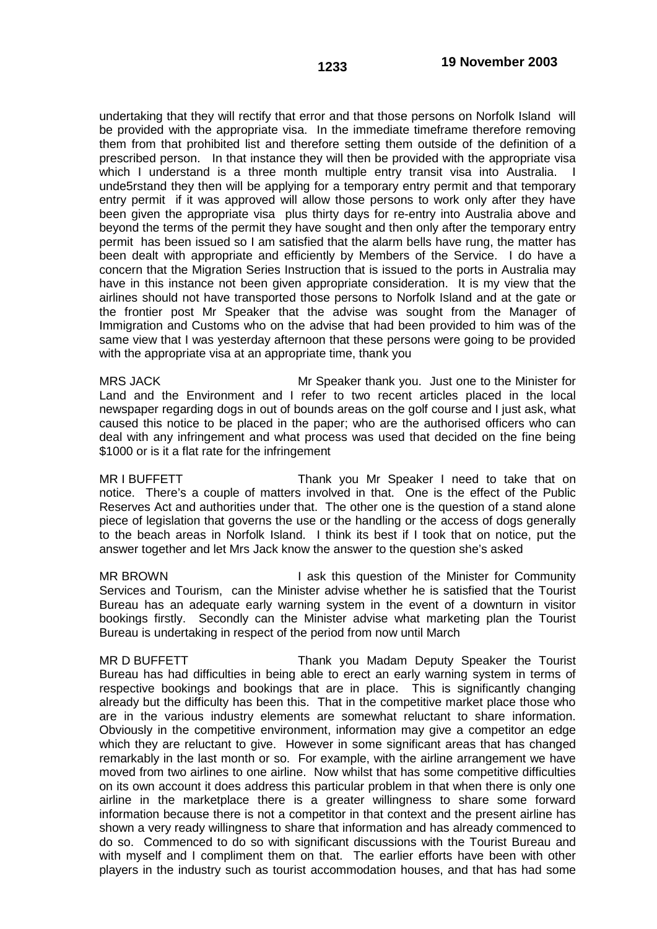undertaking that they will rectify that error and that those persons on Norfolk Island will be provided with the appropriate visa. In the immediate timeframe therefore removing them from that prohibited list and therefore setting them outside of the definition of a prescribed person. In that instance they will then be provided with the appropriate visa which I understand is a three month multiple entry transit visa into Australia. unde5rstand they then will be applying for a temporary entry permit and that temporary entry permit if it was approved will allow those persons to work only after they have been given the appropriate visa plus thirty days for re-entry into Australia above and beyond the terms of the permit they have sought and then only after the temporary entry permit has been issued so I am satisfied that the alarm bells have rung, the matter has been dealt with appropriate and efficiently by Members of the Service. I do have a concern that the Migration Series Instruction that is issued to the ports in Australia may have in this instance not been given appropriate consideration. It is my view that the airlines should not have transported those persons to Norfolk Island and at the gate or the frontier post Mr Speaker that the advise was sought from the Manager of Immigration and Customs who on the advise that had been provided to him was of the same view that I was yesterday afternoon that these persons were going to be provided with the appropriate visa at an appropriate time, thank you

MRS JACK Mr Speaker thank you. Just one to the Minister for Land and the Environment and I refer to two recent articles placed in the local newspaper regarding dogs in out of bounds areas on the golf course and I just ask, what caused this notice to be placed in the paper; who are the authorised officers who can deal with any infringement and what process was used that decided on the fine being \$1000 or is it a flat rate for the infringement

MR I BUFFETT THE THANK YOU Mr Speaker I need to take that on notice. There's a couple of matters involved in that. One is the effect of the Public Reserves Act and authorities under that. The other one is the question of a stand alone piece of legislation that governs the use or the handling or the access of dogs generally to the beach areas in Norfolk Island. I think its best if I took that on notice, put the answer together and let Mrs Jack know the answer to the question she's asked

MR BROWN **I** ask this question of the Minister for Community Services and Tourism, can the Minister advise whether he is satisfied that the Tourist Bureau has an adequate early warning system in the event of a downturn in visitor bookings firstly. Secondly can the Minister advise what marketing plan the Tourist Bureau is undertaking in respect of the period from now until March

MR D BUFFETT THE THANK you Madam Deputy Speaker the Tourist Bureau has had difficulties in being able to erect an early warning system in terms of respective bookings and bookings that are in place. This is significantly changing already but the difficulty has been this. That in the competitive market place those who are in the various industry elements are somewhat reluctant to share information. Obviously in the competitive environment, information may give a competitor an edge which they are reluctant to give. However in some significant areas that has changed remarkably in the last month or so. For example, with the airline arrangement we have moved from two airlines to one airline. Now whilst that has some competitive difficulties on its own account it does address this particular problem in that when there is only one airline in the marketplace there is a greater willingness to share some forward information because there is not a competitor in that context and the present airline has shown a very ready willingness to share that information and has already commenced to do so. Commenced to do so with significant discussions with the Tourist Bureau and with myself and I compliment them on that. The earlier efforts have been with other players in the industry such as tourist accommodation houses, and that has had some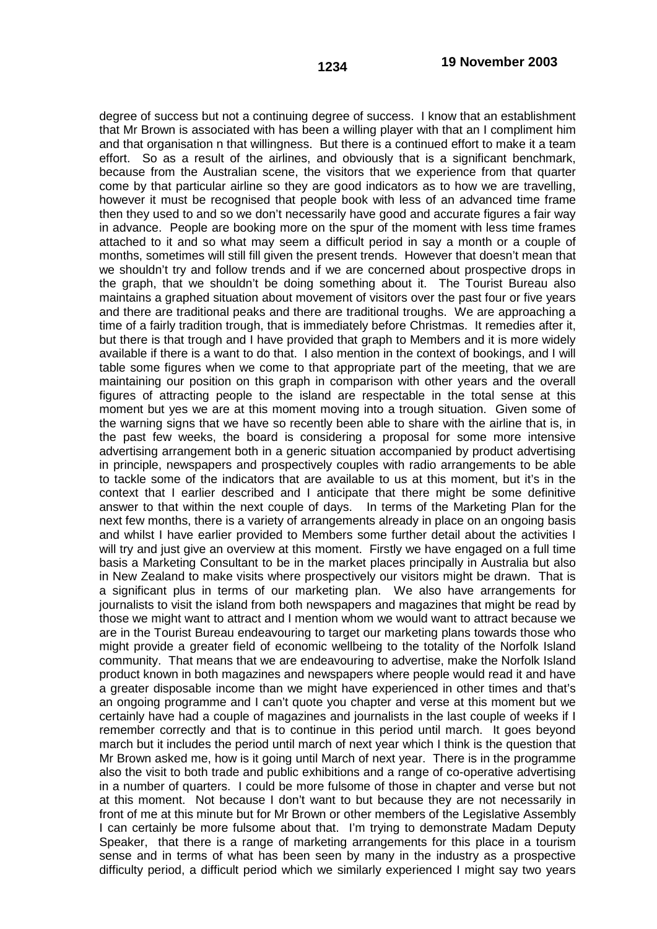degree of success but not a continuing degree of success. I know that an establishment that Mr Brown is associated with has been a willing player with that an I compliment him and that organisation n that willingness. But there is a continued effort to make it a team effort. So as a result of the airlines, and obviously that is a significant benchmark, because from the Australian scene, the visitors that we experience from that quarter come by that particular airline so they are good indicators as to how we are travelling, however it must be recognised that people book with less of an advanced time frame then they used to and so we don't necessarily have good and accurate figures a fair way

in advance. People are booking more on the spur of the moment with less time frames attached to it and so what may seem a difficult period in say a month or a couple of months, sometimes will still fill given the present trends. However that doesn't mean that we shouldn't try and follow trends and if we are concerned about prospective drops in the graph, that we shouldn't be doing something about it. The Tourist Bureau also maintains a graphed situation about movement of visitors over the past four or five years and there are traditional peaks and there are traditional troughs. We are approaching a time of a fairly tradition trough, that is immediately before Christmas. It remedies after it, but there is that trough and I have provided that graph to Members and it is more widely available if there is a want to do that. I also mention in the context of bookings, and I will table some figures when we come to that appropriate part of the meeting, that we are maintaining our position on this graph in comparison with other years and the overall figures of attracting people to the island are respectable in the total sense at this moment but yes we are at this moment moving into a trough situation. Given some of the warning signs that we have so recently been able to share with the airline that is, in the past few weeks, the board is considering a proposal for some more intensive advertising arrangement both in a generic situation accompanied by product advertising in principle, newspapers and prospectively couples with radio arrangements to be able to tackle some of the indicators that are available to us at this moment, but it's in the context that I earlier described and I anticipate that there might be some definitive answer to that within the next couple of days. In terms of the Marketing Plan for the next few months, there is a variety of arrangements already in place on an ongoing basis and whilst I have earlier provided to Members some further detail about the activities I will try and just give an overview at this moment. Firstly we have engaged on a full time basis a Marketing Consultant to be in the market places principally in Australia but also in New Zealand to make visits where prospectively our visitors might be drawn. That is a significant plus in terms of our marketing plan. We also have arrangements for journalists to visit the island from both newspapers and magazines that might be read by those we might want to attract and I mention whom we would want to attract because we are in the Tourist Bureau endeavouring to target our marketing plans towards those who might provide a greater field of economic wellbeing to the totality of the Norfolk Island community. That means that we are endeavouring to advertise, make the Norfolk Island product known in both magazines and newspapers where people would read it and have a greater disposable income than we might have experienced in other times and that's an ongoing programme and I can't quote you chapter and verse at this moment but we certainly have had a couple of magazines and journalists in the last couple of weeks if I remember correctly and that is to continue in this period until march. It goes beyond march but it includes the period until march of next year which I think is the question that Mr Brown asked me, how is it going until March of next year. There is in the programme also the visit to both trade and public exhibitions and a range of co-operative advertising in a number of quarters. I could be more fulsome of those in chapter and verse but not at this moment. Not because I don't want to but because they are not necessarily in front of me at this minute but for Mr Brown or other members of the Legislative Assembly I can certainly be more fulsome about that. I'm trying to demonstrate Madam Deputy Speaker, that there is a range of marketing arrangements for this place in a tourism sense and in terms of what has been seen by many in the industry as a prospective difficulty period, a difficult period which we similarly experienced I might say two years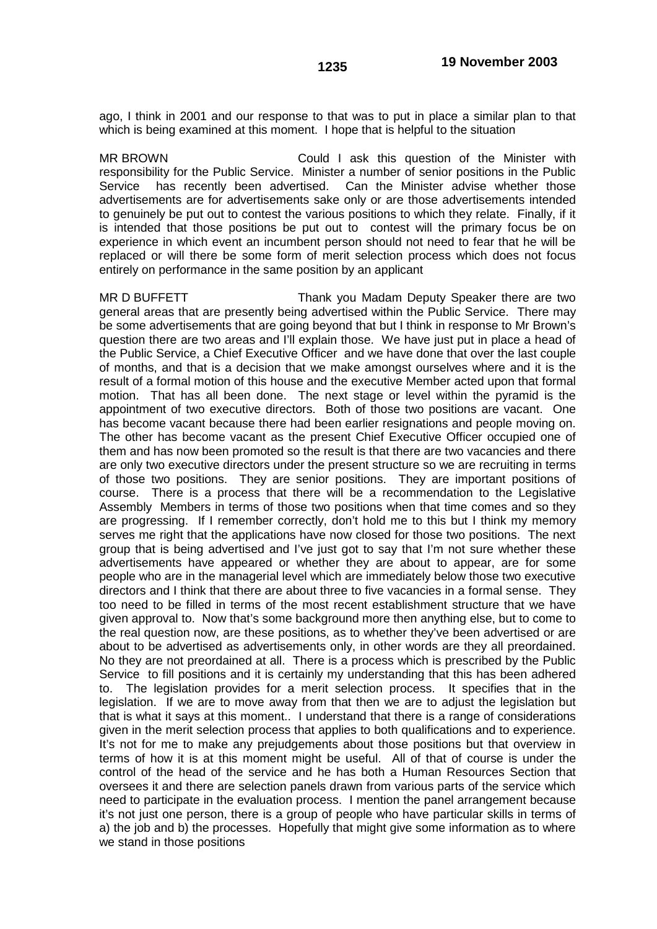ago, I think in 2001 and our response to that was to put in place a similar plan to that which is being examined at this moment. I hope that is helpful to the situation

MR BROWN Could I ask this question of the Minister with responsibility for the Public Service. Minister a number of senior positions in the Public Service has recently been advertised. Can the Minister advise whether those advertisements are for advertisements sake only or are those advertisements intended to genuinely be put out to contest the various positions to which they relate. Finally, if it is intended that those positions be put out to contest will the primary focus be on experience in which event an incumbent person should not need to fear that he will be replaced or will there be some form of merit selection process which does not focus entirely on performance in the same position by an applicant

MR D BUFFETT THE Thank you Madam Deputy Speaker there are two general areas that are presently being advertised within the Public Service. There may be some advertisements that are going beyond that but I think in response to Mr Brown's question there are two areas and I'll explain those. We have just put in place a head of the Public Service, a Chief Executive Officer and we have done that over the last couple of months, and that is a decision that we make amongst ourselves where and it is the result of a formal motion of this house and the executive Member acted upon that formal motion. That has all been done. The next stage or level within the pyramid is the appointment of two executive directors. Both of those two positions are vacant. One has become vacant because there had been earlier resignations and people moving on. The other has become vacant as the present Chief Executive Officer occupied one of them and has now been promoted so the result is that there are two vacancies and there are only two executive directors under the present structure so we are recruiting in terms of those two positions. They are senior positions. They are important positions of course. There is a process that there will be a recommendation to the Legislative Assembly Members in terms of those two positions when that time comes and so they are progressing. If I remember correctly, don't hold me to this but I think my memory serves me right that the applications have now closed for those two positions. The next group that is being advertised and I've just got to say that I'm not sure whether these advertisements have appeared or whether they are about to appear, are for some people who are in the managerial level which are immediately below those two executive directors and I think that there are about three to five vacancies in a formal sense. They too need to be filled in terms of the most recent establishment structure that we have given approval to. Now that's some background more then anything else, but to come to the real question now, are these positions, as to whether they've been advertised or are about to be advertised as advertisements only, in other words are they all preordained. No they are not preordained at all. There is a process which is prescribed by the Public Service to fill positions and it is certainly my understanding that this has been adhered to. The legislation provides for a merit selection process. It specifies that in the legislation. If we are to move away from that then we are to adjust the legislation but that is what it says at this moment.. I understand that there is a range of considerations given in the merit selection process that applies to both qualifications and to experience. It's not for me to make any prejudgements about those positions but that overview in terms of how it is at this moment might be useful. All of that of course is under the control of the head of the service and he has both a Human Resources Section that oversees it and there are selection panels drawn from various parts of the service which need to participate in the evaluation process. I mention the panel arrangement because it's not just one person, there is a group of people who have particular skills in terms of a) the job and b) the processes. Hopefully that might give some information as to where we stand in those positions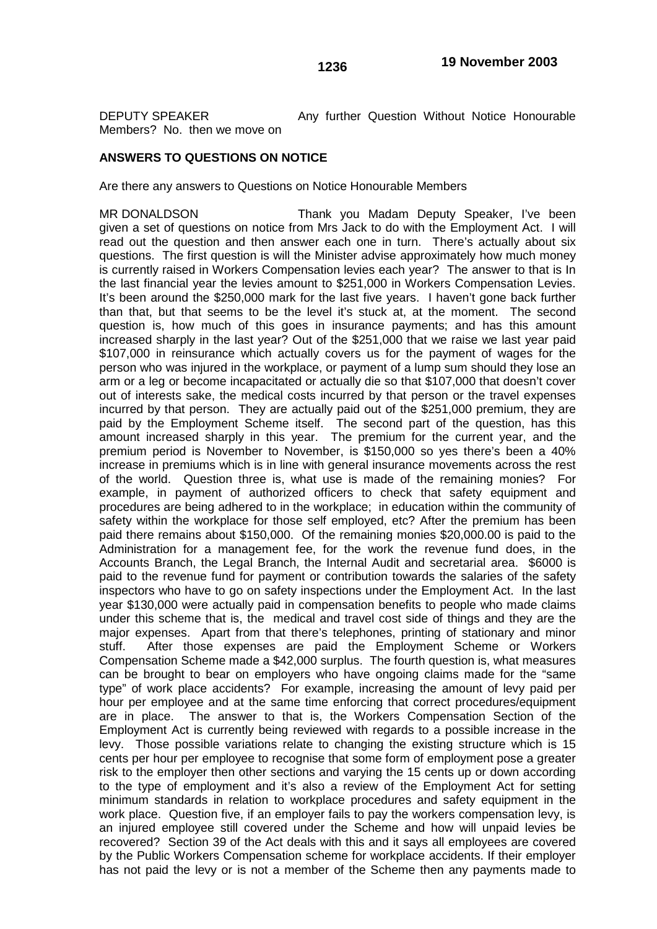Members? No. then we move on

DEPUTY SPEAKER Any further Question Without Notice Honourable

## **ANSWERS TO QUESTIONS ON NOTICE**

Are there any answers to Questions on Notice Honourable Members

MR DONALDSON Thank you Madam Deputy Speaker, I've been given a set of questions on notice from Mrs Jack to do with the Employment Act. I will read out the question and then answer each one in turn. There's actually about six questions. The first question is will the Minister advise approximately how much money is currently raised in Workers Compensation levies each year? The answer to that is In the last financial year the levies amount to \$251,000 in Workers Compensation Levies. It's been around the \$250,000 mark for the last five years. I haven't gone back further than that, but that seems to be the level it's stuck at, at the moment. The second question is, how much of this goes in insurance payments; and has this amount increased sharply in the last year? Out of the \$251,000 that we raise we last year paid \$107,000 in reinsurance which actually covers us for the payment of wages for the person who was injured in the workplace, or payment of a lump sum should they lose an arm or a leg or become incapacitated or actually die so that \$107,000 that doesn't cover out of interests sake, the medical costs incurred by that person or the travel expenses incurred by that person. They are actually paid out of the \$251,000 premium, they are paid by the Employment Scheme itself. The second part of the question, has this amount increased sharply in this year. The premium for the current year, and the premium period is November to November, is \$150,000 so yes there's been a 40% increase in premiums which is in line with general insurance movements across the rest of the world. Question three is, what use is made of the remaining monies? For example, in payment of authorized officers to check that safety equipment and procedures are being adhered to in the workplace; in education within the community of safety within the workplace for those self employed, etc? After the premium has been paid there remains about \$150,000. Of the remaining monies \$20,000.00 is paid to the Administration for a management fee, for the work the revenue fund does, in the Accounts Branch, the Legal Branch, the Internal Audit and secretarial area. \$6000 is paid to the revenue fund for payment or contribution towards the salaries of the safety inspectors who have to go on safety inspections under the Employment Act. In the last year \$130,000 were actually paid in compensation benefits to people who made claims under this scheme that is, the medical and travel cost side of things and they are the major expenses. Apart from that there's telephones, printing of stationary and minor stuff. After those expenses are paid the Employment Scheme or Workers Compensation Scheme made a \$42,000 surplus. The fourth question is, what measures can be brought to bear on employers who have ongoing claims made for the "same type" of work place accidents? For example, increasing the amount of levy paid per hour per employee and at the same time enforcing that correct procedures/equipment are in place. The answer to that is, the Workers Compensation Section of the Employment Act is currently being reviewed with regards to a possible increase in the levy. Those possible variations relate to changing the existing structure which is 15 cents per hour per employee to recognise that some form of employment pose a greater risk to the employer then other sections and varying the 15 cents up or down according to the type of employment and it's also a review of the Employment Act for setting minimum standards in relation to workplace procedures and safety equipment in the work place. Question five, if an employer fails to pay the workers compensation levy, is an injured employee still covered under the Scheme and how will unpaid levies be recovered? Section 39 of the Act deals with this and it says all employees are covered by the Public Workers Compensation scheme for workplace accidents. If their employer has not paid the levy or is not a member of the Scheme then any payments made to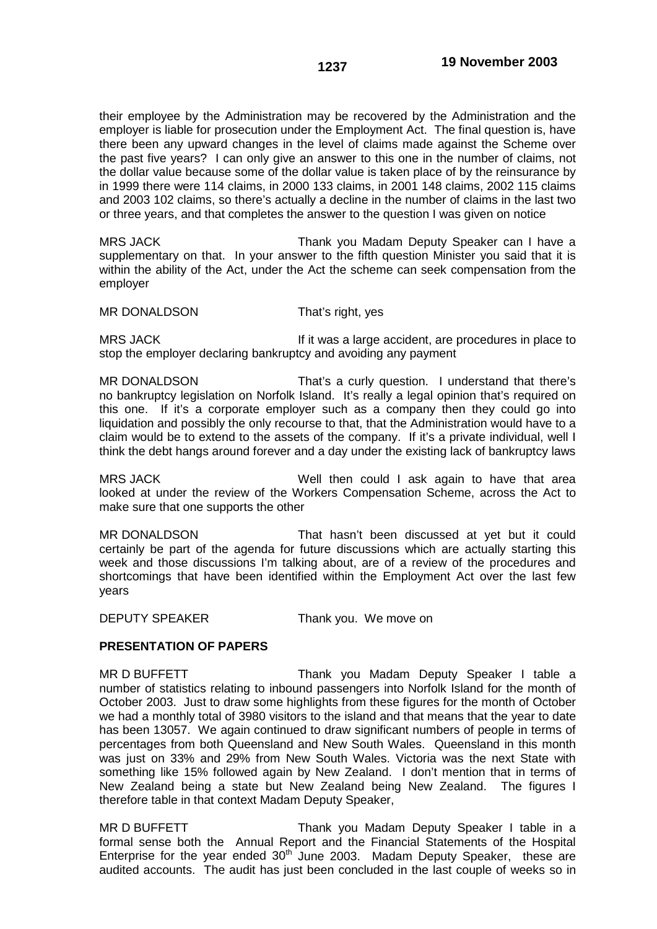their employee by the Administration may be recovered by the Administration and the employer is liable for prosecution under the Employment Act. The final question is, have there been any upward changes in the level of claims made against the Scheme over the past five years? I can only give an answer to this one in the number of claims, not the dollar value because some of the dollar value is taken place of by the reinsurance by in 1999 there were 114 claims, in 2000 133 claims, in 2001 148 claims, 2002 115 claims and 2003 102 claims, so there's actually a decline in the number of claims in the last two or three years, and that completes the answer to the question I was given on notice

MRS JACK Thank you Madam Deputy Speaker can I have a supplementary on that. In your answer to the fifth question Minister you said that it is within the ability of the Act, under the Act the scheme can seek compensation from the employer

#### MR DONALDSON That's right, yes

MRS JACK If it was a large accident, are procedures in place to stop the employer declaring bankruptcy and avoiding any payment

MR DONALDSON That's a curly question. I understand that there's no bankruptcy legislation on Norfolk Island. It's really a legal opinion that's required on this one. If it's a corporate employer such as a company then they could go into liquidation and possibly the only recourse to that, that the Administration would have to a claim would be to extend to the assets of the company. If it's a private individual, well I think the debt hangs around forever and a day under the existing lack of bankruptcy laws

MRS JACK Well then could I ask again to have that area looked at under the review of the Workers Compensation Scheme, across the Act to make sure that one supports the other

MR DONALDSON That hasn't been discussed at yet but it could certainly be part of the agenda for future discussions which are actually starting this week and those discussions I'm talking about, are of a review of the procedures and shortcomings that have been identified within the Employment Act over the last few years

DEPUTY SPEAKER Thank you. We move on

## **PRESENTATION OF PAPERS**

MR D BUFFETT THANK you Madam Deputy Speaker I table a number of statistics relating to inbound passengers into Norfolk Island for the month of October 2003. Just to draw some highlights from these figures for the month of October we had a monthly total of 3980 visitors to the island and that means that the year to date has been 13057. We again continued to draw significant numbers of people in terms of percentages from both Queensland and New South Wales. Queensland in this month was just on 33% and 29% from New South Wales. Victoria was the next State with something like 15% followed again by New Zealand. I don't mention that in terms of New Zealand being a state but New Zealand being New Zealand. The figures I therefore table in that context Madam Deputy Speaker,

MR D BUFFETT THE Thank you Madam Deputy Speaker I table in a formal sense both the Annual Report and the Financial Statements of the Hospital Enterprise for the year ended  $30<sup>th</sup>$  June 2003. Madam Deputy Speaker, these are audited accounts. The audit has just been concluded in the last couple of weeks so in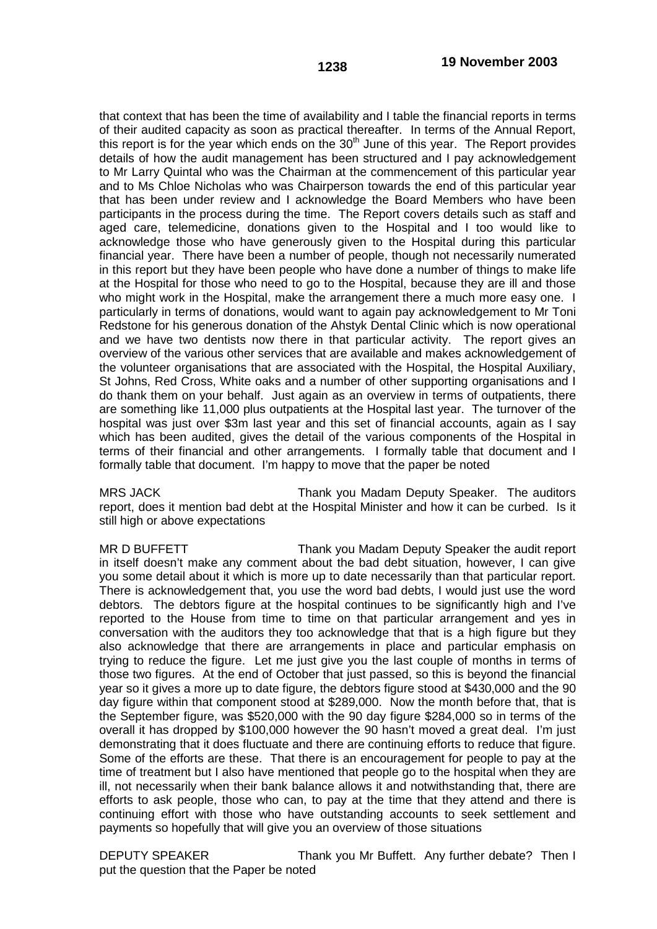that context that has been the time of availability and I table the financial reports in terms of their audited capacity as soon as practical thereafter. In terms of the Annual Report, this report is for the year which ends on the  $30<sup>th</sup>$  June of this year. The Report provides details of how the audit management has been structured and I pay acknowledgement to Mr Larry Quintal who was the Chairman at the commencement of this particular year and to Ms Chloe Nicholas who was Chairperson towards the end of this particular year that has been under review and I acknowledge the Board Members who have been participants in the process during the time. The Report covers details such as staff and aged care, telemedicine, donations given to the Hospital and I too would like to acknowledge those who have generously given to the Hospital during this particular financial year. There have been a number of people, though not necessarily numerated in this report but they have been people who have done a number of things to make life at the Hospital for those who need to go to the Hospital, because they are ill and those who might work in the Hospital, make the arrangement there a much more easy one. I particularly in terms of donations, would want to again pay acknowledgement to Mr Toni Redstone for his generous donation of the Ahstyk Dental Clinic which is now operational and we have two dentists now there in that particular activity. The report gives an overview of the various other services that are available and makes acknowledgement of the volunteer organisations that are associated with the Hospital, the Hospital Auxiliary, St Johns, Red Cross, White oaks and a number of other supporting organisations and I do thank them on your behalf. Just again as an overview in terms of outpatients, there are something like 11,000 plus outpatients at the Hospital last year. The turnover of the hospital was just over \$3m last year and this set of financial accounts, again as I say which has been audited, gives the detail of the various components of the Hospital in terms of their financial and other arrangements. I formally table that document and I formally table that document. I'm happy to move that the paper be noted

MRS JACK Thank you Madam Deputy Speaker. The auditors report, does it mention bad debt at the Hospital Minister and how it can be curbed. Is it still high or above expectations

MR D BUFFETT THE THANK you Madam Deputy Speaker the audit report in itself doesn't make any comment about the bad debt situation, however, I can give you some detail about it which is more up to date necessarily than that particular report. There is acknowledgement that, you use the word bad debts, I would just use the word debtors. The debtors figure at the hospital continues to be significantly high and I've reported to the House from time to time on that particular arrangement and yes in conversation with the auditors they too acknowledge that that is a high figure but they also acknowledge that there are arrangements in place and particular emphasis on trying to reduce the figure. Let me just give you the last couple of months in terms of those two figures. At the end of October that just passed, so this is beyond the financial year so it gives a more up to date figure, the debtors figure stood at \$430,000 and the 90 day figure within that component stood at \$289,000. Now the month before that, that is the September figure, was \$520,000 with the 90 day figure \$284,000 so in terms of the overall it has dropped by \$100,000 however the 90 hasn't moved a great deal. I'm just demonstrating that it does fluctuate and there are continuing efforts to reduce that figure. Some of the efforts are these. That there is an encouragement for people to pay at the time of treatment but I also have mentioned that people go to the hospital when they are ill, not necessarily when their bank balance allows it and notwithstanding that, there are efforts to ask people, those who can, to pay at the time that they attend and there is continuing effort with those who have outstanding accounts to seek settlement and payments so hopefully that will give you an overview of those situations

DEPUTY SPEAKER Thank you Mr Buffett. Any further debate? Then I put the question that the Paper be noted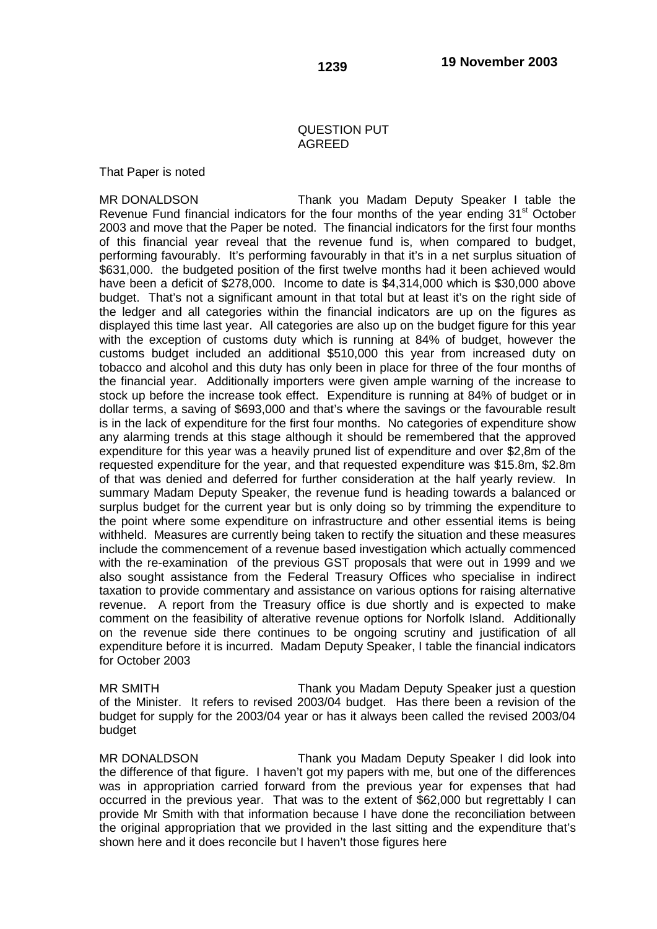## QUESTION PUT AGREED

That Paper is noted

MR DONALDSON Thank you Madam Deputy Speaker I table the Revenue Fund financial indicators for the four months of the year ending 31<sup>st</sup> October 2003 and move that the Paper be noted. The financial indicators for the first four months of this financial year reveal that the revenue fund is, when compared to budget, performing favourably. It's performing favourably in that it's in a net surplus situation of \$631,000. the budgeted position of the first twelve months had it been achieved would have been a deficit of \$278,000. Income to date is \$4,314,000 which is \$30,000 above budget. That's not a significant amount in that total but at least it's on the right side of the ledger and all categories within the financial indicators are up on the figures as displayed this time last year. All categories are also up on the budget figure for this year with the exception of customs duty which is running at 84% of budget, however the customs budget included an additional \$510,000 this year from increased duty on tobacco and alcohol and this duty has only been in place for three of the four months of the financial year. Additionally importers were given ample warning of the increase to stock up before the increase took effect. Expenditure is running at 84% of budget or in dollar terms, a saving of \$693,000 and that's where the savings or the favourable result is in the lack of expenditure for the first four months. No categories of expenditure show any alarming trends at this stage although it should be remembered that the approved expenditure for this year was a heavily pruned list of expenditure and over \$2,8m of the requested expenditure for the year, and that requested expenditure was \$15.8m, \$2.8m of that was denied and deferred for further consideration at the half yearly review. In summary Madam Deputy Speaker, the revenue fund is heading towards a balanced or surplus budget for the current year but is only doing so by trimming the expenditure to the point where some expenditure on infrastructure and other essential items is being withheld. Measures are currently being taken to rectify the situation and these measures include the commencement of a revenue based investigation which actually commenced with the re-examination of the previous GST proposals that were out in 1999 and we also sought assistance from the Federal Treasury Offices who specialise in indirect taxation to provide commentary and assistance on various options for raising alternative revenue. A report from the Treasury office is due shortly and is expected to make comment on the feasibility of alterative revenue options for Norfolk Island. Additionally on the revenue side there continues to be ongoing scrutiny and justification of all expenditure before it is incurred. Madam Deputy Speaker, I table the financial indicators for October 2003

MR SMITH Thank you Madam Deputy Speaker just a question of the Minister. It refers to revised 2003/04 budget. Has there been a revision of the budget for supply for the 2003/04 year or has it always been called the revised 2003/04 budget

MR DONALDSON Thank you Madam Deputy Speaker I did look into the difference of that figure. I haven't got my papers with me, but one of the differences was in appropriation carried forward from the previous year for expenses that had occurred in the previous year. That was to the extent of \$62,000 but regrettably I can provide Mr Smith with that information because I have done the reconciliation between the original appropriation that we provided in the last sitting and the expenditure that's shown here and it does reconcile but I haven't those figures here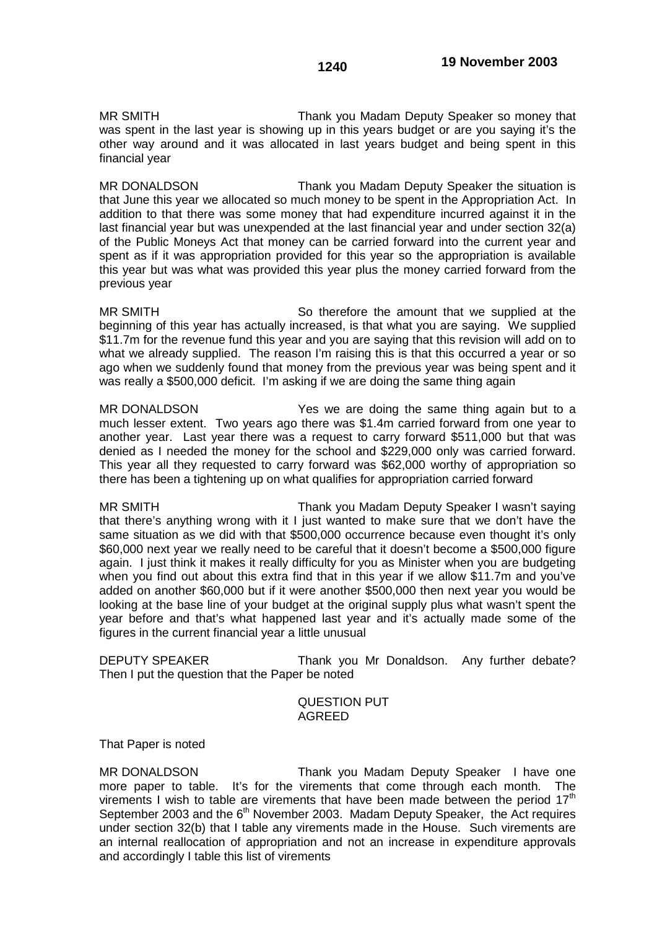MR SMITH Thank you Madam Deputy Speaker so money that was spent in the last year is showing up in this years budget or are you saying it's the other way around and it was allocated in last years budget and being spent in this financial year

MR DONALDSON Thank you Madam Deputy Speaker the situation is that June this year we allocated so much money to be spent in the Appropriation Act. In addition to that there was some money that had expenditure incurred against it in the last financial year but was unexpended at the last financial year and under section 32(a) of the Public Moneys Act that money can be carried forward into the current year and spent as if it was appropriation provided for this year so the appropriation is available this year but was what was provided this year plus the money carried forward from the previous year

MR SMITH So therefore the amount that we supplied at the beginning of this year has actually increased, is that what you are saying. We supplied \$11.7m for the revenue fund this year and you are saying that this revision will add on to what we already supplied. The reason I'm raising this is that this occurred a year or so ago when we suddenly found that money from the previous year was being spent and it was really a \$500,000 deficit. I'm asking if we are doing the same thing again

MR DONALDSON Yes we are doing the same thing again but to a much lesser extent. Two years ago there was \$1.4m carried forward from one year to another year. Last year there was a request to carry forward \$511,000 but that was denied as I needed the money for the school and \$229,000 only was carried forward. This year all they requested to carry forward was \$62,000 worthy of appropriation so there has been a tightening up on what qualifies for appropriation carried forward

MR SMITH Thank you Madam Deputy Speaker I wasn't saying that there's anything wrong with it I just wanted to make sure that we don't have the same situation as we did with that \$500,000 occurrence because even thought it's only \$60,000 next year we really need to be careful that it doesn't become a \$500,000 figure again. I just think it makes it really difficulty for you as Minister when you are budgeting when you find out about this extra find that in this year if we allow \$11.7m and you've added on another \$60,000 but if it were another \$500,000 then next year you would be looking at the base line of your budget at the original supply plus what wasn't spent the year before and that's what happened last year and it's actually made some of the figures in the current financial year a little unusual

DEPUTY SPEAKER Thank you Mr Donaldson. Any further debate? Then I put the question that the Paper be noted

## QUESTION PUT AGREED

That Paper is noted

MR DONALDSON Thank you Madam Deputy Speaker I have one more paper to table. It's for the virements that come through each month. The virements I wish to table are virements that have been made between the period  $17<sup>th</sup>$ September 2003 and the  $6<sup>th</sup>$  November 2003. Madam Deputy Speaker, the Act requires under section 32(b) that I table any virements made in the House. Such virements are an internal reallocation of appropriation and not an increase in expenditure approvals and accordingly I table this list of virements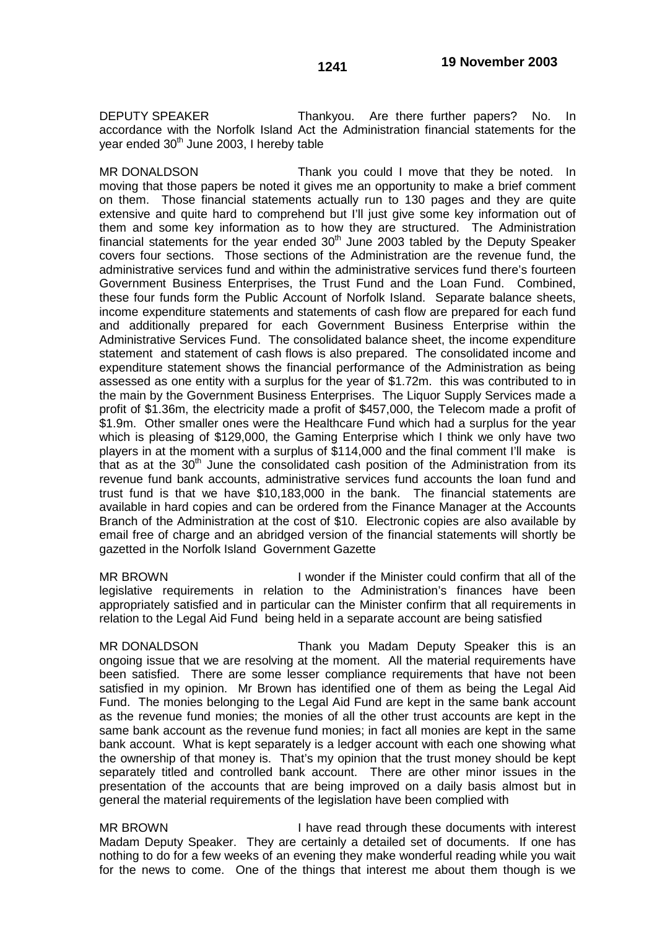DEPUTY SPEAKER Thankyou. Are there further papers? No. In accordance with the Norfolk Island Act the Administration financial statements for the vear ended  $30<sup>th</sup>$  June 2003. I hereby table

MR DONALDSON Thank you could I move that they be noted. In moving that those papers be noted it gives me an opportunity to make a brief comment on them. Those financial statements actually run to 130 pages and they are quite extensive and quite hard to comprehend but I'll just give some key information out of them and some key information as to how they are structured. The Administration financial statements for the year ended 30<sup>th</sup> June 2003 tabled by the Deputy Speaker covers four sections. Those sections of the Administration are the revenue fund, the administrative services fund and within the administrative services fund there's fourteen Government Business Enterprises, the Trust Fund and the Loan Fund. Combined, these four funds form the Public Account of Norfolk Island. Separate balance sheets, income expenditure statements and statements of cash flow are prepared for each fund and additionally prepared for each Government Business Enterprise within the Administrative Services Fund. The consolidated balance sheet, the income expenditure statement and statement of cash flows is also prepared. The consolidated income and expenditure statement shows the financial performance of the Administration as being assessed as one entity with a surplus for the year of \$1.72m. this was contributed to in the main by the Government Business Enterprises. The Liquor Supply Services made a profit of \$1.36m, the electricity made a profit of \$457,000, the Telecom made a profit of \$1.9m. Other smaller ones were the Healthcare Fund which had a surplus for the year which is pleasing of \$129,000, the Gaming Enterprise which I think we only have two players in at the moment with a surplus of \$114,000 and the final comment I'll make is that as at the  $30<sup>th</sup>$  June the consolidated cash position of the Administration from its revenue fund bank accounts, administrative services fund accounts the loan fund and trust fund is that we have \$10,183,000 in the bank. The financial statements are available in hard copies and can be ordered from the Finance Manager at the Accounts Branch of the Administration at the cost of \$10. Electronic copies are also available by email free of charge and an abridged version of the financial statements will shortly be gazetted in the Norfolk Island Government Gazette

MR BROWN I wonder if the Minister could confirm that all of the legislative requirements in relation to the Administration's finances have been appropriately satisfied and in particular can the Minister confirm that all requirements in relation to the Legal Aid Fund being held in a separate account are being satisfied

MR DONALDSON Thank you Madam Deputy Speaker this is an ongoing issue that we are resolving at the moment. All the material requirements have been satisfied. There are some lesser compliance requirements that have not been satisfied in my opinion. Mr Brown has identified one of them as being the Legal Aid Fund. The monies belonging to the Legal Aid Fund are kept in the same bank account as the revenue fund monies; the monies of all the other trust accounts are kept in the same bank account as the revenue fund monies; in fact all monies are kept in the same bank account. What is kept separately is a ledger account with each one showing what the ownership of that money is. That's my opinion that the trust money should be kept separately titled and controlled bank account. There are other minor issues in the presentation of the accounts that are being improved on a daily basis almost but in general the material requirements of the legislation have been complied with

MR BROWN **I** have read through these documents with interest Madam Deputy Speaker. They are certainly a detailed set of documents. If one has nothing to do for a few weeks of an evening they make wonderful reading while you wait for the news to come. One of the things that interest me about them though is we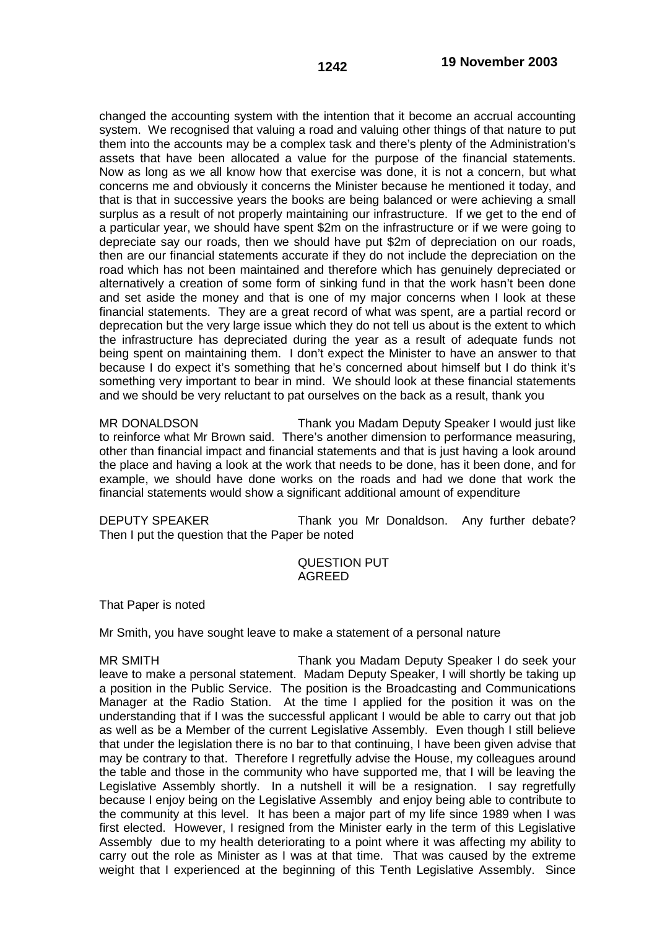changed the accounting system with the intention that it become an accrual accounting system. We recognised that valuing a road and valuing other things of that nature to put them into the accounts may be a complex task and there's plenty of the Administration's assets that have been allocated a value for the purpose of the financial statements. Now as long as we all know how that exercise was done, it is not a concern, but what concerns me and obviously it concerns the Minister because he mentioned it today, and that is that in successive years the books are being balanced or were achieving a small surplus as a result of not properly maintaining our infrastructure. If we get to the end of a particular year, we should have spent \$2m on the infrastructure or if we were going to depreciate say our roads, then we should have put \$2m of depreciation on our roads, then are our financial statements accurate if they do not include the depreciation on the road which has not been maintained and therefore which has genuinely depreciated or alternatively a creation of some form of sinking fund in that the work hasn't been done and set aside the money and that is one of my major concerns when I look at these financial statements. They are a great record of what was spent, are a partial record or deprecation but the very large issue which they do not tell us about is the extent to which the infrastructure has depreciated during the year as a result of adequate funds not being spent on maintaining them. I don't expect the Minister to have an answer to that because I do expect it's something that he's concerned about himself but I do think it's something very important to bear in mind. We should look at these financial statements and we should be very reluctant to pat ourselves on the back as a result, thank you

MR DONALDSON Thank you Madam Deputy Speaker I would just like to reinforce what Mr Brown said. There's another dimension to performance measuring, other than financial impact and financial statements and that is just having a look around the place and having a look at the work that needs to be done, has it been done, and for example, we should have done works on the roads and had we done that work the financial statements would show a significant additional amount of expenditure

DEPUTY SPEAKER Thank you Mr Donaldson. Any further debate? Then I put the question that the Paper be noted

## QUESTION PUT AGREED

That Paper is noted

Mr Smith, you have sought leave to make a statement of a personal nature

MR SMITH Thank you Madam Deputy Speaker I do seek your leave to make a personal statement. Madam Deputy Speaker, I will shortly be taking up a position in the Public Service. The position is the Broadcasting and Communications Manager at the Radio Station. At the time I applied for the position it was on the understanding that if I was the successful applicant I would be able to carry out that job as well as be a Member of the current Legislative Assembly. Even though I still believe that under the legislation there is no bar to that continuing, I have been given advise that may be contrary to that. Therefore I regretfully advise the House, my colleagues around the table and those in the community who have supported me, that I will be leaving the Legislative Assembly shortly. In a nutshell it will be a resignation. I say regretfully because I enjoy being on the Legislative Assembly and enjoy being able to contribute to the community at this level. It has been a major part of my life since 1989 when I was first elected. However, I resigned from the Minister early in the term of this Legislative Assembly due to my health deteriorating to a point where it was affecting my ability to carry out the role as Minister as I was at that time. That was caused by the extreme weight that I experienced at the beginning of this Tenth Legislative Assembly. Since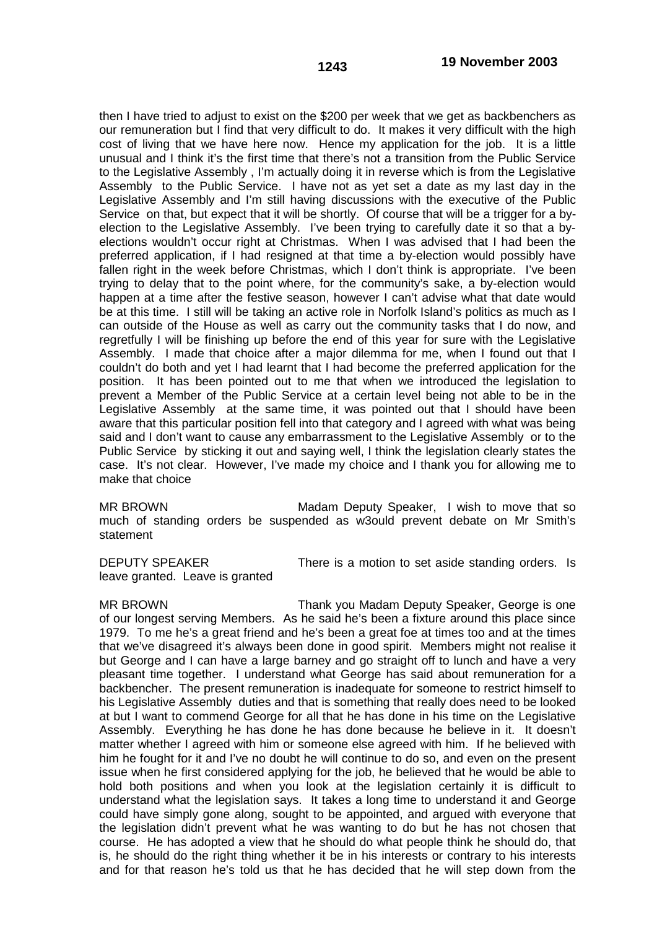then I have tried to adjust to exist on the \$200 per week that we get as backbenchers as our remuneration but I find that very difficult to do. It makes it very difficult with the high cost of living that we have here now. Hence my application for the job. It is a little unusual and I think it's the first time that there's not a transition from the Public Service to the Legislative Assembly , I'm actually doing it in reverse which is from the Legislative Assembly to the Public Service. I have not as yet set a date as my last day in the Legislative Assembly and I'm still having discussions with the executive of the Public Service on that, but expect that it will be shortly. Of course that will be a trigger for a byelection to the Legislative Assembly. I've been trying to carefully date it so that a byelections wouldn't occur right at Christmas. When I was advised that I had been the preferred application, if I had resigned at that time a by-election would possibly have fallen right in the week before Christmas, which I don't think is appropriate. I've been trying to delay that to the point where, for the community's sake, a by-election would happen at a time after the festive season, however I can't advise what that date would be at this time. I still will be taking an active role in Norfolk Island's politics as much as I can outside of the House as well as carry out the community tasks that I do now, and regretfully I will be finishing up before the end of this year for sure with the Legislative Assembly. I made that choice after a major dilemma for me, when I found out that I couldn't do both and yet I had learnt that I had become the preferred application for the position. It has been pointed out to me that when we introduced the legislation to prevent a Member of the Public Service at a certain level being not able to be in the Legislative Assembly at the same time, it was pointed out that I should have been aware that this particular position fell into that category and I agreed with what was being said and I don't want to cause any embarrassment to the Legislative Assembly or to the Public Service by sticking it out and saying well, I think the legislation clearly states the case. It's not clear. However, I've made my choice and I thank you for allowing me to

MR BROWN Madam Deputy Speaker, I wish to move that so much of standing orders be suspended as w3ould prevent debate on Mr Smith's statement

leave granted. Leave is granted

make that choice

DEPUTY SPEAKER There is a motion to set aside standing orders. Is

MR BROWN Thank you Madam Deputy Speaker, George is one of our longest serving Members. As he said he's been a fixture around this place since 1979. To me he's a great friend and he's been a great foe at times too and at the times that we've disagreed it's always been done in good spirit. Members might not realise it but George and I can have a large barney and go straight off to lunch and have a very pleasant time together. I understand what George has said about remuneration for a backbencher. The present remuneration is inadequate for someone to restrict himself to his Legislative Assembly duties and that is something that really does need to be looked at but I want to commend George for all that he has done in his time on the Legislative Assembly. Everything he has done he has done because he believe in it. It doesn't matter whether I agreed with him or someone else agreed with him. If he believed with him he fought for it and I've no doubt he will continue to do so, and even on the present issue when he first considered applying for the job, he believed that he would be able to hold both positions and when you look at the legislation certainly it is difficult to understand what the legislation says. It takes a long time to understand it and George could have simply gone along, sought to be appointed, and argued with everyone that the legislation didn't prevent what he was wanting to do but he has not chosen that course. He has adopted a view that he should do what people think he should do, that is, he should do the right thing whether it be in his interests or contrary to his interests and for that reason he's told us that he has decided that he will step down from the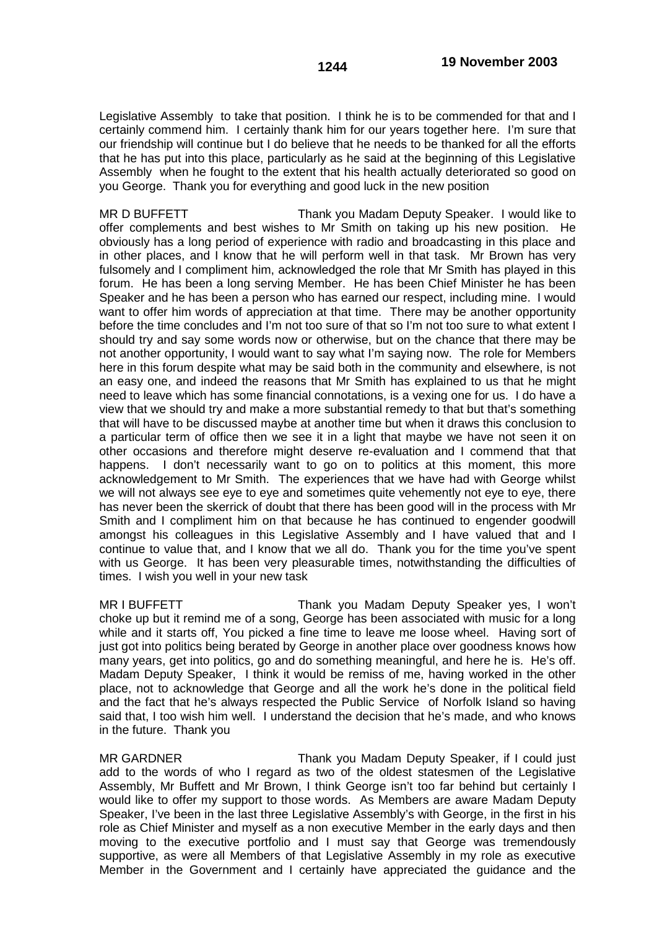Legislative Assembly to take that position. I think he is to be commended for that and I certainly commend him. I certainly thank him for our years together here. I'm sure that our friendship will continue but I do believe that he needs to be thanked for all the efforts that he has put into this place, particularly as he said at the beginning of this Legislative Assembly when he fought to the extent that his health actually deteriorated so good on you George. Thank you for everything and good luck in the new position

MR D BUFFETT THE THANK you Madam Deputy Speaker. I would like to offer complements and best wishes to Mr Smith on taking up his new position. He obviously has a long period of experience with radio and broadcasting in this place and in other places, and I know that he will perform well in that task. Mr Brown has very fulsomely and I compliment him, acknowledged the role that Mr Smith has played in this forum. He has been a long serving Member. He has been Chief Minister he has been Speaker and he has been a person who has earned our respect, including mine. I would want to offer him words of appreciation at that time. There may be another opportunity before the time concludes and I'm not too sure of that so I'm not too sure to what extent I should try and say some words now or otherwise, but on the chance that there may be not another opportunity, I would want to say what I'm saying now. The role for Members here in this forum despite what may be said both in the community and elsewhere, is not an easy one, and indeed the reasons that Mr Smith has explained to us that he might need to leave which has some financial connotations, is a vexing one for us. I do have a view that we should try and make a more substantial remedy to that but that's something that will have to be discussed maybe at another time but when it draws this conclusion to a particular term of office then we see it in a light that maybe we have not seen it on other occasions and therefore might deserve re-evaluation and I commend that that happens. I don't necessarily want to go on to politics at this moment, this more acknowledgement to Mr Smith. The experiences that we have had with George whilst we will not always see eye to eye and sometimes quite vehemently not eye to eye, there has never been the skerrick of doubt that there has been good will in the process with Mr Smith and I compliment him on that because he has continued to engender goodwill amongst his colleagues in this Legislative Assembly and I have valued that and I continue to value that, and I know that we all do. Thank you for the time you've spent with us George. It has been very pleasurable times, notwithstanding the difficulties of times. I wish you well in your new task

MR I BUFFETT THANK you Madam Deputy Speaker yes, I won't choke up but it remind me of a song, George has been associated with music for a long while and it starts off, You picked a fine time to leave me loose wheel. Having sort of just got into politics being berated by George in another place over goodness knows how many years, get into politics, go and do something meaningful, and here he is. He's off. Madam Deputy Speaker, I think it would be remiss of me, having worked in the other place, not to acknowledge that George and all the work he's done in the political field and the fact that he's always respected the Public Service of Norfolk Island so having said that, I too wish him well. I understand the decision that he's made, and who knows in the future. Thank you

MR GARDNER Thank you Madam Deputy Speaker, if I could just add to the words of who I regard as two of the oldest statesmen of the Legislative Assembly, Mr Buffett and Mr Brown, I think George isn't too far behind but certainly I would like to offer my support to those words. As Members are aware Madam Deputy Speaker, I've been in the last three Legislative Assembly's with George, in the first in his role as Chief Minister and myself as a non executive Member in the early days and then moving to the executive portfolio and I must say that George was tremendously supportive, as were all Members of that Legislative Assembly in my role as executive Member in the Government and I certainly have appreciated the guidance and the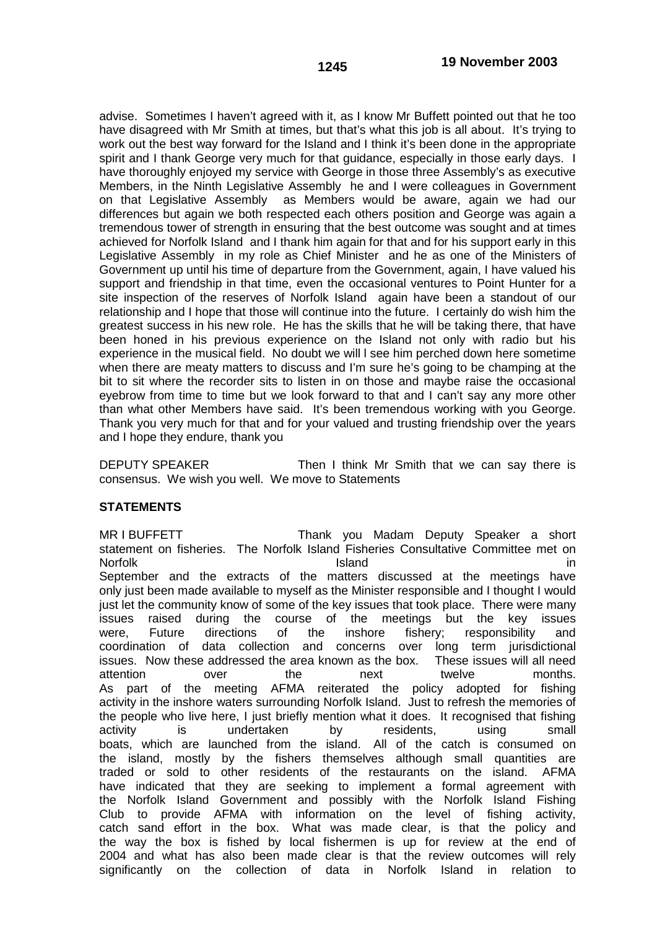advise. Sometimes I haven't agreed with it, as I know Mr Buffett pointed out that he too have disagreed with Mr Smith at times, but that's what this job is all about. It's trying to work out the best way forward for the Island and I think it's been done in the appropriate spirit and I thank George very much for that guidance, especially in those early days. I have thoroughly enjoyed my service with George in those three Assembly's as executive Members, in the Ninth Legislative Assembly he and I were colleagues in Government on that Legislative Assembly as Members would be aware, again we had our differences but again we both respected each others position and George was again a tremendous tower of strength in ensuring that the best outcome was sought and at times achieved for Norfolk Island and I thank him again for that and for his support early in this Legislative Assembly in my role as Chief Minister and he as one of the Ministers of Government up until his time of departure from the Government, again, I have valued his support and friendship in that time, even the occasional ventures to Point Hunter for a site inspection of the reserves of Norfolk Island again have been a standout of our relationship and I hope that those will continue into the future. I certainly do wish him the greatest success in his new role. He has the skills that he will be taking there, that have been honed in his previous experience on the Island not only with radio but his experience in the musical field. No doubt we will l see him perched down here sometime when there are meaty matters to discuss and I'm sure he's going to be champing at the bit to sit where the recorder sits to listen in on those and maybe raise the occasional eyebrow from time to time but we look forward to that and I can't say any more other than what other Members have said. It's been tremendous working with you George. Thank you very much for that and for your valued and trusting friendship over the years and I hope they endure, thank you

DEPUTY SPEAKER Then I think Mr Smith that we can say there is consensus. We wish you well. We move to Statements

# **STATEMENTS**

MR I BUFFETT THANK you Madam Deputy Speaker a short statement on fisheries. The Norfolk Island Fisheries Consultative Committee met on<br>Island Island in Norfolk in the second stand in the second stand in the second in the second in the second in  $\mathbf{I}$ September and the extracts of the matters discussed at the meetings have only just been made available to myself as the Minister responsible and I thought I would just let the community know of some of the key issues that took place. There were many issues raised during the course of the meetings but the key issues were, Future directions of the inshore fishery; responsibility and coordination of data collection and concerns over long term jurisdictional issues. Now these addressed the area known as the box. These issues will all need attention over the next twelve months. As part of the meeting AFMA reiterated the policy adopted for fishing activity in the inshore waters surrounding Norfolk Island. Just to refresh the memories of the people who live here, I just briefly mention what it does. It recognised that fishing activity is undertaken by residents, using small boats, which are launched from the island. All of the catch is consumed on the island, mostly by the fishers themselves although small quantities are traded or sold to other residents of the restaurants on the island. AFMA have indicated that they are seeking to implement a formal agreement with the Norfolk Island Government and possibly with the Norfolk Island Fishing Club to provide AFMA with information on the level of fishing activity, catch sand effort in the box. What was made clear, is that the policy and the way the box is fished by local fishermen is up for review at the end of 2004 and what has also been made clear is that the review outcomes will rely significantly on the collection of data in Norfolk Island in relation to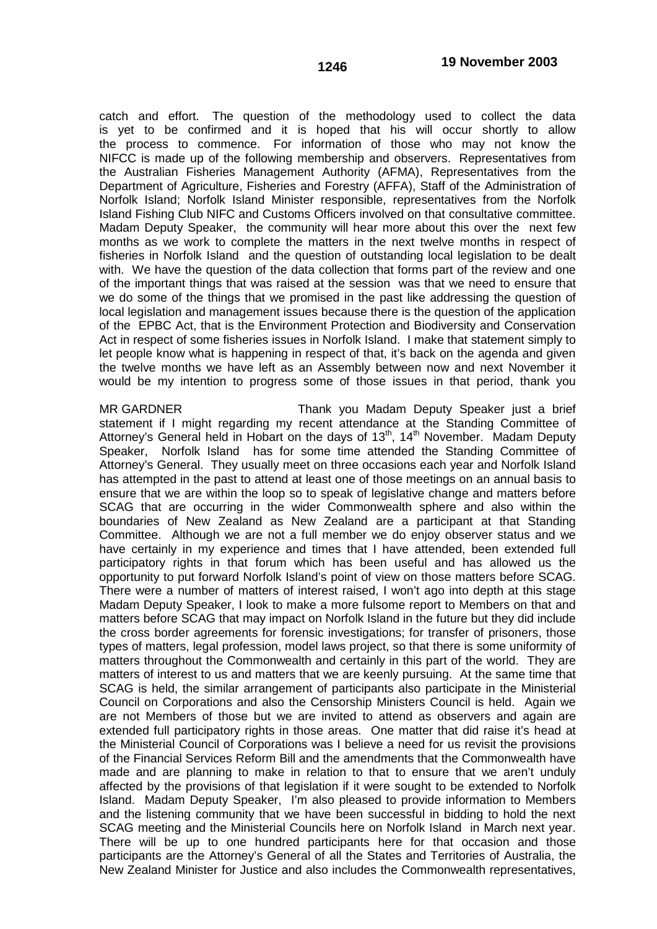catch and effort. The question of the methodology used to collect the data is yet to be confirmed and it is hoped that his will occur shortly to allow the process to commence. For information of those who may not know the NIFCC is made up of the following membership and observers. Representatives from the Australian Fisheries Management Authority (AFMA), Representatives from the Department of Agriculture, Fisheries and Forestry (AFFA), Staff of the Administration of Norfolk Island; Norfolk Island Minister responsible, representatives from the Norfolk Island Fishing Club NIFC and Customs Officers involved on that consultative committee. Madam Deputy Speaker, the community will hear more about this over the next few months as we work to complete the matters in the next twelve months in respect of fisheries in Norfolk Island and the question of outstanding local legislation to be dealt with. We have the question of the data collection that forms part of the review and one of the important things that was raised at the session was that we need to ensure that we do some of the things that we promised in the past like addressing the question of local legislation and management issues because there is the question of the application of the EPBC Act, that is the Environment Protection and Biodiversity and Conservation Act in respect of some fisheries issues in Norfolk Island. I make that statement simply to let people know what is happening in respect of that, it's back on the agenda and given the twelve months we have left as an Assembly between now and next November it would be my intention to progress some of those issues in that period, thank you

MR GARDNER Thank you Madam Deputy Speaker just a brief statement if I might regarding my recent attendance at the Standing Committee of Attorney's General held in Hobart on the days of  $13<sup>th</sup>$ ,  $14<sup>th</sup>$  November. Madam Deputy Speaker, Norfolk Island has for some time attended the Standing Committee of Attorney's General. They usually meet on three occasions each year and Norfolk Island has attempted in the past to attend at least one of those meetings on an annual basis to ensure that we are within the loop so to speak of legislative change and matters before SCAG that are occurring in the wider Commonwealth sphere and also within the boundaries of New Zealand as New Zealand are a participant at that Standing Committee. Although we are not a full member we do enjoy observer status and we have certainly in my experience and times that I have attended, been extended full participatory rights in that forum which has been useful and has allowed us the opportunity to put forward Norfolk Island's point of view on those matters before SCAG. There were a number of matters of interest raised, I won't ago into depth at this stage Madam Deputy Speaker, I look to make a more fulsome report to Members on that and matters before SCAG that may impact on Norfolk Island in the future but they did include the cross border agreements for forensic investigations; for transfer of prisoners, those types of matters, legal profession, model laws project, so that there is some uniformity of matters throughout the Commonwealth and certainly in this part of the world. They are matters of interest to us and matters that we are keenly pursuing. At the same time that SCAG is held, the similar arrangement of participants also participate in the Ministerial Council on Corporations and also the Censorship Ministers Council is held. Again we are not Members of those but we are invited to attend as observers and again are extended full participatory rights in those areas. One matter that did raise it's head at the Ministerial Council of Corporations was I believe a need for us revisit the provisions of the Financial Services Reform Bill and the amendments that the Commonwealth have made and are planning to make in relation to that to ensure that we aren't unduly affected by the provisions of that legislation if it were sought to be extended to Norfolk Island. Madam Deputy Speaker, I'm also pleased to provide information to Members and the listening community that we have been successful in bidding to hold the next SCAG meeting and the Ministerial Councils here on Norfolk Island in March next year. There will be up to one hundred participants here for that occasion and those participants are the Attorney's General of all the States and Territories of Australia, the New Zealand Minister for Justice and also includes the Commonwealth representatives,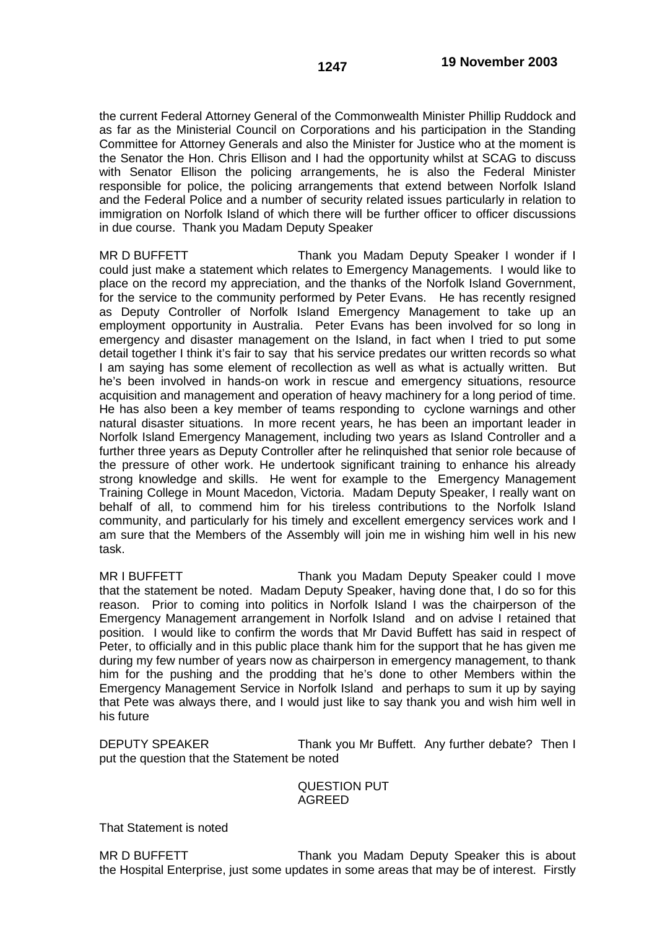the current Federal Attorney General of the Commonwealth Minister Phillip Ruddock and as far as the Ministerial Council on Corporations and his participation in the Standing Committee for Attorney Generals and also the Minister for Justice who at the moment is the Senator the Hon. Chris Ellison and I had the opportunity whilst at SCAG to discuss with Senator Ellison the policing arrangements, he is also the Federal Minister responsible for police, the policing arrangements that extend between Norfolk Island and the Federal Police and a number of security related issues particularly in relation to immigration on Norfolk Island of which there will be further officer to officer discussions in due course. Thank you Madam Deputy Speaker

MR D BUFFETT THE THANK YOU Madam Deputy Speaker I wonder if I could just make a statement which relates to Emergency Managements. I would like to place on the record my appreciation, and the thanks of the Norfolk Island Government, for the service to the community performed by Peter Evans. He has recently resigned as Deputy Controller of Norfolk Island Emergency Management to take up an employment opportunity in Australia. Peter Evans has been involved for so long in emergency and disaster management on the Island, in fact when I tried to put some detail together I think it's fair to say that his service predates our written records so what I am saying has some element of recollection as well as what is actually written. But he's been involved in hands-on work in rescue and emergency situations, resource acquisition and management and operation of heavy machinery for a long period of time. He has also been a key member of teams responding to cyclone warnings and other natural disaster situations. In more recent years, he has been an important leader in Norfolk Island Emergency Management, including two years as Island Controller and a further three years as Deputy Controller after he relinquished that senior role because of the pressure of other work. He undertook significant training to enhance his already strong knowledge and skills. He went for example to the Emergency Management Training College in Mount Macedon, Victoria. Madam Deputy Speaker, I really want on behalf of all, to commend him for his tireless contributions to the Norfolk Island community, and particularly for his timely and excellent emergency services work and I am sure that the Members of the Assembly will join me in wishing him well in his new task.

MR I BUFFETT THE THANK you Madam Deputy Speaker could I move that the statement be noted. Madam Deputy Speaker, having done that, I do so for this reason. Prior to coming into politics in Norfolk Island I was the chairperson of the Emergency Management arrangement in Norfolk Island and on advise I retained that position. I would like to confirm the words that Mr David Buffett has said in respect of Peter, to officially and in this public place thank him for the support that he has given me during my few number of years now as chairperson in emergency management, to thank him for the pushing and the prodding that he's done to other Members within the Emergency Management Service in Norfolk Island and perhaps to sum it up by saying that Pete was always there, and I would just like to say thank you and wish him well in his future

DEPUTY SPEAKER Thank you Mr Buffett. Any further debate? Then I put the question that the Statement be noted

## QUESTION PUT AGREED

That Statement is noted

MR D BUFFETT THE THANK you Madam Deputy Speaker this is about the Hospital Enterprise, just some updates in some areas that may be of interest. Firstly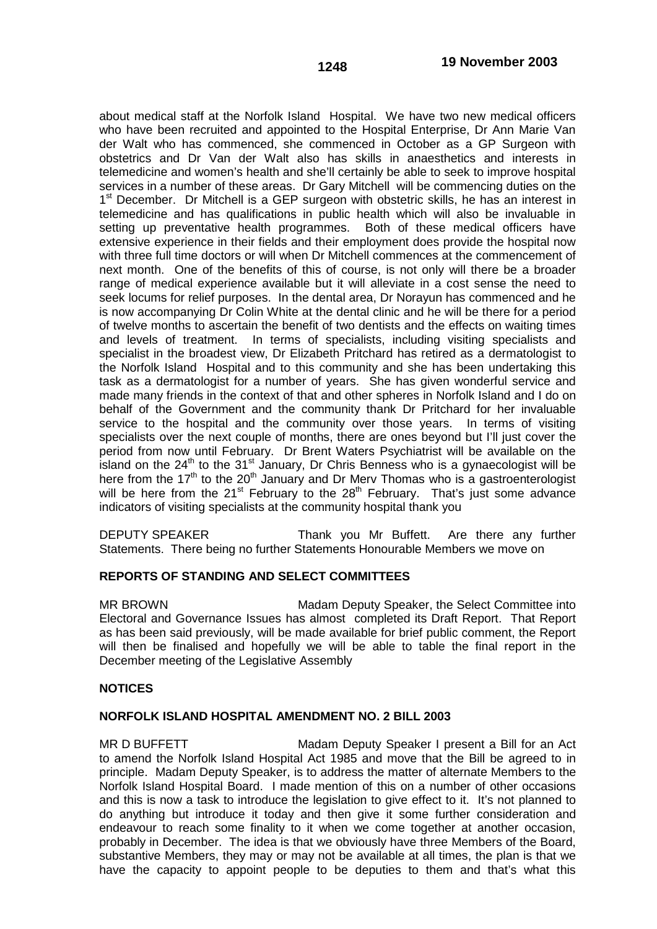about medical staff at the Norfolk Island Hospital. We have two new medical officers who have been recruited and appointed to the Hospital Enterprise, Dr Ann Marie Van der Walt who has commenced, she commenced in October as a GP Surgeon with obstetrics and Dr Van der Walt also has skills in anaesthetics and interests in telemedicine and women's health and she'll certainly be able to seek to improve hospital services in a number of these areas. Dr Gary Mitchell will be commencing duties on the 1<sup>st</sup> December. Dr Mitchell is a GEP surgeon with obstetric skills, he has an interest in telemedicine and has qualifications in public health which will also be invaluable in setting up preventative health programmes. Both of these medical officers have extensive experience in their fields and their employment does provide the hospital now with three full time doctors or will when Dr Mitchell commences at the commencement of next month. One of the benefits of this of course, is not only will there be a broader range of medical experience available but it will alleviate in a cost sense the need to seek locums for relief purposes. In the dental area, Dr Norayun has commenced and he is now accompanying Dr Colin White at the dental clinic and he will be there for a period of twelve months to ascertain the benefit of two dentists and the effects on waiting times and levels of treatment. In terms of specialists, including visiting specialists and specialist in the broadest view, Dr Elizabeth Pritchard has retired as a dermatologist to the Norfolk Island Hospital and to this community and she has been undertaking this task as a dermatologist for a number of years. She has given wonderful service and made many friends in the context of that and other spheres in Norfolk Island and I do on behalf of the Government and the community thank Dr Pritchard for her invaluable service to the hospital and the community over those years. In terms of visiting specialists over the next couple of months, there are ones beyond but I'll just cover the period from now until February. Dr Brent Waters Psychiatrist will be available on the island on the  $24<sup>th</sup>$  to the  $31<sup>st</sup>$  January, Dr Chris Benness who is a gynaecologist will be here from the 17<sup>th</sup> to the 20<sup>th</sup> January and Dr Mery Thomas who is a gastroenterologist will be here from the 21<sup>st</sup> February to the 28<sup>th</sup> February. That's just some advance indicators of visiting specialists at the community hospital thank you

DEPUTY SPEAKER Thank you Mr Buffett. Are there any further Statements. There being no further Statements Honourable Members we move on

### **REPORTS OF STANDING AND SELECT COMMITTEES**

MR BROWN Madam Deputy Speaker, the Select Committee into Electoral and Governance Issues has almost completed its Draft Report. That Report as has been said previously, will be made available for brief public comment, the Report will then be finalised and hopefully we will be able to table the final report in the December meeting of the Legislative Assembly

### **NOTICES**

### **NORFOLK ISLAND HOSPITAL AMENDMENT NO. 2 BILL 2003**

MR D BUFFETT Madam Deputy Speaker I present a Bill for an Act to amend the Norfolk Island Hospital Act 1985 and move that the Bill be agreed to in principle. Madam Deputy Speaker, is to address the matter of alternate Members to the Norfolk Island Hospital Board. I made mention of this on a number of other occasions and this is now a task to introduce the legislation to give effect to it. It's not planned to do anything but introduce it today and then give it some further consideration and endeavour to reach some finality to it when we come together at another occasion, probably in December. The idea is that we obviously have three Members of the Board, substantive Members, they may or may not be available at all times, the plan is that we have the capacity to appoint people to be deputies to them and that's what this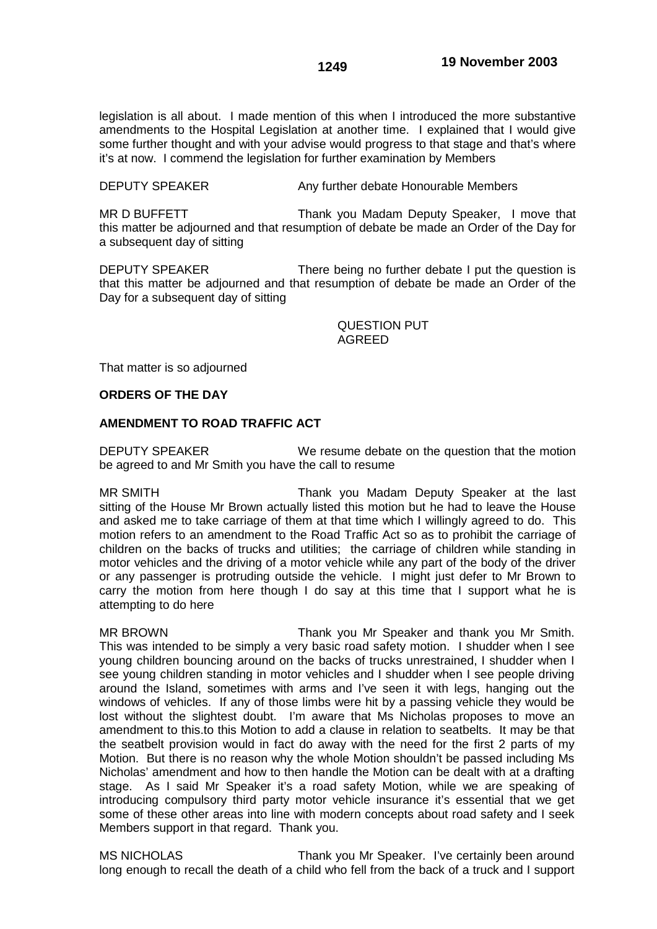legislation is all about. I made mention of this when I introduced the more substantive amendments to the Hospital Legislation at another time. I explained that I would give some further thought and with your advise would progress to that stage and that's where it's at now. I commend the legislation for further examination by Members

DEPUTY SPEAKER Any further debate Honourable Members

MR D BUFFETT THE THANK you Madam Deputy Speaker, I move that this matter be adjourned and that resumption of debate be made an Order of the Day for a subsequent day of sitting

DEPUTY SPEAKER There being no further debate I put the question is that this matter be adjourned and that resumption of debate be made an Order of the Day for a subsequent day of sitting

## QUESTION PUT AGREED

That matter is so adjourned

# **ORDERS OF THE DAY**

## **AMENDMENT TO ROAD TRAFFIC ACT**

DEPUTY SPEAKER We resume debate on the question that the motion be agreed to and Mr Smith you have the call to resume

MR SMITH Thank you Madam Deputy Speaker at the last sitting of the House Mr Brown actually listed this motion but he had to leave the House and asked me to take carriage of them at that time which I willingly agreed to do. This motion refers to an amendment to the Road Traffic Act so as to prohibit the carriage of children on the backs of trucks and utilities; the carriage of children while standing in motor vehicles and the driving of a motor vehicle while any part of the body of the driver or any passenger is protruding outside the vehicle. I might just defer to Mr Brown to carry the motion from here though I do say at this time that I support what he is attempting to do here

MR BROWN Thank you Mr Speaker and thank you Mr Smith. This was intended to be simply a very basic road safety motion. I shudder when I see young children bouncing around on the backs of trucks unrestrained, I shudder when I see young children standing in motor vehicles and I shudder when I see people driving around the Island, sometimes with arms and I've seen it with legs, hanging out the windows of vehicles. If any of those limbs were hit by a passing vehicle they would be lost without the slightest doubt. I'm aware that Ms Nicholas proposes to move an amendment to this.to this Motion to add a clause in relation to seatbelts. It may be that the seatbelt provision would in fact do away with the need for the first 2 parts of my Motion. But there is no reason why the whole Motion shouldn't be passed including Ms Nicholas' amendment and how to then handle the Motion can be dealt with at a drafting stage. As I said Mr Speaker it's a road safety Motion, while we are speaking of introducing compulsory third party motor vehicle insurance it's essential that we get some of these other areas into line with modern concepts about road safety and I seek Members support in that regard. Thank you.

MS NICHOLAS Thank you Mr Speaker. I've certainly been around long enough to recall the death of a child who fell from the back of a truck and I support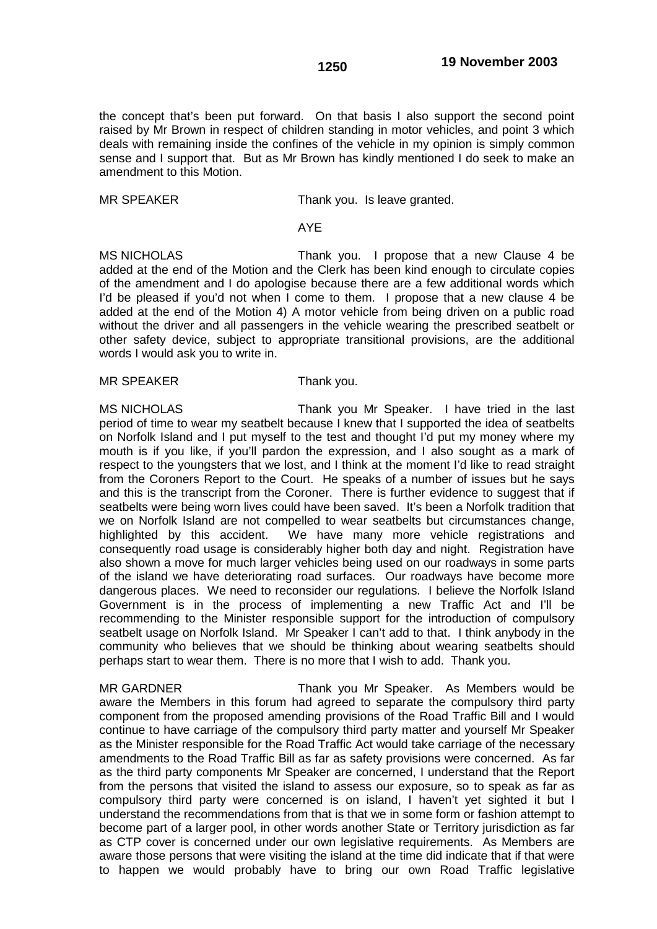the concept that's been put forward. On that basis I also support the second point raised by Mr Brown in respect of children standing in motor vehicles, and point 3 which deals with remaining inside the confines of the vehicle in my opinion is simply common sense and I support that. But as Mr Brown has kindly mentioned I do seek to make an amendment to this Motion.

MR SPEAKER Thank you. Is leave granted.

# AYE

MS NICHOLAS Thank you. I propose that a new Clause 4 be added at the end of the Motion and the Clerk has been kind enough to circulate copies of the amendment and I do apologise because there are a few additional words which I'd be pleased if you'd not when I come to them. I propose that a new clause 4 be added at the end of the Motion 4) A motor vehicle from being driven on a public road without the driver and all passengers in the vehicle wearing the prescribed seatbelt or other safety device, subject to appropriate transitional provisions, are the additional words I would ask you to write in.

MR SPEAKER Thank you.

MS NICHOLAS Thank you Mr Speaker. I have tried in the last period of time to wear my seatbelt because I knew that I supported the idea of seatbelts on Norfolk Island and I put myself to the test and thought I'd put my money where my mouth is if you like, if you'll pardon the expression, and I also sought as a mark of respect to the youngsters that we lost, and I think at the moment I'd like to read straight from the Coroners Report to the Court. He speaks of a number of issues but he says and this is the transcript from the Coroner. There is further evidence to suggest that if seatbelts were being worn lives could have been saved. It's been a Norfolk tradition that we on Norfolk Island are not compelled to wear seatbelts but circumstances change, highlighted by this accident. We have many more vehicle registrations and consequently road usage is considerably higher both day and night. Registration have also shown a move for much larger vehicles being used on our roadways in some parts of the island we have deteriorating road surfaces. Our roadways have become more dangerous places. We need to reconsider our regulations. I believe the Norfolk Island Government is in the process of implementing a new Traffic Act and I'll be recommending to the Minister responsible support for the introduction of compulsory seatbelt usage on Norfolk Island. Mr Speaker I can't add to that. I think anybody in the community who believes that we should be thinking about wearing seatbelts should perhaps start to wear them. There is no more that I wish to add. Thank you.

MR GARDNER Thank you Mr Speaker. As Members would be aware the Members in this forum had agreed to separate the compulsory third party component from the proposed amending provisions of the Road Traffic Bill and I would continue to have carriage of the compulsory third party matter and yourself Mr Speaker as the Minister responsible for the Road Traffic Act would take carriage of the necessary amendments to the Road Traffic Bill as far as safety provisions were concerned. As far as the third party components Mr Speaker are concerned, I understand that the Report from the persons that visited the island to assess our exposure, so to speak as far as compulsory third party were concerned is on island, I haven't yet sighted it but I understand the recommendations from that is that we in some form or fashion attempt to become part of a larger pool, in other words another State or Territory jurisdiction as far as CTP cover is concerned under our own legislative requirements. As Members are aware those persons that were visiting the island at the time did indicate that if that were to happen we would probably have to bring our own Road Traffic legislative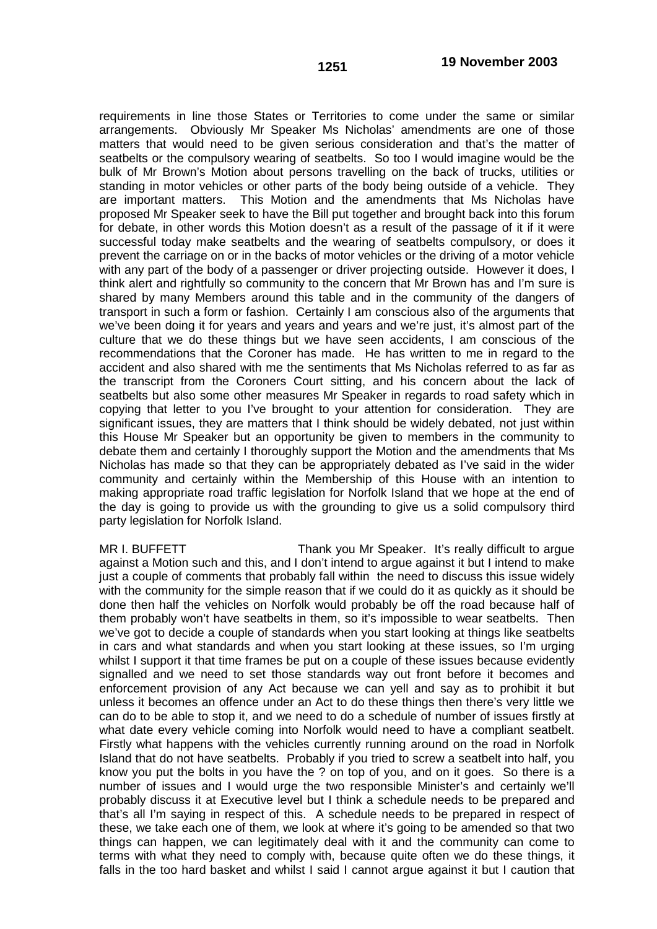requirements in line those States or Territories to come under the same or similar arrangements. Obviously Mr Speaker Ms Nicholas' amendments are one of those matters that would need to be given serious consideration and that's the matter of seatbelts or the compulsory wearing of seatbelts. So too I would imagine would be the bulk of Mr Brown's Motion about persons travelling on the back of trucks, utilities or standing in motor vehicles or other parts of the body being outside of a vehicle. They are important matters. This Motion and the amendments that Ms Nicholas have proposed Mr Speaker seek to have the Bill put together and brought back into this forum for debate, in other words this Motion doesn't as a result of the passage of it if it were successful today make seatbelts and the wearing of seatbelts compulsory, or does it prevent the carriage on or in the backs of motor vehicles or the driving of a motor vehicle with any part of the body of a passenger or driver projecting outside. However it does, I think alert and rightfully so community to the concern that Mr Brown has and I'm sure is shared by many Members around this table and in the community of the dangers of transport in such a form or fashion. Certainly I am conscious also of the arguments that we've been doing it for years and years and years and we're just, it's almost part of the culture that we do these things but we have seen accidents, I am conscious of the recommendations that the Coroner has made. He has written to me in regard to the accident and also shared with me the sentiments that Ms Nicholas referred to as far as the transcript from the Coroners Court sitting, and his concern about the lack of seatbelts but also some other measures Mr Speaker in regards to road safety which in copying that letter to you I've brought to your attention for consideration. They are significant issues, they are matters that I think should be widely debated, not just within this House Mr Speaker but an opportunity be given to members in the community to debate them and certainly I thoroughly support the Motion and the amendments that Ms Nicholas has made so that they can be appropriately debated as I've said in the wider community and certainly within the Membership of this House with an intention to making appropriate road traffic legislation for Norfolk Island that we hope at the end of the day is going to provide us with the grounding to give us a solid compulsory third party legislation for Norfolk Island.

MR I. BUFFETT THE THANK you Mr Speaker. It's really difficult to argue against a Motion such and this, and I don't intend to argue against it but I intend to make just a couple of comments that probably fall within the need to discuss this issue widely with the community for the simple reason that if we could do it as quickly as it should be done then half the vehicles on Norfolk would probably be off the road because half of them probably won't have seatbelts in them, so it's impossible to wear seatbelts. Then we've got to decide a couple of standards when you start looking at things like seatbelts in cars and what standards and when you start looking at these issues, so I'm urging whilst I support it that time frames be put on a couple of these issues because evidently signalled and we need to set those standards way out front before it becomes and enforcement provision of any Act because we can yell and say as to prohibit it but unless it becomes an offence under an Act to do these things then there's very little we can do to be able to stop it, and we need to do a schedule of number of issues firstly at what date every vehicle coming into Norfolk would need to have a compliant seatbelt. Firstly what happens with the vehicles currently running around on the road in Norfolk Island that do not have seatbelts. Probably if you tried to screw a seatbelt into half, you know you put the bolts in you have the ? on top of you, and on it goes. So there is a number of issues and I would urge the two responsible Minister's and certainly we'll probably discuss it at Executive level but I think a schedule needs to be prepared and that's all I'm saying in respect of this. A schedule needs to be prepared in respect of these, we take each one of them, we look at where it's going to be amended so that two things can happen, we can legitimately deal with it and the community can come to terms with what they need to comply with, because quite often we do these things, it falls in the too hard basket and whilst I said I cannot argue against it but I caution that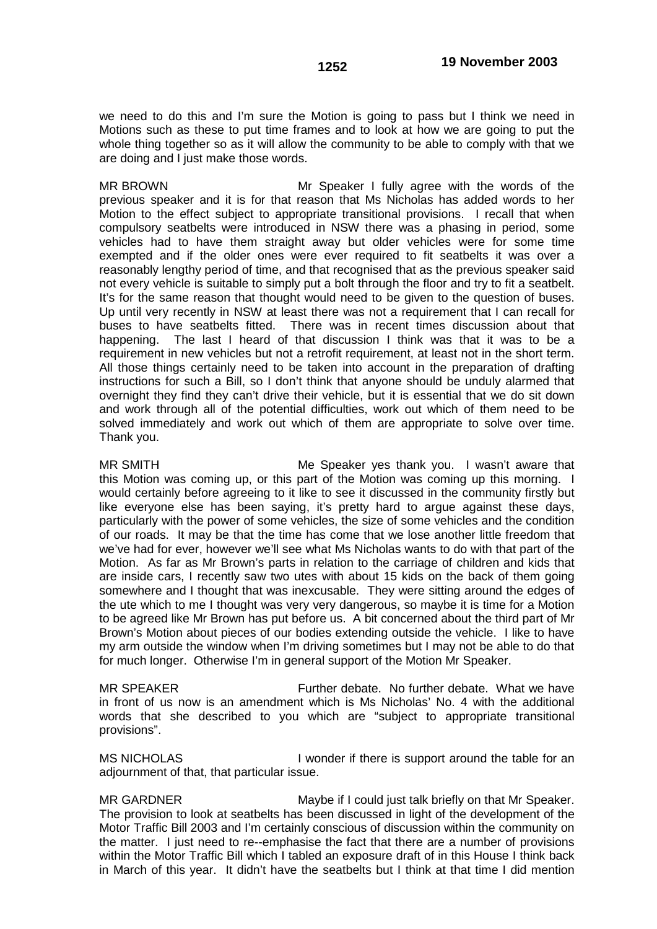we need to do this and I'm sure the Motion is going to pass but I think we need in Motions such as these to put time frames and to look at how we are going to put the whole thing together so as it will allow the community to be able to comply with that we are doing and I just make those words.

MR BROWN Mr Speaker I fully agree with the words of the previous speaker and it is for that reason that Ms Nicholas has added words to her Motion to the effect subject to appropriate transitional provisions. I recall that when compulsory seatbelts were introduced in NSW there was a phasing in period, some vehicles had to have them straight away but older vehicles were for some time exempted and if the older ones were ever required to fit seatbelts it was over a reasonably lengthy period of time, and that recognised that as the previous speaker said not every vehicle is suitable to simply put a bolt through the floor and try to fit a seatbelt. It's for the same reason that thought would need to be given to the question of buses. Up until very recently in NSW at least there was not a requirement that I can recall for buses to have seatbelts fitted. There was in recent times discussion about that happening. The last I heard of that discussion I think was that it was to be a requirement in new vehicles but not a retrofit requirement, at least not in the short term. All those things certainly need to be taken into account in the preparation of drafting instructions for such a Bill, so I don't think that anyone should be unduly alarmed that overnight they find they can't drive their vehicle, but it is essential that we do sit down and work through all of the potential difficulties, work out which of them need to be solved immediately and work out which of them are appropriate to solve over time. Thank you.

MR SMITH Me Speaker yes thank you. I wasn't aware that this Motion was coming up, or this part of the Motion was coming up this morning. I would certainly before agreeing to it like to see it discussed in the community firstly but like everyone else has been saying, it's pretty hard to argue against these days, particularly with the power of some vehicles, the size of some vehicles and the condition of our roads. It may be that the time has come that we lose another little freedom that we've had for ever, however we'll see what Ms Nicholas wants to do with that part of the Motion. As far as Mr Brown's parts in relation to the carriage of children and kids that are inside cars, I recently saw two utes with about 15 kids on the back of them going somewhere and I thought that was inexcusable. They were sitting around the edges of the ute which to me I thought was very very dangerous, so maybe it is time for a Motion to be agreed like Mr Brown has put before us. A bit concerned about the third part of Mr Brown's Motion about pieces of our bodies extending outside the vehicle. I like to have my arm outside the window when I'm driving sometimes but I may not be able to do that for much longer. Otherwise I'm in general support of the Motion Mr Speaker.

MR SPEAKER Further debate. No further debate. What we have in front of us now is an amendment which is Ms Nicholas' No. 4 with the additional words that she described to you which are "subject to appropriate transitional provisions".

MS NICHOLAS I wonder if there is support around the table for an adjournment of that, that particular issue.

MR GARDNER Maybe if I could just talk briefly on that Mr Speaker. The provision to look at seatbelts has been discussed in light of the development of the Motor Traffic Bill 2003 and I'm certainly conscious of discussion within the community on the matter. I just need to re--emphasise the fact that there are a number of provisions within the Motor Traffic Bill which I tabled an exposure draft of in this House I think back in March of this year. It didn't have the seatbelts but I think at that time I did mention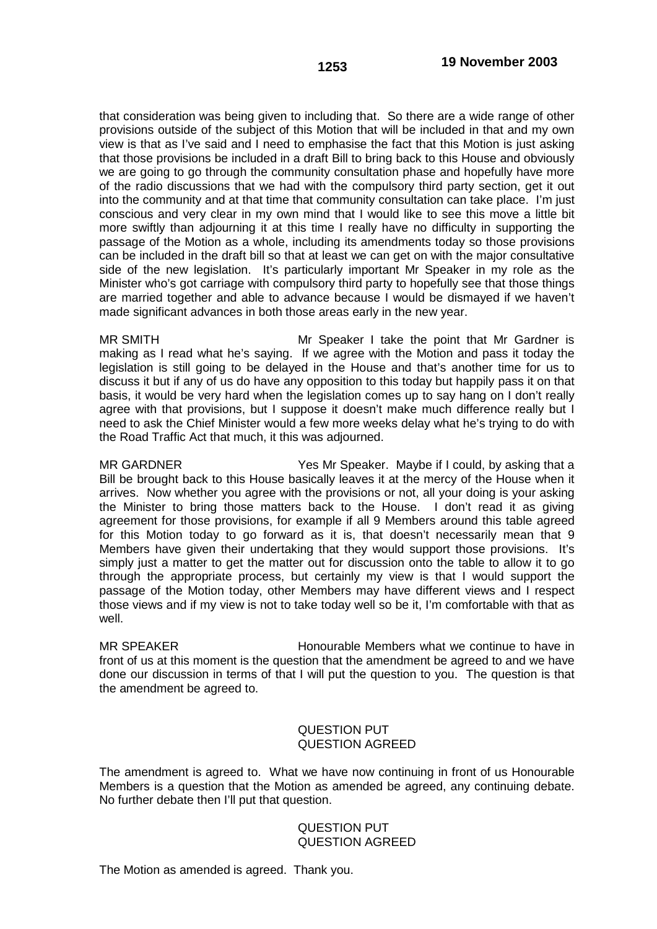that consideration was being given to including that. So there are a wide range of other provisions outside of the subject of this Motion that will be included in that and my own view is that as I've said and I need to emphasise the fact that this Motion is just asking that those provisions be included in a draft Bill to bring back to this House and obviously we are going to go through the community consultation phase and hopefully have more of the radio discussions that we had with the compulsory third party section, get it out into the community and at that time that community consultation can take place. I'm just conscious and very clear in my own mind that I would like to see this move a little bit more swiftly than adjourning it at this time I really have no difficulty in supporting the passage of the Motion as a whole, including its amendments today so those provisions can be included in the draft bill so that at least we can get on with the major consultative side of the new legislation. It's particularly important Mr Speaker in my role as the Minister who's got carriage with compulsory third party to hopefully see that those things are married together and able to advance because I would be dismayed if we haven't made significant advances in both those areas early in the new year.

MR SMITH Mr Speaker I take the point that Mr Gardner is making as I read what he's saying. If we agree with the Motion and pass it today the legislation is still going to be delayed in the House and that's another time for us to discuss it but if any of us do have any opposition to this today but happily pass it on that basis, it would be very hard when the legislation comes up to say hang on I don't really agree with that provisions, but I suppose it doesn't make much difference really but I need to ask the Chief Minister would a few more weeks delay what he's trying to do with the Road Traffic Act that much, it this was adjourned.

MR GARDNER Yes Mr Speaker. Maybe if I could, by asking that a Bill be brought back to this House basically leaves it at the mercy of the House when it arrives. Now whether you agree with the provisions or not, all your doing is your asking the Minister to bring those matters back to the House. I don't read it as giving agreement for those provisions, for example if all 9 Members around this table agreed for this Motion today to go forward as it is, that doesn't necessarily mean that 9 Members have given their undertaking that they would support those provisions. It's simply just a matter to get the matter out for discussion onto the table to allow it to go through the appropriate process, but certainly my view is that I would support the passage of the Motion today, other Members may have different views and I respect those views and if my view is not to take today well so be it, I'm comfortable with that as well.

MR SPEAKER **Honourable Members what we continue to have in** front of us at this moment is the question that the amendment be agreed to and we have done our discussion in terms of that I will put the question to you. The question is that the amendment be agreed to.

## QUESTION PUT QUESTION AGREED

The amendment is agreed to. What we have now continuing in front of us Honourable Members is a question that the Motion as amended be agreed, any continuing debate. No further debate then I'll put that question.

## QUESTION PUT QUESTION AGREED

The Motion as amended is agreed. Thank you.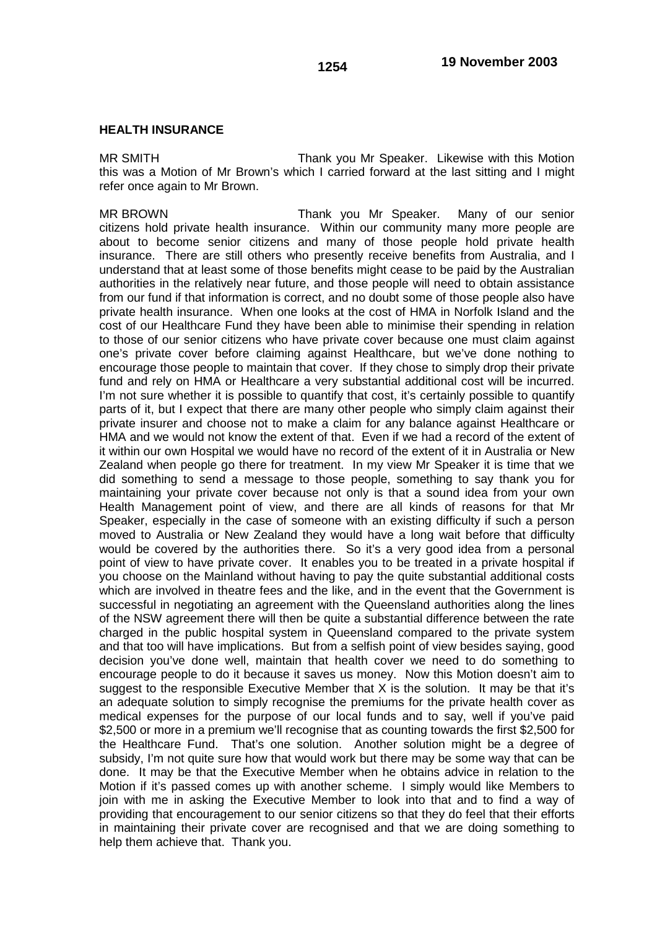MR SMITH Thank you Mr Speaker. Likewise with this Motion this was a Motion of Mr Brown's which I carried forward at the last sitting and I might refer once again to Mr Brown.

MR BROWN Thank you Mr Speaker. Many of our senior citizens hold private health insurance. Within our community many more people are about to become senior citizens and many of those people hold private health insurance. There are still others who presently receive benefits from Australia, and I understand that at least some of those benefits might cease to be paid by the Australian authorities in the relatively near future, and those people will need to obtain assistance from our fund if that information is correct, and no doubt some of those people also have private health insurance. When one looks at the cost of HMA in Norfolk Island and the cost of our Healthcare Fund they have been able to minimise their spending in relation to those of our senior citizens who have private cover because one must claim against one's private cover before claiming against Healthcare, but we've done nothing to encourage those people to maintain that cover. If they chose to simply drop their private fund and rely on HMA or Healthcare a very substantial additional cost will be incurred. I'm not sure whether it is possible to quantify that cost, it's certainly possible to quantify parts of it, but I expect that there are many other people who simply claim against their private insurer and choose not to make a claim for any balance against Healthcare or HMA and we would not know the extent of that. Even if we had a record of the extent of it within our own Hospital we would have no record of the extent of it in Australia or New Zealand when people go there for treatment. In my view Mr Speaker it is time that we did something to send a message to those people, something to say thank you for maintaining your private cover because not only is that a sound idea from your own Health Management point of view, and there are all kinds of reasons for that Mr Speaker, especially in the case of someone with an existing difficulty if such a person moved to Australia or New Zealand they would have a long wait before that difficulty would be covered by the authorities there. So it's a very good idea from a personal point of view to have private cover. It enables you to be treated in a private hospital if you choose on the Mainland without having to pay the quite substantial additional costs which are involved in theatre fees and the like, and in the event that the Government is successful in negotiating an agreement with the Queensland authorities along the lines of the NSW agreement there will then be quite a substantial difference between the rate charged in the public hospital system in Queensland compared to the private system and that too will have implications. But from a selfish point of view besides saying, good decision you've done well, maintain that health cover we need to do something to encourage people to do it because it saves us money. Now this Motion doesn't aim to suggest to the responsible Executive Member that X is the solution. It may be that it's an adequate solution to simply recognise the premiums for the private health cover as medical expenses for the purpose of our local funds and to say, well if you've paid \$2,500 or more in a premium we'll recognise that as counting towards the first \$2,500 for the Healthcare Fund. That's one solution. Another solution might be a degree of subsidy, I'm not quite sure how that would work but there may be some way that can be done. It may be that the Executive Member when he obtains advice in relation to the Motion if it's passed comes up with another scheme. I simply would like Members to join with me in asking the Executive Member to look into that and to find a way of providing that encouragement to our senior citizens so that they do feel that their efforts in maintaining their private cover are recognised and that we are doing something to help them achieve that. Thank you.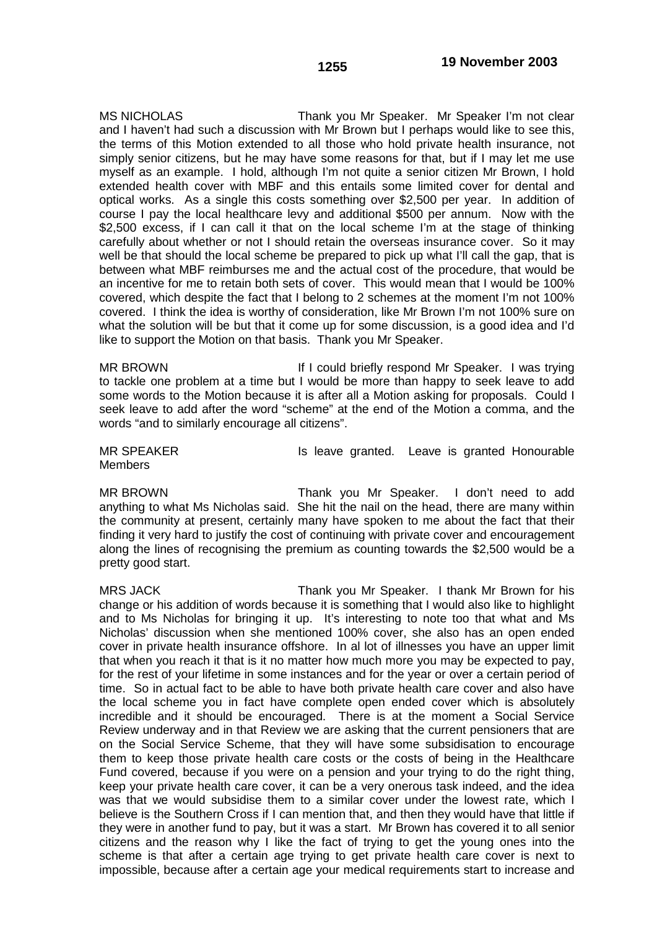MS NICHOLAS Thank you Mr Speaker. Mr Speaker I'm not clear and I haven't had such a discussion with Mr Brown but I perhaps would like to see this, the terms of this Motion extended to all those who hold private health insurance, not simply senior citizens, but he may have some reasons for that, but if I may let me use myself as an example. I hold, although I'm not quite a senior citizen Mr Brown, I hold extended health cover with MBF and this entails some limited cover for dental and optical works. As a single this costs something over \$2,500 per year. In addition of course I pay the local healthcare levy and additional \$500 per annum. Now with the \$2,500 excess, if I can call it that on the local scheme I'm at the stage of thinking carefully about whether or not I should retain the overseas insurance cover. So it may well be that should the local scheme be prepared to pick up what I'll call the gap, that is between what MBF reimburses me and the actual cost of the procedure, that would be an incentive for me to retain both sets of cover. This would mean that I would be 100% covered, which despite the fact that I belong to 2 schemes at the moment I'm not 100% covered. I think the idea is worthy of consideration, like Mr Brown I'm not 100% sure on what the solution will be but that it come up for some discussion, is a good idea and I'd like to support the Motion on that basis. Thank you Mr Speaker.

MR BROWN **If I could briefly respond Mr Speaker.** I was trying to tackle one problem at a time but I would be more than happy to seek leave to add some words to the Motion because it is after all a Motion asking for proposals. Could I seek leave to add after the word "scheme" at the end of the Motion a comma, and the words "and to similarly encourage all citizens".

Members

MR SPEAKER **Is leave granted.** Leave is granted Honourable

MR BROWN Thank you Mr Speaker. I don't need to add anything to what Ms Nicholas said. She hit the nail on the head, there are many within the community at present, certainly many have spoken to me about the fact that their finding it very hard to justify the cost of continuing with private cover and encouragement along the lines of recognising the premium as counting towards the \$2,500 would be a pretty good start.

MRS JACK Thank you Mr Speaker. I thank Mr Brown for his change or his addition of words because it is something that I would also like to highlight and to Ms Nicholas for bringing it up. It's interesting to note too that what and Ms Nicholas' discussion when she mentioned 100% cover, she also has an open ended cover in private health insurance offshore. In al lot of illnesses you have an upper limit that when you reach it that is it no matter how much more you may be expected to pay, for the rest of your lifetime in some instances and for the year or over a certain period of time. So in actual fact to be able to have both private health care cover and also have the local scheme you in fact have complete open ended cover which is absolutely incredible and it should be encouraged. There is at the moment a Social Service Review underway and in that Review we are asking that the current pensioners that are on the Social Service Scheme, that they will have some subsidisation to encourage them to keep those private health care costs or the costs of being in the Healthcare Fund covered, because if you were on a pension and your trying to do the right thing, keep your private health care cover, it can be a very onerous task indeed, and the idea was that we would subsidise them to a similar cover under the lowest rate, which I believe is the Southern Cross if I can mention that, and then they would have that little if they were in another fund to pay, but it was a start. Mr Brown has covered it to all senior citizens and the reason why I like the fact of trying to get the young ones into the scheme is that after a certain age trying to get private health care cover is next to impossible, because after a certain age your medical requirements start to increase and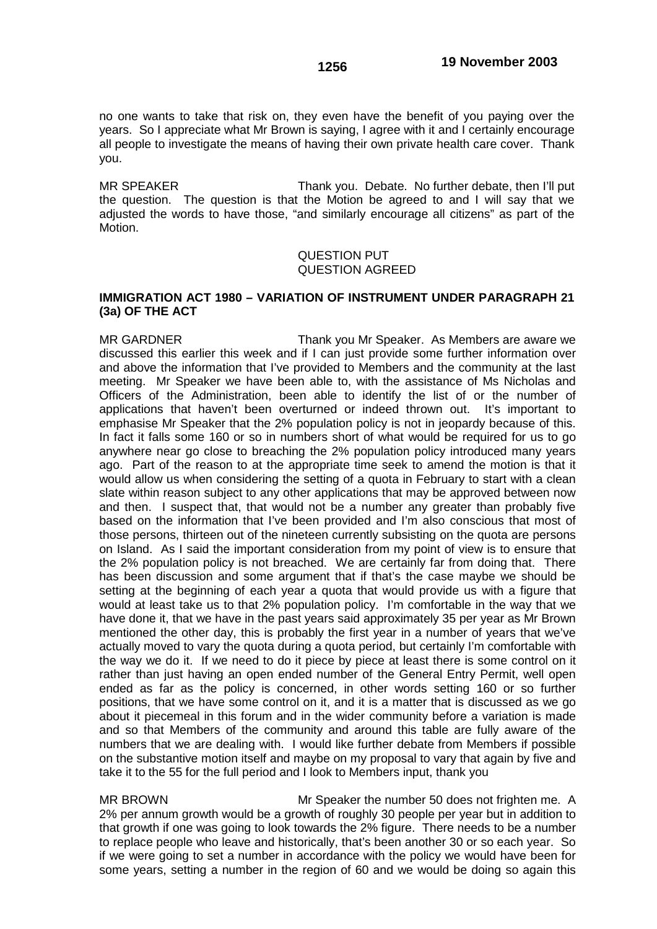no one wants to take that risk on, they even have the benefit of you paying over the years. So I appreciate what Mr Brown is saying, I agree with it and I certainly encourage all people to investigate the means of having their own private health care cover. Thank you.

MR SPEAKER Thank you. Debate. No further debate, then I'll put the question. The question is that the Motion be agreed to and I will say that we adjusted the words to have those, "and similarly encourage all citizens" as part of the Motion.

### QUESTION PUT QUESTION AGREED

## **IMMIGRATION ACT 1980 – VARIATION OF INSTRUMENT UNDER PARAGRAPH 21 (3a) OF THE ACT**

MR GARDNER Thank you Mr Speaker. As Members are aware we discussed this earlier this week and if I can just provide some further information over and above the information that I've provided to Members and the community at the last meeting. Mr Speaker we have been able to, with the assistance of Ms Nicholas and Officers of the Administration, been able to identify the list of or the number of applications that haven't been overturned or indeed thrown out. It's important to emphasise Mr Speaker that the 2% population policy is not in jeopardy because of this. In fact it falls some 160 or so in numbers short of what would be required for us to go anywhere near go close to breaching the 2% population policy introduced many years ago. Part of the reason to at the appropriate time seek to amend the motion is that it would allow us when considering the setting of a quota in February to start with a clean slate within reason subject to any other applications that may be approved between now and then. I suspect that, that would not be a number any greater than probably five based on the information that I've been provided and I'm also conscious that most of those persons, thirteen out of the nineteen currently subsisting on the quota are persons on Island. As I said the important consideration from my point of view is to ensure that the 2% population policy is not breached. We are certainly far from doing that. There has been discussion and some argument that if that's the case maybe we should be setting at the beginning of each year a quota that would provide us with a figure that would at least take us to that 2% population policy. I'm comfortable in the way that we have done it, that we have in the past years said approximately 35 per year as Mr Brown mentioned the other day, this is probably the first year in a number of years that we've actually moved to vary the quota during a quota period, but certainly I'm comfortable with the way we do it. If we need to do it piece by piece at least there is some control on it rather than just having an open ended number of the General Entry Permit, well open ended as far as the policy is concerned, in other words setting 160 or so further positions, that we have some control on it, and it is a matter that is discussed as we go about it piecemeal in this forum and in the wider community before a variation is made and so that Members of the community and around this table are fully aware of the numbers that we are dealing with. I would like further debate from Members if possible on the substantive motion itself and maybe on my proposal to vary that again by five and take it to the 55 for the full period and I look to Members input, thank you

MR BROWN Mr Speaker the number 50 does not frighten me. A 2% per annum growth would be a growth of roughly 30 people per year but in addition to that growth if one was going to look towards the 2% figure. There needs to be a number to replace people who leave and historically, that's been another 30 or so each year. So if we were going to set a number in accordance with the policy we would have been for some years, setting a number in the region of 60 and we would be doing so again this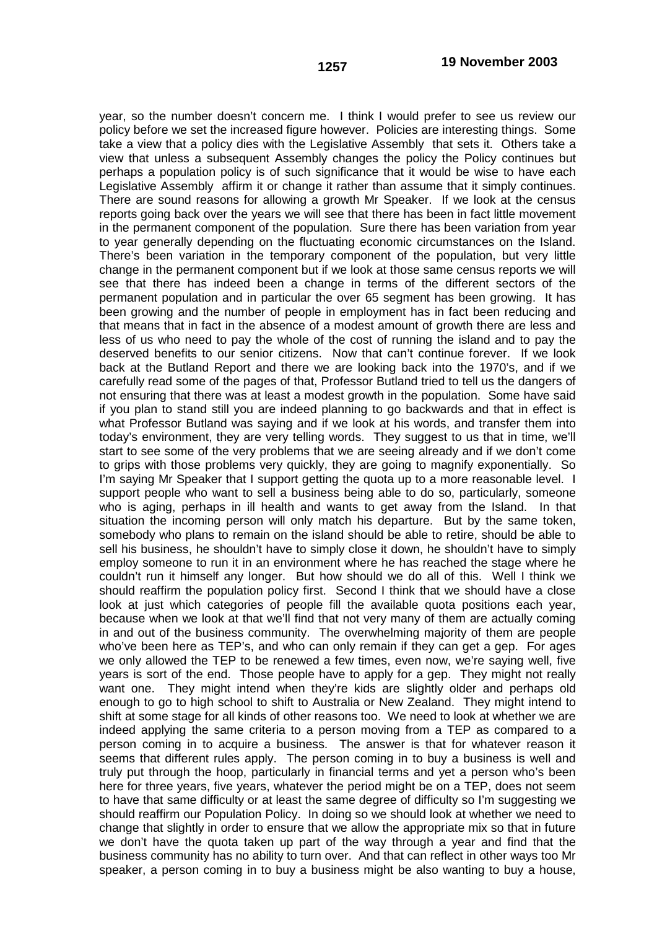year, so the number doesn't concern me. I think I would prefer to see us review our policy before we set the increased figure however. Policies are interesting things. Some take a view that a policy dies with the Legislative Assembly that sets it. Others take a view that unless a subsequent Assembly changes the policy the Policy continues but perhaps a population policy is of such significance that it would be wise to have each Legislative Assembly affirm it or change it rather than assume that it simply continues. There are sound reasons for allowing a growth Mr Speaker. If we look at the census reports going back over the years we will see that there has been in fact little movement in the permanent component of the population. Sure there has been variation from year to year generally depending on the fluctuating economic circumstances on the Island. There's been variation in the temporary component of the population, but very little change in the permanent component but if we look at those same census reports we will see that there has indeed been a change in terms of the different sectors of the permanent population and in particular the over 65 segment has been growing. It has been growing and the number of people in employment has in fact been reducing and that means that in fact in the absence of a modest amount of growth there are less and less of us who need to pay the whole of the cost of running the island and to pay the deserved benefits to our senior citizens. Now that can't continue forever. If we look back at the Butland Report and there we are looking back into the 1970's, and if we carefully read some of the pages of that, Professor Butland tried to tell us the dangers of not ensuring that there was at least a modest growth in the population. Some have said if you plan to stand still you are indeed planning to go backwards and that in effect is what Professor Butland was saying and if we look at his words, and transfer them into today's environment, they are very telling words. They suggest to us that in time, we'll start to see some of the very problems that we are seeing already and if we don't come to grips with those problems very quickly, they are going to magnify exponentially. So I'm saying Mr Speaker that I support getting the quota up to a more reasonable level. I support people who want to sell a business being able to do so, particularly, someone who is aging, perhaps in ill health and wants to get away from the Island. In that situation the incoming person will only match his departure. But by the same token, somebody who plans to remain on the island should be able to retire, should be able to sell his business, he shouldn't have to simply close it down, he shouldn't have to simply employ someone to run it in an environment where he has reached the stage where he couldn't run it himself any longer. But how should we do all of this. Well I think we should reaffirm the population policy first. Second I think that we should have a close look at just which categories of people fill the available quota positions each year, because when we look at that we'll find that not very many of them are actually coming in and out of the business community. The overwhelming majority of them are people who've been here as TEP's, and who can only remain if they can get a gep. For ages we only allowed the TEP to be renewed a few times, even now, we're saying well, five years is sort of the end. Those people have to apply for a gep. They might not really want one. They might intend when they're kids are slightly older and perhaps old enough to go to high school to shift to Australia or New Zealand. They might intend to shift at some stage for all kinds of other reasons too. We need to look at whether we are indeed applying the same criteria to a person moving from a TEP as compared to a person coming in to acquire a business. The answer is that for whatever reason it seems that different rules apply. The person coming in to buy a business is well and truly put through the hoop, particularly in financial terms and yet a person who's been here for three years, five years, whatever the period might be on a TEP, does not seem to have that same difficulty or at least the same degree of difficulty so I'm suggesting we should reaffirm our Population Policy. In doing so we should look at whether we need to change that slightly in order to ensure that we allow the appropriate mix so that in future we don't have the quota taken up part of the way through a year and find that the business community has no ability to turn over. And that can reflect in other ways too Mr speaker, a person coming in to buy a business might be also wanting to buy a house,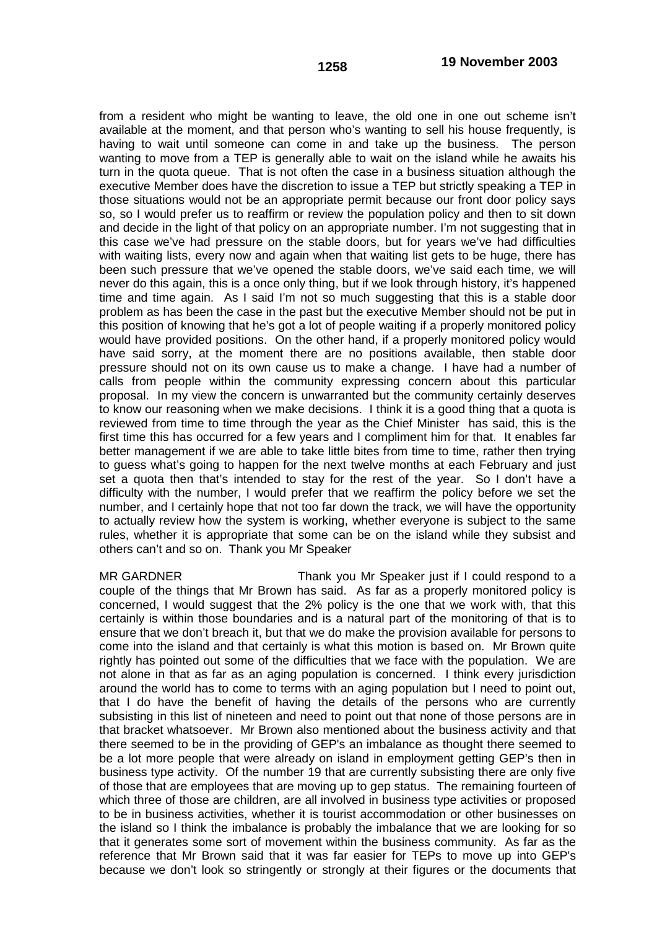from a resident who might be wanting to leave, the old one in one out scheme isn't available at the moment, and that person who's wanting to sell his house frequently, is having to wait until someone can come in and take up the business. The person wanting to move from a TEP is generally able to wait on the island while he awaits his turn in the quota queue. That is not often the case in a business situation although the executive Member does have the discretion to issue a TEP but strictly speaking a TEP in those situations would not be an appropriate permit because our front door policy says so, so I would prefer us to reaffirm or review the population policy and then to sit down and decide in the light of that policy on an appropriate number. I'm not suggesting that in this case we've had pressure on the stable doors, but for years we've had difficulties with waiting lists, every now and again when that waiting list gets to be huge, there has been such pressure that we've opened the stable doors, we've said each time, we will never do this again, this is a once only thing, but if we look through history, it's happened time and time again. As I said I'm not so much suggesting that this is a stable door problem as has been the case in the past but the executive Member should not be put in this position of knowing that he's got a lot of people waiting if a properly monitored policy would have provided positions. On the other hand, if a properly monitored policy would have said sorry, at the moment there are no positions available, then stable door pressure should not on its own cause us to make a change. I have had a number of calls from people within the community expressing concern about this particular proposal. In my view the concern is unwarranted but the community certainly deserves to know our reasoning when we make decisions. I think it is a good thing that a quota is reviewed from time to time through the year as the Chief Minister has said, this is the first time this has occurred for a few years and I compliment him for that. It enables far better management if we are able to take little bites from time to time, rather then trying to guess what's going to happen for the next twelve months at each February and just set a quota then that's intended to stay for the rest of the year. So I don't have a difficulty with the number, I would prefer that we reaffirm the policy before we set the number, and I certainly hope that not too far down the track, we will have the opportunity to actually review how the system is working, whether everyone is subject to the same rules, whether it is appropriate that some can be on the island while they subsist and others can't and so on. Thank you Mr Speaker

MR GARDNER Thank you Mr Speaker just if I could respond to a couple of the things that Mr Brown has said. As far as a properly monitored policy is concerned, I would suggest that the 2% policy is the one that we work with, that this certainly is within those boundaries and is a natural part of the monitoring of that is to ensure that we don't breach it, but that we do make the provision available for persons to come into the island and that certainly is what this motion is based on. Mr Brown quite rightly has pointed out some of the difficulties that we face with the population. We are not alone in that as far as an aging population is concerned. I think every jurisdiction around the world has to come to terms with an aging population but I need to point out, that I do have the benefit of having the details of the persons who are currently subsisting in this list of nineteen and need to point out that none of those persons are in that bracket whatsoever. Mr Brown also mentioned about the business activity and that there seemed to be in the providing of GEP's an imbalance as thought there seemed to be a lot more people that were already on island in employment getting GEP's then in business type activity. Of the number 19 that are currently subsisting there are only five of those that are employees that are moving up to gep status. The remaining fourteen of which three of those are children, are all involved in business type activities or proposed to be in business activities, whether it is tourist accommodation or other businesses on the island so I think the imbalance is probably the imbalance that we are looking for so that it generates some sort of movement within the business community. As far as the reference that Mr Brown said that it was far easier for TEPs to move up into GEP's because we don't look so stringently or strongly at their figures or the documents that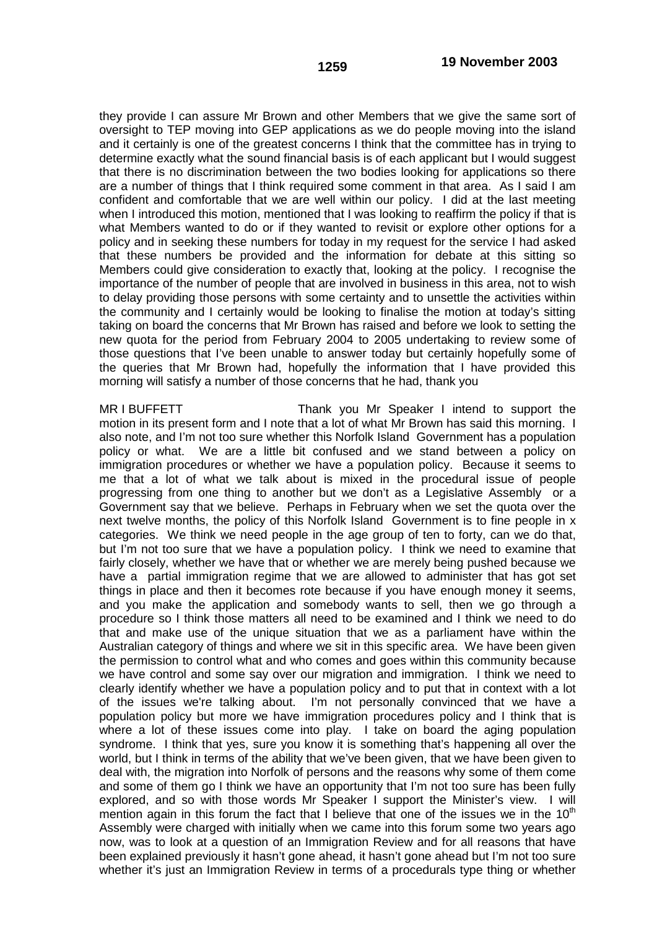they provide I can assure Mr Brown and other Members that we give the same sort of oversight to TEP moving into GEP applications as we do people moving into the island and it certainly is one of the greatest concerns I think that the committee has in trying to determine exactly what the sound financial basis is of each applicant but I would suggest that there is no discrimination between the two bodies looking for applications so there are a number of things that I think required some comment in that area. As I said I am confident and comfortable that we are well within our policy. I did at the last meeting when I introduced this motion, mentioned that I was looking to reaffirm the policy if that is what Members wanted to do or if they wanted to revisit or explore other options for a policy and in seeking these numbers for today in my request for the service I had asked that these numbers be provided and the information for debate at this sitting so Members could give consideration to exactly that, looking at the policy. I recognise the importance of the number of people that are involved in business in this area, not to wish to delay providing those persons with some certainty and to unsettle the activities within the community and I certainly would be looking to finalise the motion at today's sitting taking on board the concerns that Mr Brown has raised and before we look to setting the new quota for the period from February 2004 to 2005 undertaking to review some of those questions that I've been unable to answer today but certainly hopefully some of the queries that Mr Brown had, hopefully the information that I have provided this morning will satisfy a number of those concerns that he had, thank you

MR I BUFFETT THE THANK you Mr Speaker I intend to support the motion in its present form and I note that a lot of what Mr Brown has said this morning. I also note, and I'm not too sure whether this Norfolk Island Government has a population policy or what. We are a little bit confused and we stand between a policy on immigration procedures or whether we have a population policy. Because it seems to me that a lot of what we talk about is mixed in the procedural issue of people progressing from one thing to another but we don't as a Legislative Assembly or a Government say that we believe. Perhaps in February when we set the quota over the next twelve months, the policy of this Norfolk Island Government is to fine people in x categories. We think we need people in the age group of ten to forty, can we do that, but I'm not too sure that we have a population policy. I think we need to examine that fairly closely, whether we have that or whether we are merely being pushed because we have a partial immigration regime that we are allowed to administer that has got set things in place and then it becomes rote because if you have enough money it seems, and you make the application and somebody wants to sell, then we go through a procedure so I think those matters all need to be examined and I think we need to do that and make use of the unique situation that we as a parliament have within the Australian category of things and where we sit in this specific area. We have been given the permission to control what and who comes and goes within this community because we have control and some say over our migration and immigration. I think we need to clearly identify whether we have a population policy and to put that in context with a lot of the issues we're talking about. I'm not personally convinced that we have a population policy but more we have immigration procedures policy and I think that is where a lot of these issues come into play. I take on board the aging population syndrome. I think that yes, sure you know it is something that's happening all over the world, but I think in terms of the ability that we've been given, that we have been given to deal with, the migration into Norfolk of persons and the reasons why some of them come and some of them go I think we have an opportunity that I'm not too sure has been fully explored, and so with those words Mr Speaker I support the Minister's view. I will mention again in this forum the fact that I believe that one of the issues we in the  $10<sup>th</sup>$ Assembly were charged with initially when we came into this forum some two years ago now, was to look at a question of an Immigration Review and for all reasons that have been explained previously it hasn't gone ahead, it hasn't gone ahead but I'm not too sure whether it's just an Immigration Review in terms of a procedurals type thing or whether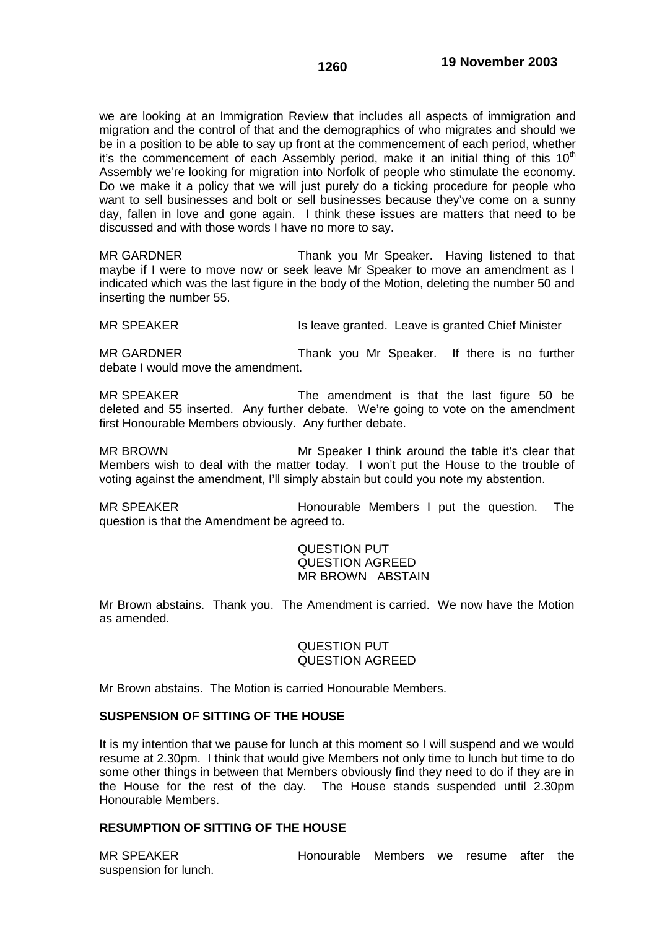we are looking at an Immigration Review that includes all aspects of immigration and migration and the control of that and the demographics of who migrates and should we be in a position to be able to say up front at the commencement of each period, whether it's the commencement of each Assembly period, make it an initial thing of this  $10<sup>th</sup>$ Assembly we're looking for migration into Norfolk of people who stimulate the economy. Do we make it a policy that we will just purely do a ticking procedure for people who want to sell businesses and bolt or sell businesses because they've come on a sunny day, fallen in love and gone again. I think these issues are matters that need to be discussed and with those words I have no more to say.

MR GARDNER Thank you Mr Speaker. Having listened to that maybe if I were to move now or seek leave Mr Speaker to move an amendment as I indicated which was the last figure in the body of the Motion, deleting the number 50 and inserting the number 55.

MR SPEAKER Is leave granted. Leave is granted Chief Minister

MR GARDNER Thank you Mr Speaker. If there is no further debate I would move the amendment.

MR SPEAKER The amendment is that the last figure 50 be deleted and 55 inserted. Any further debate. We're going to vote on the amendment first Honourable Members obviously. Any further debate.

MR BROWN Mr Speaker I think around the table it's clear that Members wish to deal with the matter today. I won't put the House to the trouble of voting against the amendment, I'll simply abstain but could you note my abstention.

MR SPEAKER **Honourable Members I put the question.** The question is that the Amendment be agreed to.

> QUESTION PUT QUESTION AGREED MR BROWN ABSTAIN

Mr Brown abstains. Thank you. The Amendment is carried. We now have the Motion as amended.

> QUESTION PUT QUESTION AGREED

Mr Brown abstains. The Motion is carried Honourable Members.

### **SUSPENSION OF SITTING OF THE HOUSE**

It is my intention that we pause for lunch at this moment so I will suspend and we would resume at 2.30pm. I think that would give Members not only time to lunch but time to do some other things in between that Members obviously find they need to do if they are in the House for the rest of the day. The House stands suspended until 2.30pm Honourable Members.

### **RESUMPTION OF SITTING OF THE HOUSE**

suspension for lunch.

MR SPEAKER **Honourable Members** we resume after the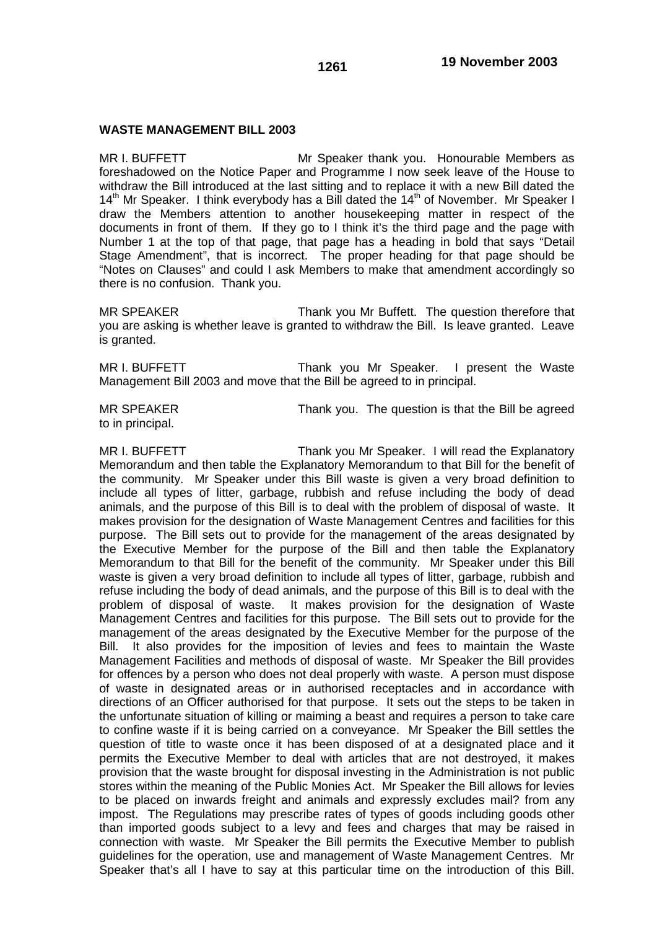### **WASTE MANAGEMENT BILL 2003**

MR I. BUFFETT Mr Speaker thank you. Honourable Members as foreshadowed on the Notice Paper and Programme I now seek leave of the House to withdraw the Bill introduced at the last sitting and to replace it with a new Bill dated the  $14<sup>th</sup>$  Mr Speaker. I think everybody has a Bill dated the  $14<sup>th</sup>$  of November. Mr Speaker I draw the Members attention to another housekeeping matter in respect of the documents in front of them. If they go to I think it's the third page and the page with Number 1 at the top of that page, that page has a heading in bold that says "Detail Stage Amendment", that is incorrect. The proper heading for that page should be "Notes on Clauses" and could I ask Members to make that amendment accordingly so there is no confusion. Thank you.

MR SPEAKER Thank you Mr Buffett. The question therefore that you are asking is whether leave is granted to withdraw the Bill. Is leave granted. Leave is granted.

MR I. BUFFETT THE THANK you Mr Speaker. I present the Waste Management Bill 2003 and move that the Bill be agreed to in principal.

to in principal.

MR SPEAKER Thank you. The question is that the Bill be agreed

MR I. BUFFETT THE THANK you Mr Speaker. I will read the Explanatory Memorandum and then table the Explanatory Memorandum to that Bill for the benefit of the community. Mr Speaker under this Bill waste is given a very broad definition to include all types of litter, garbage, rubbish and refuse including the body of dead animals, and the purpose of this Bill is to deal with the problem of disposal of waste. It makes provision for the designation of Waste Management Centres and facilities for this purpose. The Bill sets out to provide for the management of the areas designated by the Executive Member for the purpose of the Bill and then table the Explanatory Memorandum to that Bill for the benefit of the community. Mr Speaker under this Bill waste is given a very broad definition to include all types of litter, garbage, rubbish and refuse including the body of dead animals, and the purpose of this Bill is to deal with the problem of disposal of waste. It makes provision for the designation of Waste Management Centres and facilities for this purpose. The Bill sets out to provide for the management of the areas designated by the Executive Member for the purpose of the Bill. It also provides for the imposition of levies and fees to maintain the Waste Management Facilities and methods of disposal of waste. Mr Speaker the Bill provides for offences by a person who does not deal properly with waste. A person must dispose of waste in designated areas or in authorised receptacles and in accordance with directions of an Officer authorised for that purpose. It sets out the steps to be taken in the unfortunate situation of killing or maiming a beast and requires a person to take care to confine waste if it is being carried on a conveyance. Mr Speaker the Bill settles the question of title to waste once it has been disposed of at a designated place and it permits the Executive Member to deal with articles that are not destroyed, it makes provision that the waste brought for disposal investing in the Administration is not public stores within the meaning of the Public Monies Act. Mr Speaker the Bill allows for levies to be placed on inwards freight and animals and expressly excludes mail? from any impost. The Regulations may prescribe rates of types of goods including goods other than imported goods subject to a levy and fees and charges that may be raised in connection with waste. Mr Speaker the Bill permits the Executive Member to publish guidelines for the operation, use and management of Waste Management Centres. Mr Speaker that's all I have to say at this particular time on the introduction of this Bill.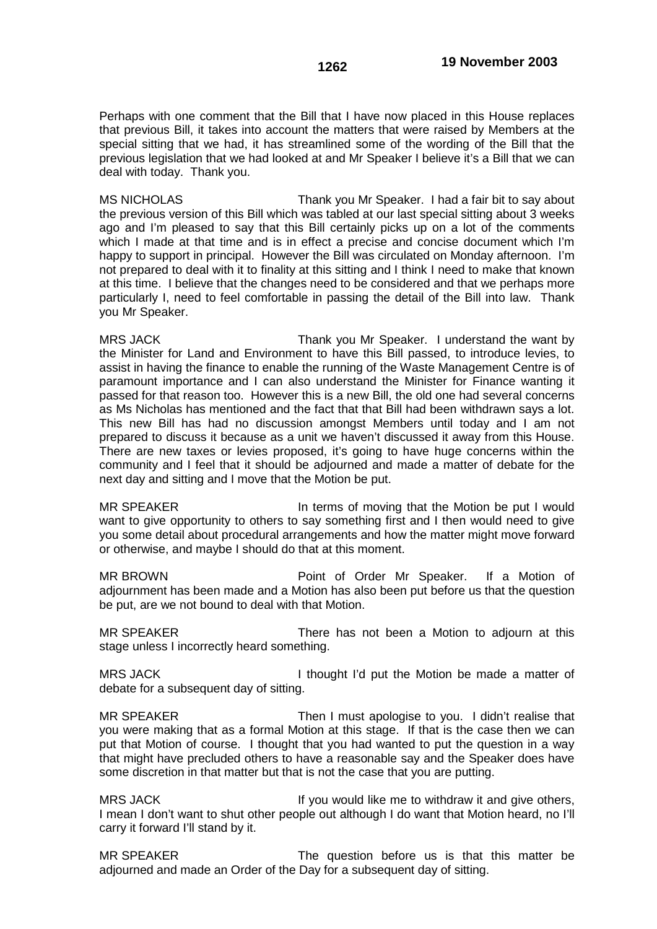Perhaps with one comment that the Bill that I have now placed in this House replaces that previous Bill, it takes into account the matters that were raised by Members at the special sitting that we had, it has streamlined some of the wording of the Bill that the previous legislation that we had looked at and Mr Speaker I believe it's a Bill that we can deal with today. Thank you.

MS NICHOLAS Thank you Mr Speaker. I had a fair bit to say about the previous version of this Bill which was tabled at our last special sitting about 3 weeks ago and I'm pleased to say that this Bill certainly picks up on a lot of the comments which I made at that time and is in effect a precise and concise document which I'm happy to support in principal. However the Bill was circulated on Monday afternoon. I'm not prepared to deal with it to finality at this sitting and I think I need to make that known at this time. I believe that the changes need to be considered and that we perhaps more particularly I, need to feel comfortable in passing the detail of the Bill into law. Thank you Mr Speaker.

MRS JACK Thank you Mr Speaker. I understand the want by the Minister for Land and Environment to have this Bill passed, to introduce levies, to assist in having the finance to enable the running of the Waste Management Centre is of paramount importance and I can also understand the Minister for Finance wanting it passed for that reason too. However this is a new Bill, the old one had several concerns as Ms Nicholas has mentioned and the fact that that Bill had been withdrawn says a lot. This new Bill has had no discussion amongst Members until today and I am not prepared to discuss it because as a unit we haven't discussed it away from this House. There are new taxes or levies proposed, it's going to have huge concerns within the community and I feel that it should be adjourned and made a matter of debate for the next day and sitting and I move that the Motion be put.

MR SPEAKER **In terms of moving that the Motion be put I would** want to give opportunity to others to say something first and I then would need to give you some detail about procedural arrangements and how the matter might move forward or otherwise, and maybe I should do that at this moment.

MR BROWN **Point of Order Mr Speaker.** If a Motion of adjournment has been made and a Motion has also been put before us that the question be put, are we not bound to deal with that Motion.

MR SPEAKER There has not been a Motion to adjourn at this stage unless I incorrectly heard something.

MRS JACK I thought I'd put the Motion be made a matter of debate for a subsequent day of sitting.

MR SPEAKER Then I must apologise to you. I didn't realise that you were making that as a formal Motion at this stage. If that is the case then we can put that Motion of course. I thought that you had wanted to put the question in a way that might have precluded others to have a reasonable say and the Speaker does have some discretion in that matter but that is not the case that you are putting.

MRS JACK If you would like me to withdraw it and give others, I mean I don't want to shut other people out although I do want that Motion heard, no I'll carry it forward I'll stand by it.

MR SPEAKER The question before us is that this matter be adjourned and made an Order of the Day for a subsequent day of sitting.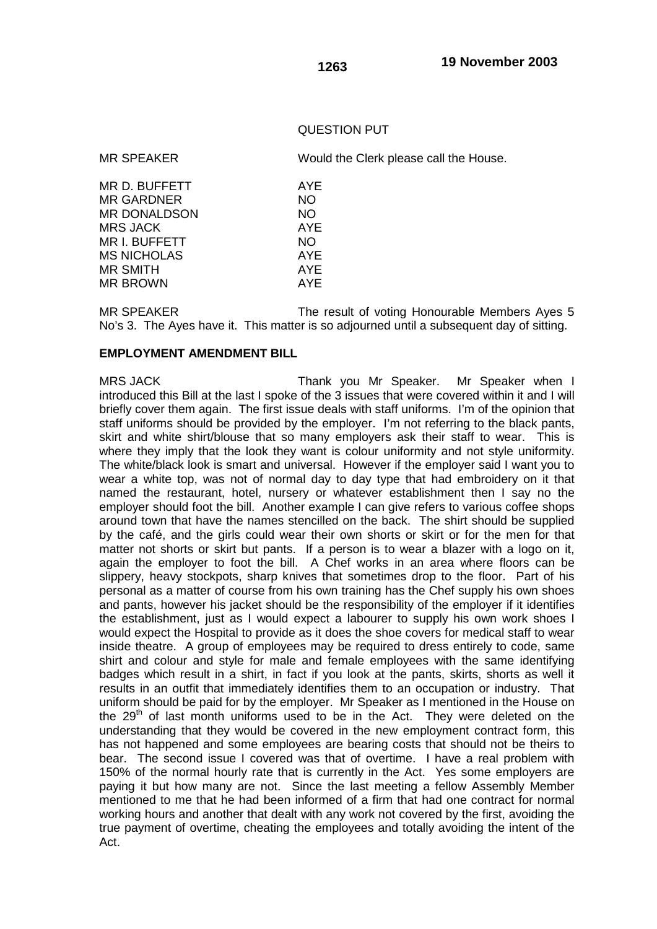## QUESTION PUT

MR SPEAKER Would the Clerk please call the House.

| MR D. BUFFETT       | AYE        |
|---------------------|------------|
| <b>MR GARDNER</b>   | NO.        |
| <b>MR DONALDSON</b> | NO.        |
| <b>MRS JACK</b>     | <b>AYE</b> |
| MR I. BUFFETT       | NO.        |
| <b>MS NICHOLAS</b>  | AYE        |
| <b>MR SMITH</b>     | AYE        |
| <b>MR BROWN</b>     | AYE        |
|                     |            |

MR SPEAKER The result of voting Honourable Members Ayes 5 No's 3. The Ayes have it. This matter is so adjourned until a subsequent day of sitting.

#### **EMPLOYMENT AMENDMENT BILL**

MRS JACK Thank you Mr Speaker. Mr Speaker when I introduced this Bill at the last I spoke of the 3 issues that were covered within it and I will briefly cover them again. The first issue deals with staff uniforms. I'm of the opinion that staff uniforms should be provided by the employer. I'm not referring to the black pants, skirt and white shirt/blouse that so many employers ask their staff to wear. This is where they imply that the look they want is colour uniformity and not style uniformity. The white/black look is smart and universal. However if the employer said I want you to wear a white top, was not of normal day to day type that had embroidery on it that named the restaurant, hotel, nursery or whatever establishment then I say no the employer should foot the bill. Another example I can give refers to various coffee shops around town that have the names stencilled on the back. The shirt should be supplied by the café, and the girls could wear their own shorts or skirt or for the men for that matter not shorts or skirt but pants. If a person is to wear a blazer with a logo on it, again the employer to foot the bill. A Chef works in an area where floors can be slippery, heavy stockpots, sharp knives that sometimes drop to the floor. Part of his personal as a matter of course from his own training has the Chef supply his own shoes and pants, however his jacket should be the responsibility of the employer if it identifies the establishment, just as I would expect a labourer to supply his own work shoes I would expect the Hospital to provide as it does the shoe covers for medical staff to wear inside theatre. A group of employees may be required to dress entirely to code, same shirt and colour and style for male and female employees with the same identifying badges which result in a shirt, in fact if you look at the pants, skirts, shorts as well it results in an outfit that immediately identifies them to an occupation or industry. That uniform should be paid for by the employer. Mr Speaker as I mentioned in the House on the  $29<sup>th</sup>$  of last month uniforms used to be in the Act. They were deleted on the understanding that they would be covered in the new employment contract form, this has not happened and some employees are bearing costs that should not be theirs to bear. The second issue I covered was that of overtime. I have a real problem with 150% of the normal hourly rate that is currently in the Act. Yes some employers are paying it but how many are not. Since the last meeting a fellow Assembly Member mentioned to me that he had been informed of a firm that had one contract for normal working hours and another that dealt with any work not covered by the first, avoiding the true payment of overtime, cheating the employees and totally avoiding the intent of the Act.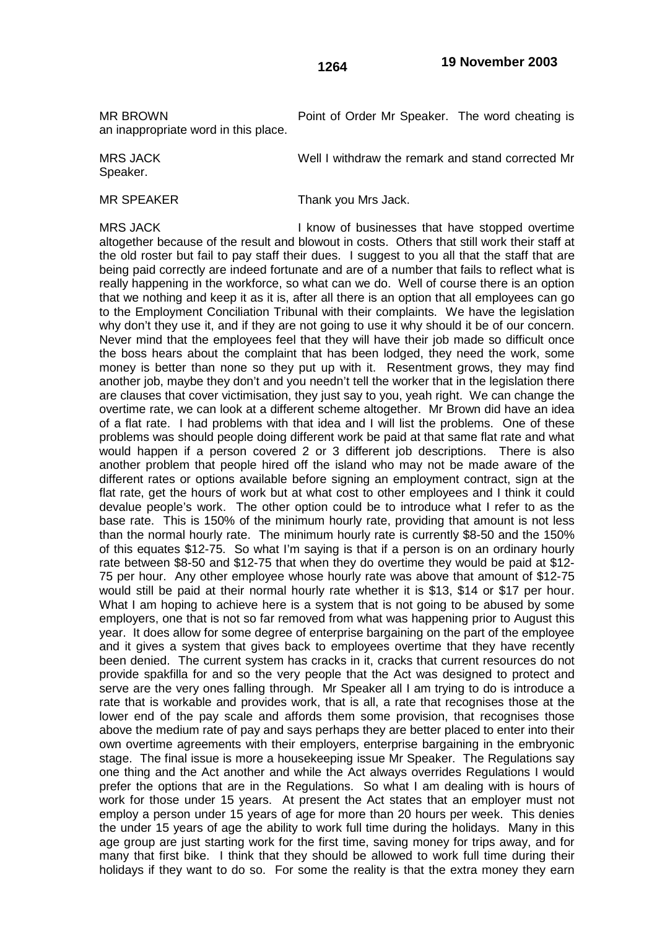an inappropriate word in this place.

MR BROWN **Point of Order Mr Speaker.** The word cheating is

MRS JACK Well I withdraw the remark and stand corrected Mr Speaker.

MR SPEAKER Thank you Mrs Jack.

MRS JACK **I** know of businesses that have stopped overtime altogether because of the result and blowout in costs. Others that still work their staff at the old roster but fail to pay staff their dues. I suggest to you all that the staff that are being paid correctly are indeed fortunate and are of a number that fails to reflect what is really happening in the workforce, so what can we do. Well of course there is an option that we nothing and keep it as it is, after all there is an option that all employees can go to the Employment Conciliation Tribunal with their complaints. We have the legislation why don't they use it, and if they are not going to use it why should it be of our concern. Never mind that the employees feel that they will have their job made so difficult once the boss hears about the complaint that has been lodged, they need the work, some money is better than none so they put up with it. Resentment grows, they may find another job, maybe they don't and you needn't tell the worker that in the legislation there are clauses that cover victimisation, they just say to you, yeah right. We can change the overtime rate, we can look at a different scheme altogether. Mr Brown did have an idea of a flat rate. I had problems with that idea and I will list the problems. One of these problems was should people doing different work be paid at that same flat rate and what would happen if a person covered 2 or 3 different job descriptions. There is also another problem that people hired off the island who may not be made aware of the different rates or options available before signing an employment contract, sign at the flat rate, get the hours of work but at what cost to other employees and I think it could devalue people's work. The other option could be to introduce what I refer to as the base rate. This is 150% of the minimum hourly rate, providing that amount is not less than the normal hourly rate. The minimum hourly rate is currently \$8-50 and the 150% of this equates \$12-75. So what I'm saying is that if a person is on an ordinary hourly rate between \$8-50 and \$12-75 that when they do overtime they would be paid at \$12- 75 per hour. Any other employee whose hourly rate was above that amount of \$12-75 would still be paid at their normal hourly rate whether it is \$13, \$14 or \$17 per hour. What I am hoping to achieve here is a system that is not going to be abused by some employers, one that is not so far removed from what was happening prior to August this year. It does allow for some degree of enterprise bargaining on the part of the employee and it gives a system that gives back to employees overtime that they have recently been denied. The current system has cracks in it, cracks that current resources do not provide spakfilla for and so the very people that the Act was designed to protect and serve are the very ones falling through. Mr Speaker all I am trying to do is introduce a rate that is workable and provides work, that is all, a rate that recognises those at the lower end of the pay scale and affords them some provision, that recognises those above the medium rate of pay and says perhaps they are better placed to enter into their own overtime agreements with their employers, enterprise bargaining in the embryonic stage. The final issue is more a housekeeping issue Mr Speaker. The Regulations say one thing and the Act another and while the Act always overrides Regulations I would prefer the options that are in the Regulations. So what I am dealing with is hours of work for those under 15 years. At present the Act states that an employer must not employ a person under 15 years of age for more than 20 hours per week. This denies the under 15 years of age the ability to work full time during the holidays. Many in this age group are just starting work for the first time, saving money for trips away, and for many that first bike. I think that they should be allowed to work full time during their holidays if they want to do so. For some the reality is that the extra money they earn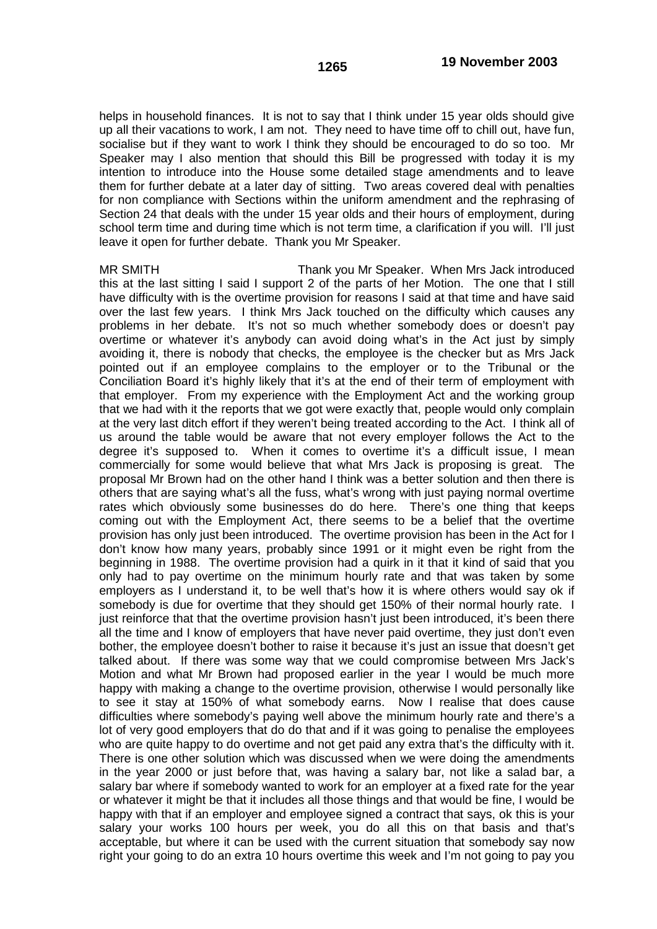helps in household finances. It is not to say that I think under 15 year olds should give up all their vacations to work, I am not. They need to have time off to chill out, have fun, socialise but if they want to work I think they should be encouraged to do so too. Mr Speaker may I also mention that should this Bill be progressed with today it is my intention to introduce into the House some detailed stage amendments and to leave them for further debate at a later day of sitting. Two areas covered deal with penalties for non compliance with Sections within the uniform amendment and the rephrasing of Section 24 that deals with the under 15 year olds and their hours of employment, during school term time and during time which is not term time, a clarification if you will. I'll just leave it open for further debate. Thank you Mr Speaker.

MR SMITH Thank you Mr Speaker. When Mrs Jack introduced this at the last sitting I said I support 2 of the parts of her Motion. The one that I still have difficulty with is the overtime provision for reasons I said at that time and have said over the last few years. I think Mrs Jack touched on the difficulty which causes any problems in her debate. It's not so much whether somebody does or doesn't pay overtime or whatever it's anybody can avoid doing what's in the Act just by simply avoiding it, there is nobody that checks, the employee is the checker but as Mrs Jack pointed out if an employee complains to the employer or to the Tribunal or the Conciliation Board it's highly likely that it's at the end of their term of employment with that employer. From my experience with the Employment Act and the working group that we had with it the reports that we got were exactly that, people would only complain at the very last ditch effort if they weren't being treated according to the Act. I think all of us around the table would be aware that not every employer follows the Act to the degree it's supposed to. When it comes to overtime it's a difficult issue, I mean commercially for some would believe that what Mrs Jack is proposing is great. The proposal Mr Brown had on the other hand I think was a better solution and then there is others that are saying what's all the fuss, what's wrong with just paying normal overtime rates which obviously some businesses do do here. There's one thing that keeps coming out with the Employment Act, there seems to be a belief that the overtime provision has only just been introduced. The overtime provision has been in the Act for I don't know how many years, probably since 1991 or it might even be right from the beginning in 1988. The overtime provision had a quirk in it that it kind of said that you only had to pay overtime on the minimum hourly rate and that was taken by some employers as I understand it, to be well that's how it is where others would say ok if somebody is due for overtime that they should get 150% of their normal hourly rate. I just reinforce that that the overtime provision hasn't just been introduced, it's been there all the time and I know of employers that have never paid overtime, they just don't even bother, the employee doesn't bother to raise it because it's just an issue that doesn't get talked about. If there was some way that we could compromise between Mrs Jack's Motion and what Mr Brown had proposed earlier in the year I would be much more happy with making a change to the overtime provision, otherwise I would personally like to see it stay at 150% of what somebody earns. Now I realise that does cause difficulties where somebody's paying well above the minimum hourly rate and there's a lot of very good employers that do do that and if it was going to penalise the employees who are quite happy to do overtime and not get paid any extra that's the difficulty with it. There is one other solution which was discussed when we were doing the amendments in the year 2000 or just before that, was having a salary bar, not like a salad bar, a salary bar where if somebody wanted to work for an employer at a fixed rate for the year or whatever it might be that it includes all those things and that would be fine, I would be happy with that if an employer and employee signed a contract that says, ok this is your salary your works 100 hours per week, you do all this on that basis and that's acceptable, but where it can be used with the current situation that somebody say now right your going to do an extra 10 hours overtime this week and I'm not going to pay you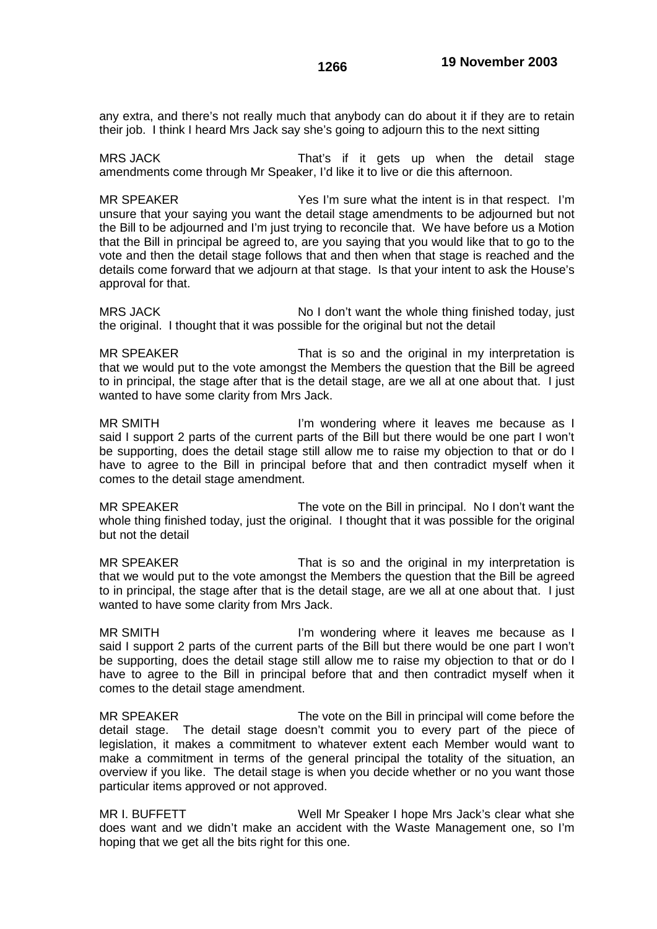any extra, and there's not really much that anybody can do about it if they are to retain their job. I think I heard Mrs Jack say she's going to adjourn this to the next sitting

MRS JACK That's if it gets up when the detail stage amendments come through Mr Speaker, I'd like it to live or die this afternoon.

MR SPEAKER The State of Yes I'm sure what the intent is in that respect. I'm unsure that your saying you want the detail stage amendments to be adjourned but not the Bill to be adjourned and I'm just trying to reconcile that. We have before us a Motion that the Bill in principal be agreed to, are you saying that you would like that to go to the vote and then the detail stage follows that and then when that stage is reached and the details come forward that we adjourn at that stage. Is that your intent to ask the House's approval for that.

MRS JACK No I don't want the whole thing finished today, just the original. I thought that it was possible for the original but not the detail

MR SPEAKER That is so and the original in my interpretation is that we would put to the vote amongst the Members the question that the Bill be agreed to in principal, the stage after that is the detail stage, are we all at one about that. I just wanted to have some clarity from Mrs Jack.

MR SMITH **I'm wondering where it leaves me because as I** said I support 2 parts of the current parts of the Bill but there would be one part I won't be supporting, does the detail stage still allow me to raise my objection to that or do I have to agree to the Bill in principal before that and then contradict myself when it comes to the detail stage amendment.

MR SPEAKER The vote on the Bill in principal. No I don't want the whole thing finished today, just the original. I thought that it was possible for the original but not the detail

MR SPEAKER That is so and the original in my interpretation is that we would put to the vote amongst the Members the question that the Bill be agreed to in principal, the stage after that is the detail stage, are we all at one about that. I just wanted to have some clarity from Mrs Jack.

MR SMITH **I'm wondering where it leaves me because as I** said I support 2 parts of the current parts of the Bill but there would be one part I won't be supporting, does the detail stage still allow me to raise my objection to that or do I have to agree to the Bill in principal before that and then contradict myself when it comes to the detail stage amendment.

MR SPEAKER The vote on the Bill in principal will come before the detail stage. The detail stage doesn't commit you to every part of the piece of legislation, it makes a commitment to whatever extent each Member would want to make a commitment in terms of the general principal the totality of the situation, an overview if you like. The detail stage is when you decide whether or no you want those particular items approved or not approved.

MR I. BUFFETT Well Mr Speaker I hope Mrs Jack's clear what she does want and we didn't make an accident with the Waste Management one, so I'm hoping that we get all the bits right for this one.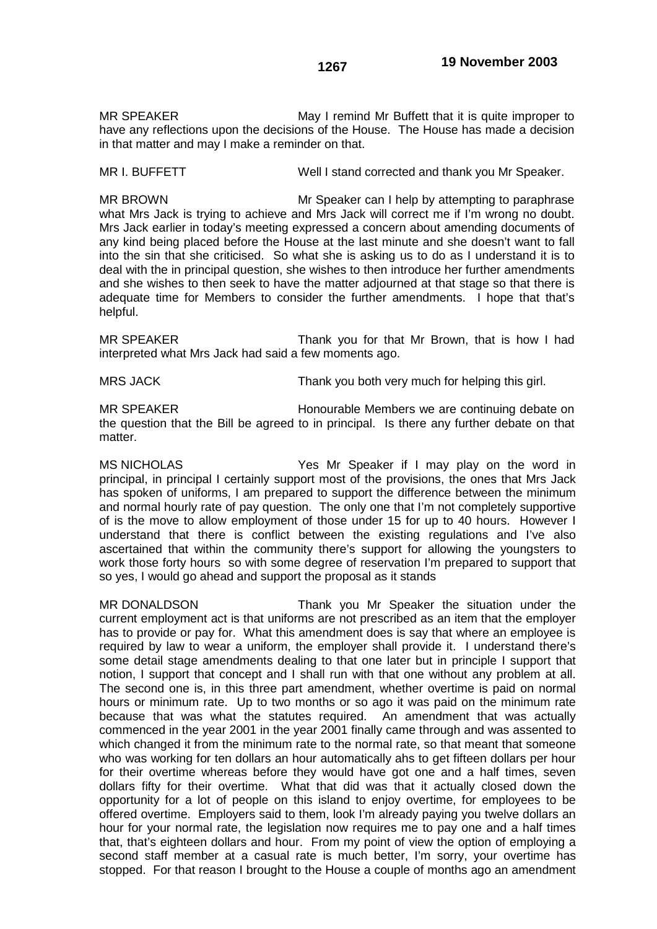MR SPEAKER May I remind Mr Buffett that it is quite improper to have any reflections upon the decisions of the House. The House has made a decision in that matter and may I make a reminder on that.

MR I. BUFFETT Well I stand corrected and thank you Mr Speaker.

MR BROWN Mr Speaker can I help by attempting to paraphrase what Mrs Jack is trying to achieve and Mrs Jack will correct me if I'm wrong no doubt. Mrs Jack earlier in today's meeting expressed a concern about amending documents of any kind being placed before the House at the last minute and she doesn't want to fall into the sin that she criticised. So what she is asking us to do as I understand it is to deal with the in principal question, she wishes to then introduce her further amendments and she wishes to then seek to have the matter adjourned at that stage so that there is adequate time for Members to consider the further amendments. I hope that that's helpful.

MR SPEAKER Thank you for that Mr Brown, that is how I had interpreted what Mrs Jack had said a few moments ago.

MRS JACK Thank you both very much for helping this girl.

MR SPEAKER Honourable Members we are continuing debate on the question that the Bill be agreed to in principal. Is there any further debate on that matter.

MS NICHOLAS Yes Mr Speaker if I may play on the word in principal, in principal I certainly support most of the provisions, the ones that Mrs Jack has spoken of uniforms, I am prepared to support the difference between the minimum and normal hourly rate of pay question. The only one that I'm not completely supportive of is the move to allow employment of those under 15 for up to 40 hours. However I understand that there is conflict between the existing regulations and I've also ascertained that within the community there's support for allowing the youngsters to work those forty hours so with some degree of reservation I'm prepared to support that so yes, I would go ahead and support the proposal as it stands

MR DONALDSON Thank you Mr Speaker the situation under the current employment act is that uniforms are not prescribed as an item that the employer has to provide or pay for. What this amendment does is say that where an employee is required by law to wear a uniform, the employer shall provide it. I understand there's some detail stage amendments dealing to that one later but in principle I support that notion, I support that concept and I shall run with that one without any problem at all. The second one is, in this three part amendment, whether overtime is paid on normal hours or minimum rate. Up to two months or so ago it was paid on the minimum rate because that was what the statutes required. An amendment that was actually commenced in the year 2001 in the year 2001 finally came through and was assented to which changed it from the minimum rate to the normal rate, so that meant that someone who was working for ten dollars an hour automatically ahs to get fifteen dollars per hour for their overtime whereas before they would have got one and a half times, seven dollars fifty for their overtime. What that did was that it actually closed down the opportunity for a lot of people on this island to enjoy overtime, for employees to be offered overtime. Employers said to them, look I'm already paying you twelve dollars an hour for your normal rate, the legislation now requires me to pay one and a half times that, that's eighteen dollars and hour. From my point of view the option of employing a second staff member at a casual rate is much better, I'm sorry, your overtime has stopped. For that reason I brought to the House a couple of months ago an amendment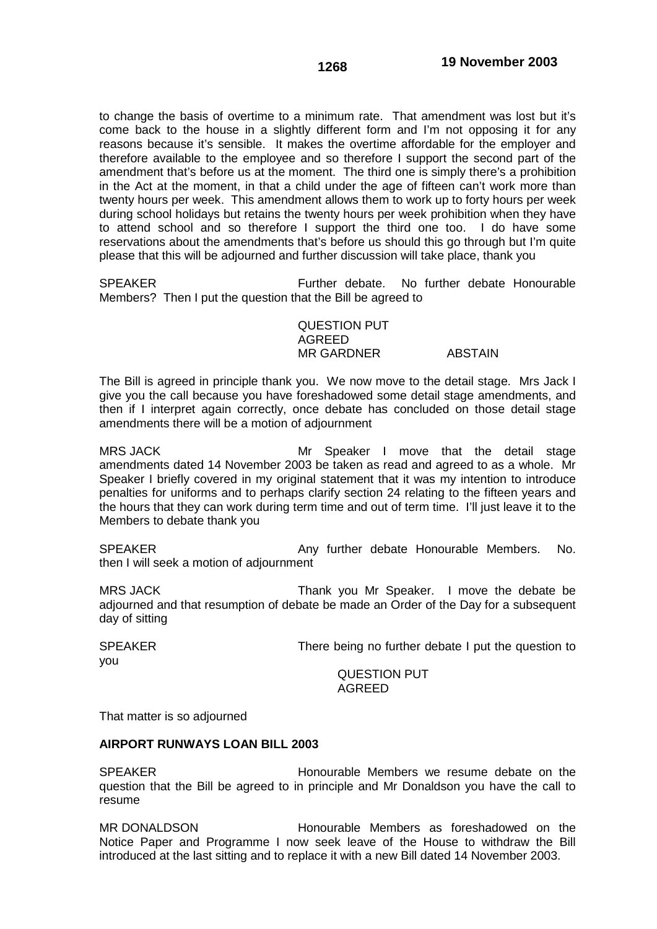to change the basis of overtime to a minimum rate. That amendment was lost but it's come back to the house in a slightly different form and I'm not opposing it for any reasons because it's sensible. It makes the overtime affordable for the employer and therefore available to the employee and so therefore I support the second part of the amendment that's before us at the moment. The third one is simply there's a prohibition in the Act at the moment, in that a child under the age of fifteen can't work more than twenty hours per week. This amendment allows them to work up to forty hours per week during school holidays but retains the twenty hours per week prohibition when they have to attend school and so therefore I support the third one too. I do have some reservations about the amendments that's before us should this go through but I'm quite please that this will be adjourned and further discussion will take place, thank you

SPEAKER Further debate. No further debate Honourable Members? Then I put the question that the Bill be agreed to

> QUESTION PUT AGREED MR GARDNER ABSTAIN

The Bill is agreed in principle thank you. We now move to the detail stage. Mrs Jack I give you the call because you have foreshadowed some detail stage amendments, and then if I interpret again correctly, once debate has concluded on those detail stage amendments there will be a motion of adjournment

MRS JACK **MRS HALL ARRY MRS HALL ARRY MRS** JACK MRS JACK amendments dated 14 November 2003 be taken as read and agreed to as a whole. Mr Speaker I briefly covered in my original statement that it was my intention to introduce penalties for uniforms and to perhaps clarify section 24 relating to the fifteen years and the hours that they can work during term time and out of term time. I'll just leave it to the Members to debate thank you

SPEAKER **Any further debate Honourable Members.** No. then I will seek a motion of adjournment

MRS JACK Thank you Mr Speaker. I move the debate be adjourned and that resumption of debate be made an Order of the Day for a subsequent day of sitting

you

SPEAKER There being no further debate I put the question to

QUESTION PUT AGREED

That matter is so adjourned

### **AIRPORT RUNWAYS LOAN BILL 2003**

SPEAKER **Honourable Members we resume debate on the** question that the Bill be agreed to in principle and Mr Donaldson you have the call to resume

MR DONALDSON Honourable Members as foreshadowed on the Notice Paper and Programme I now seek leave of the House to withdraw the Bill introduced at the last sitting and to replace it with a new Bill dated 14 November 2003.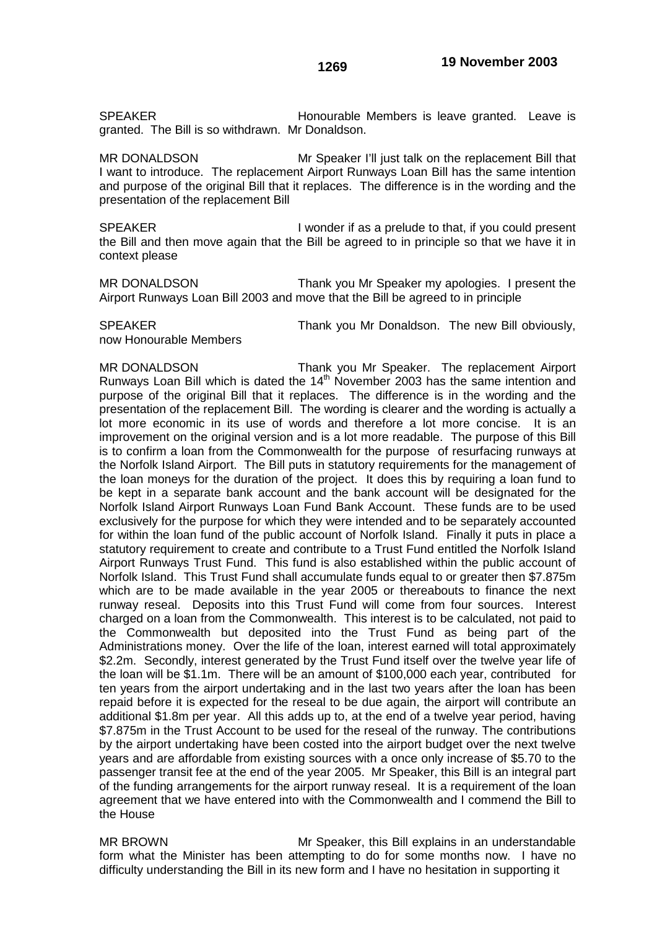SPEAKER **Honourable Members is leave granted.** Leave is granted. The Bill is so withdrawn. Mr Donaldson.

MR DONALDSON Mr Speaker I'll just talk on the replacement Bill that I want to introduce. The replacement Airport Runways Loan Bill has the same intention and purpose of the original Bill that it replaces. The difference is in the wording and the presentation of the replacement Bill

SPEAKER **I** wonder if as a prelude to that, if you could present the Bill and then move again that the Bill be agreed to in principle so that we have it in context please

MR DONALDSON Thank you Mr Speaker my apologies. I present the Airport Runways Loan Bill 2003 and move that the Bill be agreed to in principle

now Honourable Members

SPEAKER Thank you Mr Donaldson. The new Bill obviously,

MR DONALDSON Thank you Mr Speaker. The replacement Airport Runways Loan Bill which is dated the  $14<sup>th</sup>$  November 2003 has the same intention and purpose of the original Bill that it replaces. The difference is in the wording and the presentation of the replacement Bill. The wording is clearer and the wording is actually a lot more economic in its use of words and therefore a lot more concise. It is an improvement on the original version and is a lot more readable. The purpose of this Bill is to confirm a loan from the Commonwealth for the purpose of resurfacing runways at the Norfolk Island Airport. The Bill puts in statutory requirements for the management of the loan moneys for the duration of the project. It does this by requiring a loan fund to be kept in a separate bank account and the bank account will be designated for the Norfolk Island Airport Runways Loan Fund Bank Account. These funds are to be used exclusively for the purpose for which they were intended and to be separately accounted for within the loan fund of the public account of Norfolk Island. Finally it puts in place a statutory requirement to create and contribute to a Trust Fund entitled the Norfolk Island Airport Runways Trust Fund. This fund is also established within the public account of Norfolk Island. This Trust Fund shall accumulate funds equal to or greater then \$7.875m which are to be made available in the year 2005 or thereabouts to finance the next runway reseal. Deposits into this Trust Fund will come from four sources. Interest charged on a loan from the Commonwealth. This interest is to be calculated, not paid to the Commonwealth but deposited into the Trust Fund as being part of the Administrations money. Over the life of the loan, interest earned will total approximately \$2.2m. Secondly, interest generated by the Trust Fund itself over the twelve year life of the loan will be \$1.1m. There will be an amount of \$100,000 each year, contributed for ten years from the airport undertaking and in the last two years after the loan has been repaid before it is expected for the reseal to be due again, the airport will contribute an additional \$1.8m per year. All this adds up to, at the end of a twelve year period, having \$7.875m in the Trust Account to be used for the reseal of the runway. The contributions by the airport undertaking have been costed into the airport budget over the next twelve years and are affordable from existing sources with a once only increase of \$5.70 to the passenger transit fee at the end of the year 2005. Mr Speaker, this Bill is an integral part of the funding arrangements for the airport runway reseal. It is a requirement of the loan agreement that we have entered into with the Commonwealth and I commend the Bill to the House

MR BROWN Mr Speaker, this Bill explains in an understandable form what the Minister has been attempting to do for some months now. I have no difficulty understanding the Bill in its new form and I have no hesitation in supporting it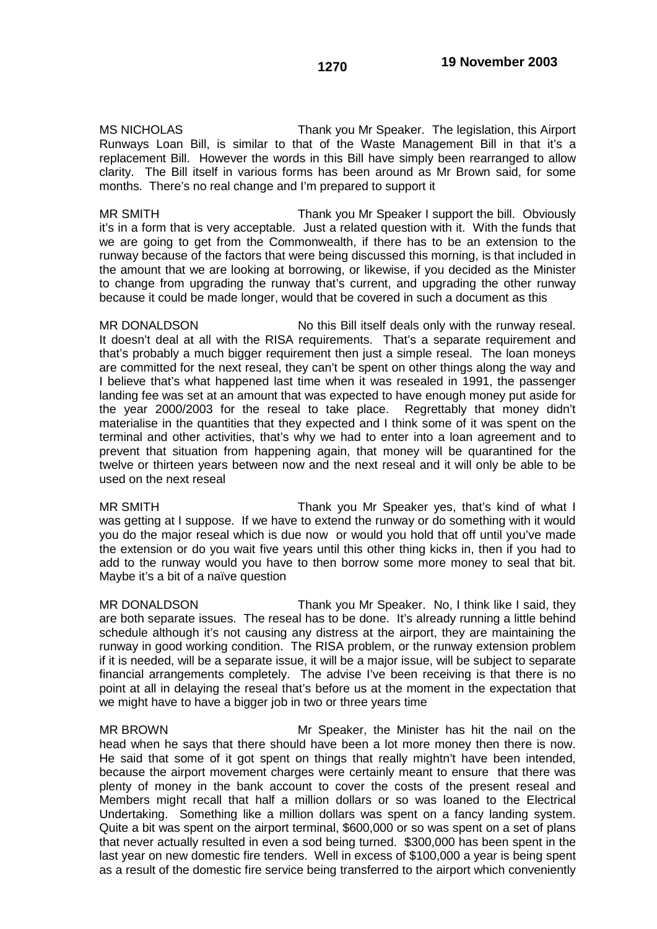MS NICHOLAS Thank you Mr Speaker. The legislation, this Airport Runways Loan Bill, is similar to that of the Waste Management Bill in that it's a replacement Bill. However the words in this Bill have simply been rearranged to allow clarity. The Bill itself in various forms has been around as Mr Brown said, for some months. There's no real change and I'm prepared to support it

MR SMITH Thank you Mr Speaker I support the bill. Obviously it's in a form that is very acceptable. Just a related question with it. With the funds that we are going to get from the Commonwealth, if there has to be an extension to the runway because of the factors that were being discussed this morning, is that included in the amount that we are looking at borrowing, or likewise, if you decided as the Minister to change from upgrading the runway that's current, and upgrading the other runway because it could be made longer, would that be covered in such a document as this

MR DONALDSON No this Bill itself deals only with the runway reseal. It doesn't deal at all with the RISA requirements. That's a separate requirement and that's probably a much bigger requirement then just a simple reseal. The loan moneys are committed for the next reseal, they can't be spent on other things along the way and I believe that's what happened last time when it was resealed in 1991, the passenger landing fee was set at an amount that was expected to have enough money put aside for the year 2000/2003 for the reseal to take place. Regrettably that money didn't materialise in the quantities that they expected and I think some of it was spent on the terminal and other activities, that's why we had to enter into a loan agreement and to prevent that situation from happening again, that money will be quarantined for the twelve or thirteen years between now and the next reseal and it will only be able to be used on the next reseal

MR SMITH Thank you Mr Speaker yes, that's kind of what I was getting at I suppose. If we have to extend the runway or do something with it would you do the major reseal which is due now or would you hold that off until you've made the extension or do you wait five years until this other thing kicks in, then if you had to add to the runway would you have to then borrow some more money to seal that bit. Maybe it's a bit of a naïve question

MR DONALDSON Thank you Mr Speaker. No, I think like I said, they are both separate issues. The reseal has to be done. It's already running a little behind schedule although it's not causing any distress at the airport, they are maintaining the runway in good working condition. The RISA problem, or the runway extension problem if it is needed, will be a separate issue, it will be a major issue, will be subject to separate financial arrangements completely. The advise I've been receiving is that there is no point at all in delaying the reseal that's before us at the moment in the expectation that we might have to have a bigger job in two or three years time

MR BROWN Mr Speaker, the Minister has hit the nail on the head when he says that there should have been a lot more money then there is now. He said that some of it got spent on things that really mightn't have been intended, because the airport movement charges were certainly meant to ensure that there was plenty of money in the bank account to cover the costs of the present reseal and Members might recall that half a million dollars or so was loaned to the Electrical Undertaking. Something like a million dollars was spent on a fancy landing system. Quite a bit was spent on the airport terminal, \$600,000 or so was spent on a set of plans that never actually resulted in even a sod being turned. \$300,000 has been spent in the last year on new domestic fire tenders. Well in excess of \$100,000 a year is being spent as a result of the domestic fire service being transferred to the airport which conveniently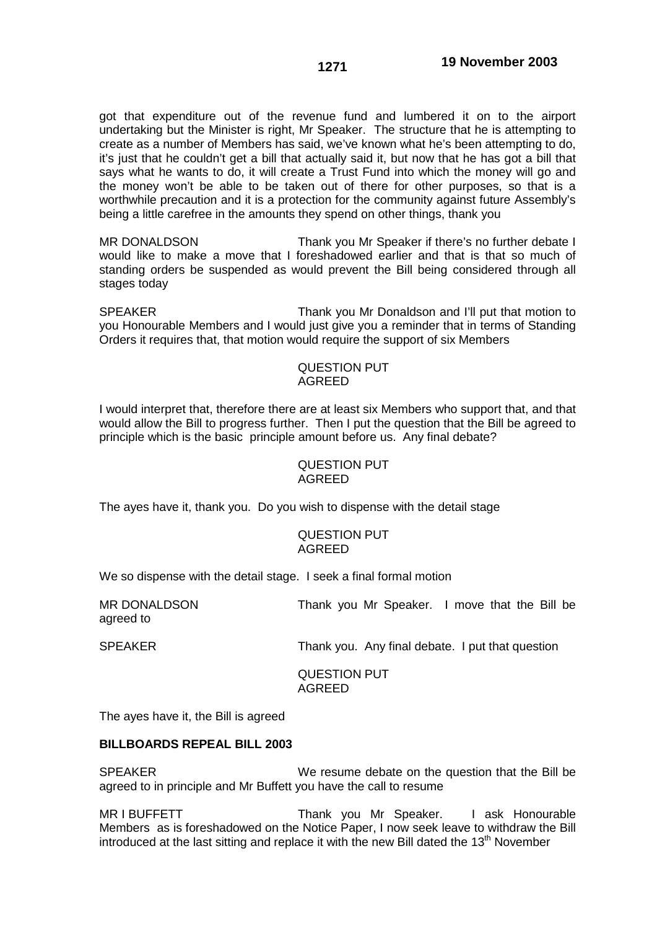got that expenditure out of the revenue fund and lumbered it on to the airport undertaking but the Minister is right, Mr Speaker. The structure that he is attempting to create as a number of Members has said, we've known what he's been attempting to do, it's just that he couldn't get a bill that actually said it, but now that he has got a bill that says what he wants to do, it will create a Trust Fund into which the money will go and the money won't be able to be taken out of there for other purposes, so that is a worthwhile precaution and it is a protection for the community against future Assembly's being a little carefree in the amounts they spend on other things, thank you

MR DONALDSON Thank you Mr Speaker if there's no further debate I would like to make a move that I foreshadowed earlier and that is that so much of standing orders be suspended as would prevent the Bill being considered through all stages today

SPEAKER Thank you Mr Donaldson and I'll put that motion to you Honourable Members and I would just give you a reminder that in terms of Standing Orders it requires that, that motion would require the support of six Members

### QUESTION PUT AGREED

I would interpret that, therefore there are at least six Members who support that, and that would allow the Bill to progress further. Then I put the question that the Bill be agreed to principle which is the basic principle amount before us. Any final debate?

### QUESTION PUT AGREED

The ayes have it, thank you. Do you wish to dispense with the detail stage

#### QUESTION PUT AGREED

We so dispense with the detail stage. I seek a final formal motion

MR DONALDSON Thank you Mr Speaker. I move that the Bill be agreed to

SPEAKER Thank you. Any final debate. I put that question

QUESTION PUT AGREED

The ayes have it, the Bill is agreed

# **BILLBOARDS REPEAL BILL 2003**

SPEAKER We resume debate on the question that the Bill be agreed to in principle and Mr Buffett you have the call to resume

MR I BUFFETT THE STEAK YOU Mr Speaker. I ask Honourable Members as is foreshadowed on the Notice Paper, I now seek leave to withdraw the Bill introduced at the last sitting and replace it with the new Bill dated the  $13<sup>th</sup>$  November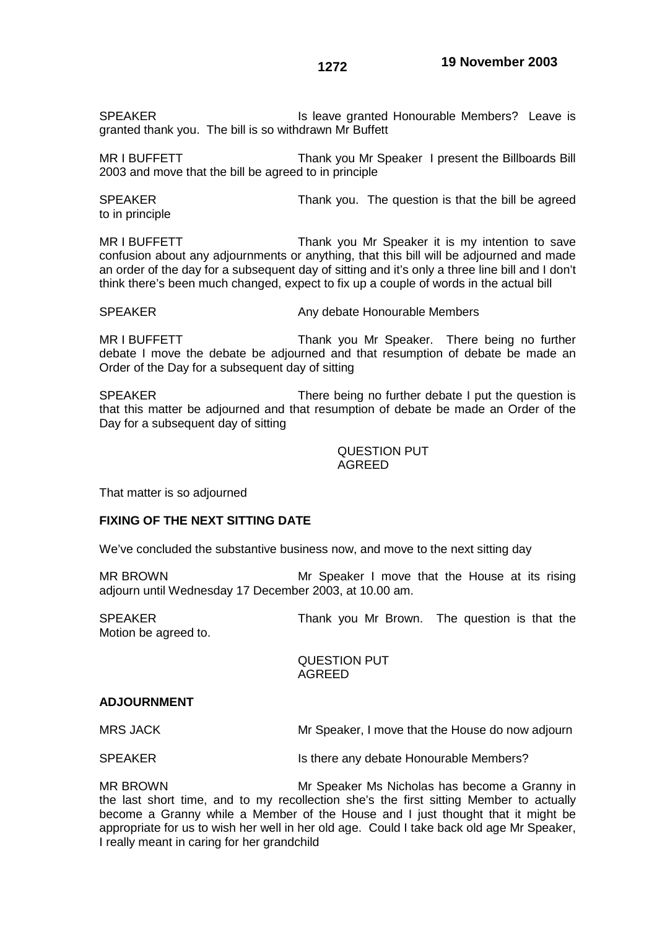SPEAKER Is leave granted Honourable Members? Leave is granted thank you. The bill is so withdrawn Mr Buffett

MR I BUFFETT THE THANK you Mr Speaker I present the Billboards Bill 2003 and move that the bill be agreed to in principle

SPEAKER Thank you. The question is that the bill be agreed to in principle

MR I BUFFETT THE THANK you Mr Speaker it is my intention to save confusion about any adjournments or anything, that this bill will be adjourned and made an order of the day for a subsequent day of sitting and it's only a three line bill and I don't think there's been much changed, expect to fix up a couple of words in the actual bill

SPEAKER Any debate Honourable Members

MR I BUFFETT THE THANK you Mr Speaker. There being no further debate I move the debate be adjourned and that resumption of debate be made an Order of the Day for a subsequent day of sitting

SPEAKER There being no further debate I put the question is that this matter be adjourned and that resumption of debate be made an Order of the Day for a subsequent day of sitting

> QUESTION PUT AGREED

That matter is so adjourned

### **FIXING OF THE NEXT SITTING DATE**

We've concluded the substantive business now, and move to the next sitting day

MR BROWN Mr Speaker I move that the House at its rising adjourn until Wednesday 17 December 2003, at 10.00 am.

SPEAKER Thank you Mr Brown. The question is that the Motion be agreed to.

> QUESTION PUT AGREED

#### **ADJOURNMENT**

MRS JACK Mr Speaker, I move that the House do now adjourn

SPEAKER Is there any debate Honourable Members?

MR BROWN Mr Speaker Ms Nicholas has become a Granny in the last short time, and to my recollection she's the first sitting Member to actually become a Granny while a Member of the House and I just thought that it might be appropriate for us to wish her well in her old age. Could I take back old age Mr Speaker, I really meant in caring for her grandchild